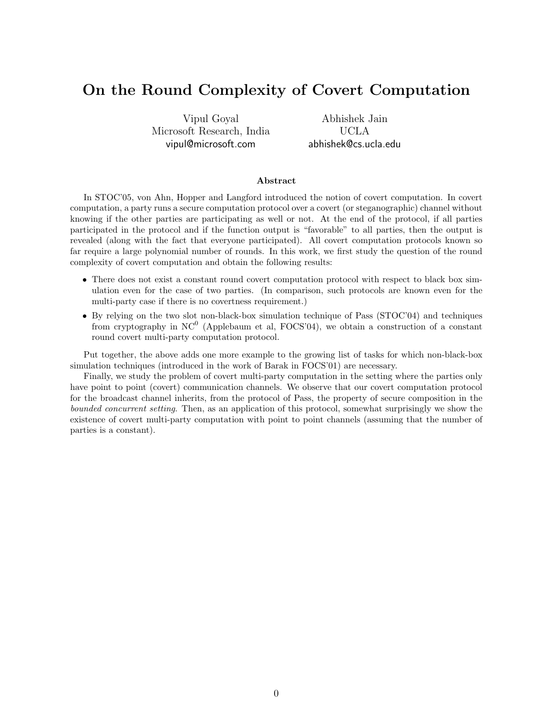# On the Round Complexity of Covert Computation

Vipul Goyal Microsoft Research, India vipul@microsoft.com

Abhishek Jain UCLA abhishek@cs.ucla.edu

### Abstract

In STOC'05, von Ahn, Hopper and Langford introduced the notion of covert computation. In covert computation, a party runs a secure computation protocol over a covert (or steganographic) channel without knowing if the other parties are participating as well or not. At the end of the protocol, if all parties participated in the protocol and if the function output is "favorable" to all parties, then the output is revealed (along with the fact that everyone participated). All covert computation protocols known so far require a large polynomial number of rounds. In this work, we first study the question of the round complexity of covert computation and obtain the following results:

- There does not exist a constant round covert computation protocol with respect to black box simulation even for the case of two parties. (In comparison, such protocols are known even for the multi-party case if there is no covertness requirement.)
- By relying on the two slot non-black-box simulation technique of Pass (STOC'04) and techniques from cryptography in  $NC^0$  (Applebaum et al, FOCS'04), we obtain a construction of a constant round covert multi-party computation protocol.

Put together, the above adds one more example to the growing list of tasks for which non-black-box simulation techniques (introduced in the work of Barak in FOCS'01) are necessary.

Finally, we study the problem of covert multi-party computation in the setting where the parties only have point to point (covert) communication channels. We observe that our covert computation protocol for the broadcast channel inherits, from the protocol of Pass, the property of secure composition in the bounded concurrent setting. Then, as an application of this protocol, somewhat surprisingly we show the existence of covert multi-party computation with point to point channels (assuming that the number of parties is a constant).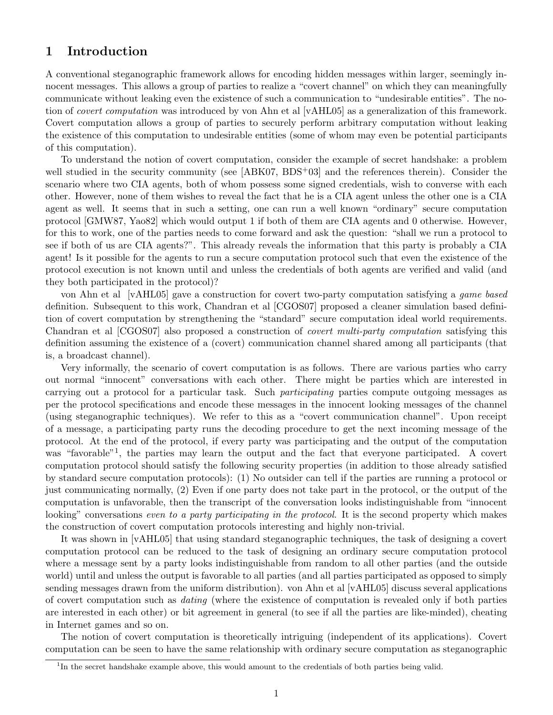# 1 Introduction

A conventional steganographic framework allows for encoding hidden messages within larger, seemingly innocent messages. This allows a group of parties to realize a "covert channel" on which they can meaningfully communicate without leaking even the existence of such a communication to "undesirable entities". The notion of covert computation was introduced by von Ahn et al [vAHL05] as a generalization of this framework. Covert computation allows a group of parties to securely perform arbitrary computation without leaking the existence of this computation to undesirable entities (some of whom may even be potential participants of this computation).

To understand the notion of covert computation, consider the example of secret handshake: a problem well studied in the security community (see [ABK07, BDS<sup>+</sup>03] and the references therein). Consider the scenario where two CIA agents, both of whom possess some signed credentials, wish to converse with each other. However, none of them wishes to reveal the fact that he is a CIA agent unless the other one is a CIA agent as well. It seems that in such a setting, one can run a well known "ordinary" secure computation protocol [GMW87, Yao82] which would output 1 if both of them are CIA agents and 0 otherwise. However, for this to work, one of the parties needs to come forward and ask the question: "shall we run a protocol to see if both of us are CIA agents?". This already reveals the information that this party is probably a CIA agent! Is it possible for the agents to run a secure computation protocol such that even the existence of the protocol execution is not known until and unless the credentials of both agents are verified and valid (and they both participated in the protocol)?

von Ahn et al [vAHL05] gave a construction for covert two-party computation satisfying a game based definition. Subsequent to this work, Chandran et al [CGOS07] proposed a cleaner simulation based definition of covert computation by strengthening the "standard" secure computation ideal world requirements. Chandran et al [CGOS07] also proposed a construction of covert multi-party computation satisfying this definition assuming the existence of a (covert) communication channel shared among all participants (that is, a broadcast channel).

Very informally, the scenario of covert computation is as follows. There are various parties who carry out normal "innocent" conversations with each other. There might be parties which are interested in carrying out a protocol for a particular task. Such participating parties compute outgoing messages as per the protocol specifications and encode these messages in the innocent looking messages of the channel (using steganographic techniques). We refer to this as a "covert communication channel". Upon receipt of a message, a participating party runs the decoding procedure to get the next incoming message of the protocol. At the end of the protocol, if every party was participating and the output of the computation was "favorable"<sup>1</sup>, the parties may learn the output and the fact that everyone participated. A covert computation protocol should satisfy the following security properties (in addition to those already satisfied by standard secure computation protocols): (1) No outsider can tell if the parties are running a protocol or just communicating normally, (2) Even if one party does not take part in the protocol, or the output of the computation is unfavorable, then the transcript of the conversation looks indistinguishable from "innocent looking" conversations even to a party participating in the protocol. It is the second property which makes the construction of covert computation protocols interesting and highly non-trivial.

It was shown in [vAHL05] that using standard steganographic techniques, the task of designing a covert computation protocol can be reduced to the task of designing an ordinary secure computation protocol where a message sent by a party looks indistinguishable from random to all other parties (and the outside world) until and unless the output is favorable to all parties (and all parties participated as opposed to simply sending messages drawn from the uniform distribution). von Ahn et al [vAHL05] discuss several applications of covert computation such as dating (where the existence of computation is revealed only if both parties are interested in each other) or bit agreement in general (to see if all the parties are like-minded), cheating in Internet games and so on.

The notion of covert computation is theoretically intriguing (independent of its applications). Covert computation can be seen to have the same relationship with ordinary secure computation as steganographic

<sup>&</sup>lt;sup>1</sup>In the secret handshake example above, this would amount to the credentials of both parties being valid.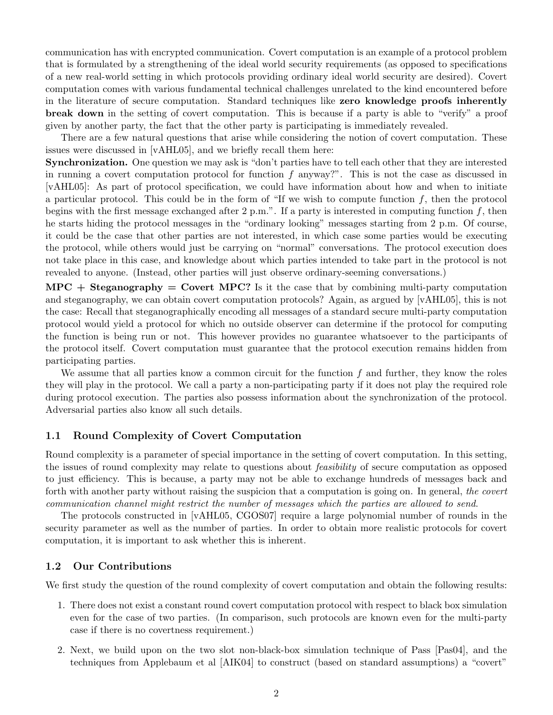communication has with encrypted communication. Covert computation is an example of a protocol problem that is formulated by a strengthening of the ideal world security requirements (as opposed to specifications of a new real-world setting in which protocols providing ordinary ideal world security are desired). Covert computation comes with various fundamental technical challenges unrelated to the kind encountered before in the literature of secure computation. Standard techniques like zero knowledge proofs inherently break down in the setting of covert computation. This is because if a party is able to "verify" a proof given by another party, the fact that the other party is participating is immediately revealed.

There are a few natural questions that arise while considering the notion of covert computation. These issues were discussed in [vAHL05], and we briefly recall them here:

Synchronization. One question we may ask is "don't parties have to tell each other that they are interested in running a covert computation protocol for function  $f$  anyway?". This is not the case as discussed in [vAHL05]: As part of protocol specification, we could have information about how and when to initiate a particular protocol. This could be in the form of "If we wish to compute function  $f$ , then the protocol begins with the first message exchanged after  $2 \text{ p.m.}$ ". If a party is interested in computing function  $f$ , then he starts hiding the protocol messages in the "ordinary looking" messages starting from 2 p.m. Of course, it could be the case that other parties are not interested, in which case some parties would be executing the protocol, while others would just be carrying on "normal" conversations. The protocol execution does not take place in this case, and knowledge about which parties intended to take part in the protocol is not revealed to anyone. (Instead, other parties will just observe ordinary-seeming conversations.)

 $MPC + Steganography = Cover MPC?$  Is it the case that by combining multi-party computation and steganography, we can obtain covert computation protocols? Again, as argued by [vAHL05], this is not the case: Recall that steganographically encoding all messages of a standard secure multi-party computation protocol would yield a protocol for which no outside observer can determine if the protocol for computing the function is being run or not. This however provides no guarantee whatsoever to the participants of the protocol itself. Covert computation must guarantee that the protocol execution remains hidden from participating parties.

We assume that all parties know a common circuit for the function  $f$  and further, they know the roles they will play in the protocol. We call a party a non-participating party if it does not play the required role during protocol execution. The parties also possess information about the synchronization of the protocol. Adversarial parties also know all such details.

### 1.1 Round Complexity of Covert Computation

Round complexity is a parameter of special importance in the setting of covert computation. In this setting, the issues of round complexity may relate to questions about feasibility of secure computation as opposed to just efficiency. This is because, a party may not be able to exchange hundreds of messages back and forth with another party without raising the suspicion that a computation is going on. In general, the covert communication channel might restrict the number of messages which the parties are allowed to send.

The protocols constructed in [vAHL05, CGOS07] require a large polynomial number of rounds in the security parameter as well as the number of parties. In order to obtain more realistic protocols for covert computation, it is important to ask whether this is inherent.

#### 1.2 Our Contributions

We first study the question of the round complexity of covert computation and obtain the following results:

- 1. There does not exist a constant round covert computation protocol with respect to black box simulation even for the case of two parties. (In comparison, such protocols are known even for the multi-party case if there is no covertness requirement.)
- 2. Next, we build upon on the two slot non-black-box simulation technique of Pass [Pas04], and the techniques from Applebaum et al [AIK04] to construct (based on standard assumptions) a "covert"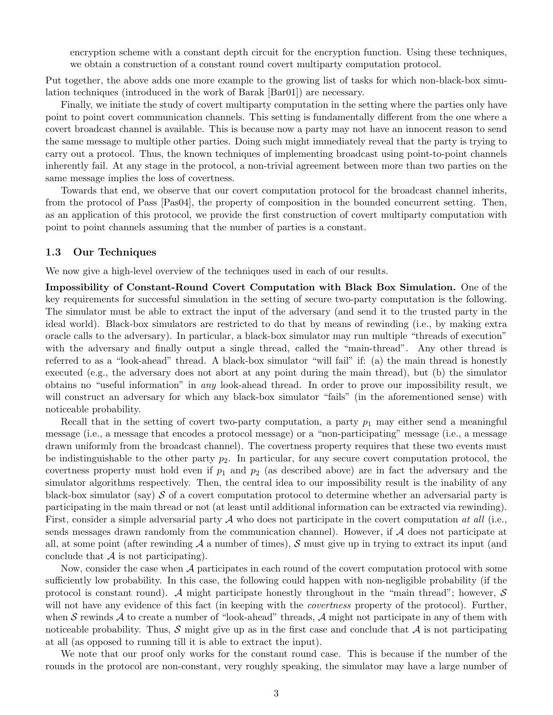encryption scheme with a constant depth circuit for the encryption function. Using these techniques, we obtain a construction of a constant round covert multiparty computation protocol.

Put together, the above adds one more example to the growing list of tasks for which non-black-box simulation techniques (introduced in the work of Barak [Bar01]) are necessary.

Finally, we initiate the study of covert multiparty computation in the setting where the parties only have point to point covert communication channels. This setting is fundamentally different from the one where a covert broadcast channel is available. This is because now a party may not have an innocent reason to send the same message to multiple other parties. Doing such might immediately reveal that the party is trying to carry out a protocol. Thus, the known techniques of implementing broadcast using point-to-point channels inherently fail. At any stage in the protocol, a non-trivial agreement between more than two parties on the same message implies the loss of covertness.

Towards that end, we observe that our covert computation protocol for the broadcast channel inherits, from the protocol of Pass [Pas04], the property of composition in the bounded concurrent setting. Then, as an application of this protocol, we provide the first construction of covert multiparty computation with point to point channels assuming that the number of parties is a constant.

### 1.3 Our Techniques

We now give a high-level overview of the techniques used in each of our results.

Impossibility of Constant-Round Covert Computation with Black Box Simulation. One of the key requirements for successful simulation in the setting of secure two-party computation is the following. The simulator must be able to extract the input of the adversary (and send it to the trusted party in the ideal world). Black-box simulators are restricted to do that by means of rewinding (i.e., by making extra oracle calls to the adversary). In particular, a black-box simulator may run multiple "threads of execution" with the adversary and finally output a single thread, called the "main-thread". Any other thread is referred to as a "look-ahead" thread. A black-box simulator "will fail" if: (a) the main thread is honestly executed (e.g., the adversary does not abort at any point during the main thread), but (b) the simulator obtains no "useful information" in any look-ahead thread. In order to prove our impossibility result, we will construct an adversary for which any black-box simulator "fails" (in the aforementioned sense) with noticeable probability.

Recall that in the setting of covert two-party computation, a party  $p_1$  may either send a meaningful message (i.e., a message that encodes a protocol message) or a "non-participating" message (i.e., a message drawn uniformly from the broadcast channel). The covertness property requires that these two events must be indistinguishable to the other party  $p_2$ . In particular, for any secure covert computation protocol, the covertness property must hold even if  $p_1$  and  $p_2$  (as described above) are in fact the adversary and the simulator algorithms respectively. Then, the central idea to our impossibility result is the inability of any black-box simulator (say)  $\mathcal S$  of a covert computation protocol to determine whether an adversarial party is participating in the main thread or not (at least until additional information can be extracted via rewinding). First, consider a simple adversarial party  $A$  who does not participate in the covert computation at all (i.e., sends messages drawn randomly from the communication channel). However, if A does not participate at all, at some point (after rewinding  $\mathcal A$  a number of times),  $\mathcal S$  must give up in trying to extract its input (and conclude that  $A$  is not participating).

Now, consider the case when A participates in each round of the covert computation protocol with some sufficiently low probability. In this case, the following could happen with non-negligible probability (if the protocol is constant round). A might participate honestly throughout in the "main thread"; however,  $S$ will not have any evidence of this fact (in keeping with the *covertness* property of the protocol). Further, when S rewinds A to create a number of "look-ahead" threads, A might not participate in any of them with noticeable probability. Thus,  $\mathcal S$  might give up as in the first case and conclude that  $\mathcal A$  is not participating at all (as opposed to running till it is able to extract the input).

We note that our proof only works for the constant round case. This is because if the number of the rounds in the protocol are non-constant, very roughly speaking, the simulator may have a large number of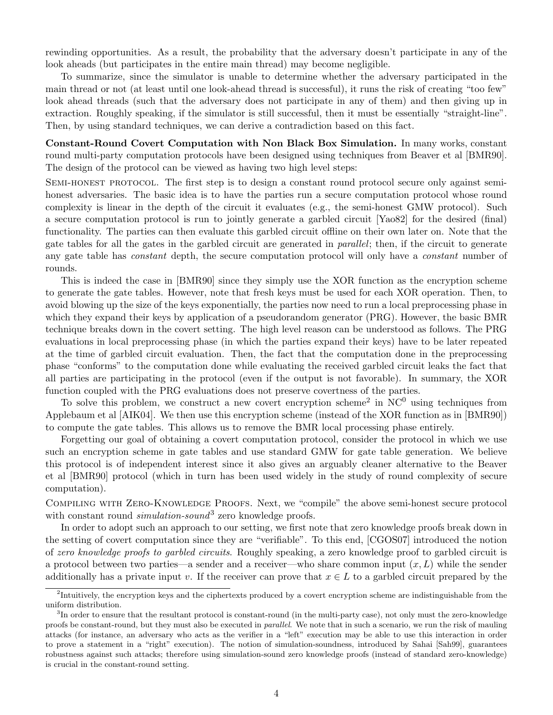rewinding opportunities. As a result, the probability that the adversary doesn't participate in any of the look aheads (but participates in the entire main thread) may become negligible.

To summarize, since the simulator is unable to determine whether the adversary participated in the main thread or not (at least until one look-ahead thread is successful), it runs the risk of creating "too few" look ahead threads (such that the adversary does not participate in any of them) and then giving up in extraction. Roughly speaking, if the simulator is still successful, then it must be essentially "straight-line". Then, by using standard techniques, we can derive a contradiction based on this fact.

Constant-Round Covert Computation with Non Black Box Simulation. In many works, constant round multi-party computation protocols have been designed using techniques from Beaver et al [BMR90]. The design of the protocol can be viewed as having two high level steps:

Semi-honest protocol. The first step is to design a constant round protocol secure only against semihonest adversaries. The basic idea is to have the parties run a secure computation protocol whose round complexity is linear in the depth of the circuit it evaluates (e.g., the semi-honest GMW protocol). Such a secure computation protocol is run to jointly generate a garbled circuit [Yao82] for the desired (final) functionality. The parties can then evaluate this garbled circuit offline on their own later on. Note that the gate tables for all the gates in the garbled circuit are generated in parallel; then, if the circuit to generate any gate table has constant depth, the secure computation protocol will only have a constant number of rounds.

This is indeed the case in [BMR90] since they simply use the XOR function as the encryption scheme to generate the gate tables. However, note that fresh keys must be used for each XOR operation. Then, to avoid blowing up the size of the keys exponentially, the parties now need to run a local preprocessing phase in which they expand their keys by application of a pseudorandom generator (PRG). However, the basic BMR technique breaks down in the covert setting. The high level reason can be understood as follows. The PRG evaluations in local preprocessing phase (in which the parties expand their keys) have to be later repeated at the time of garbled circuit evaluation. Then, the fact that the computation done in the preprocessing phase "conforms" to the computation done while evaluating the received garbled circuit leaks the fact that all parties are participating in the protocol (even if the output is not favorable). In summary, the XOR function coupled with the PRG evaluations does not preserve covertness of the parties.

To solve this problem, we construct a new covert encryption scheme<sup>2</sup> in  $NC^0$  using techniques from Applebaum et al [AIK04]. We then use this encryption scheme (instead of the XOR function as in [BMR90]) to compute the gate tables. This allows us to remove the BMR local processing phase entirely.

Forgetting our goal of obtaining a covert computation protocol, consider the protocol in which we use such an encryption scheme in gate tables and use standard GMW for gate table generation. We believe this protocol is of independent interest since it also gives an arguably cleaner alternative to the Beaver et al [BMR90] protocol (which in turn has been used widely in the study of round complexity of secure computation).

COMPILING WITH ZERO-KNOWLEDGE PROOFS. Next, we "compile" the above semi-honest secure protocol with constant round  $simulation$ -sound<sup>3</sup> zero knowledge proofs.

In order to adopt such an approach to our setting, we first note that zero knowledge proofs break down in the setting of covert computation since they are "verifiable". To this end, [CGOS07] introduced the notion of zero knowledge proofs to garbled circuits. Roughly speaking, a zero knowledge proof to garbled circuit is a protocol between two parties—a sender and a receiver—who share common input  $(x, L)$  while the sender additionally has a private input v. If the receiver can prove that  $x \in L$  to a garbled circuit prepared by the

<sup>&</sup>lt;sup>2</sup>Intuitively, the encryption keys and the ciphertexts produced by a covert encryption scheme are indistinguishable from the uniform distribution.

<sup>&</sup>lt;sup>3</sup>In order to ensure that the resultant protocol is constant-round (in the multi-party case), not only must the zero-knowledge proofs be constant-round, but they must also be executed in parallel. We note that in such a scenario, we run the risk of mauling attacks (for instance, an adversary who acts as the verifier in a "left" execution may be able to use this interaction in order to prove a statement in a "right" execution). The notion of simulation-soundness, introduced by Sahai [Sah99], guarantees robustness against such attacks; therefore using simulation-sound zero knowledge proofs (instead of standard zero-knowledge) is crucial in the constant-round setting.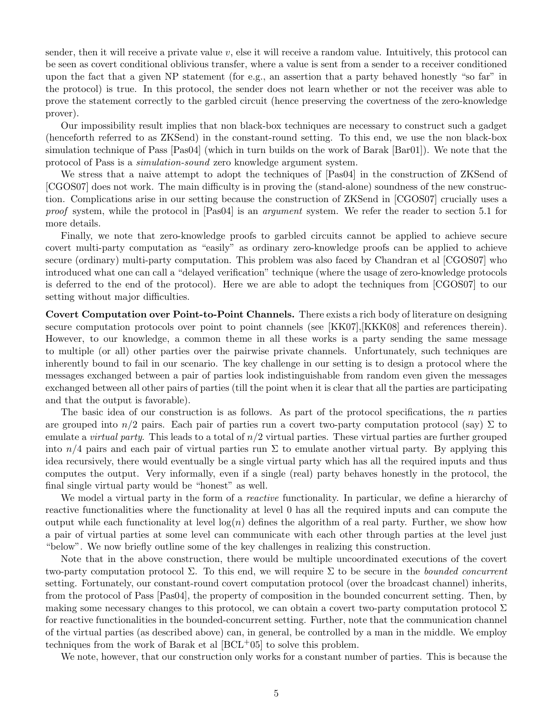sender, then it will receive a private value  $v$ , else it will receive a random value. Intuitively, this protocol can be seen as covert conditional oblivious transfer, where a value is sent from a sender to a receiver conditioned upon the fact that a given NP statement (for e.g., an assertion that a party behaved honestly "so far" in the protocol) is true. In this protocol, the sender does not learn whether or not the receiver was able to prove the statement correctly to the garbled circuit (hence preserving the covertness of the zero-knowledge prover).

Our impossibility result implies that non black-box techniques are necessary to construct such a gadget (henceforth referred to as ZKSend) in the constant-round setting. To this end, we use the non black-box simulation technique of Pass [Pas04] (which in turn builds on the work of Barak [Bar01]). We note that the protocol of Pass is a simulation-sound zero knowledge argument system.

We stress that a naive attempt to adopt the techniques of [Pas04] in the construction of ZKSend of [CGOS07] does not work. The main difficulty is in proving the (stand-alone) soundness of the new construction. Complications arise in our setting because the construction of ZKSend in [CGOS07] crucially uses a proof system, while the protocol in  $[Pas04]$  is an *argument* system. We refer the reader to section 5.1 for more details.

Finally, we note that zero-knowledge proofs to garbled circuits cannot be applied to achieve secure covert multi-party computation as "easily" as ordinary zero-knowledge proofs can be applied to achieve secure (ordinary) multi-party computation. This problem was also faced by Chandran et al [CGOS07] who introduced what one can call a "delayed verification" technique (where the usage of zero-knowledge protocols is deferred to the end of the protocol). Here we are able to adopt the techniques from [CGOS07] to our setting without major difficulties.

Covert Computation over Point-to-Point Channels. There exists a rich body of literature on designing secure computation protocols over point to point channels (see [KK07],[KKK08] and references therein). However, to our knowledge, a common theme in all these works is a party sending the same message to multiple (or all) other parties over the pairwise private channels. Unfortunately, such techniques are inherently bound to fail in our scenario. The key challenge in our setting is to design a protocol where the messages exchanged between a pair of parties look indistinguishable from random even given the messages exchanged between all other pairs of parties (till the point when it is clear that all the parties are participating and that the output is favorable).

The basic idea of our construction is as follows. As part of the protocol specifications, the  $n$  parties are grouped into  $n/2$  pairs. Each pair of parties run a covert two-party computation protocol (say)  $\Sigma$  to emulate a *virtual party*. This leads to a total of  $n/2$  virtual parties. These virtual parties are further grouped into  $n/4$  pairs and each pair of virtual parties run  $\Sigma$  to emulate another virtual party. By applying this idea recursively, there would eventually be a single virtual party which has all the required inputs and thus computes the output. Very informally, even if a single (real) party behaves honestly in the protocol, the final single virtual party would be "honest" as well.

We model a virtual party in the form of a *reactive* functionality. In particular, we define a hierarchy of reactive functionalities where the functionality at level 0 has all the required inputs and can compute the output while each functionality at level  $log(n)$  defines the algorithm of a real party. Further, we show how a pair of virtual parties at some level can communicate with each other through parties at the level just "below". We now briefly outline some of the key challenges in realizing this construction.

Note that in the above construction, there would be multiple uncoordinated executions of the covert two-party computation protocol  $\Sigma$ . To this end, we will require  $\Sigma$  to be secure in the bounded concurrent setting. Fortunately, our constant-round covert computation protocol (over the broadcast channel) inherits, from the protocol of Pass [Pas04], the property of composition in the bounded concurrent setting. Then, by making some necessary changes to this protocol, we can obtain a covert two-party computation protocol  $\Sigma$ for reactive functionalities in the bounded-concurrent setting. Further, note that the communication channel of the virtual parties (as described above) can, in general, be controlled by a man in the middle. We employ techniques from the work of Barak et al  $|BCL+05|$  to solve this problem.

We note, however, that our construction only works for a constant number of parties. This is because the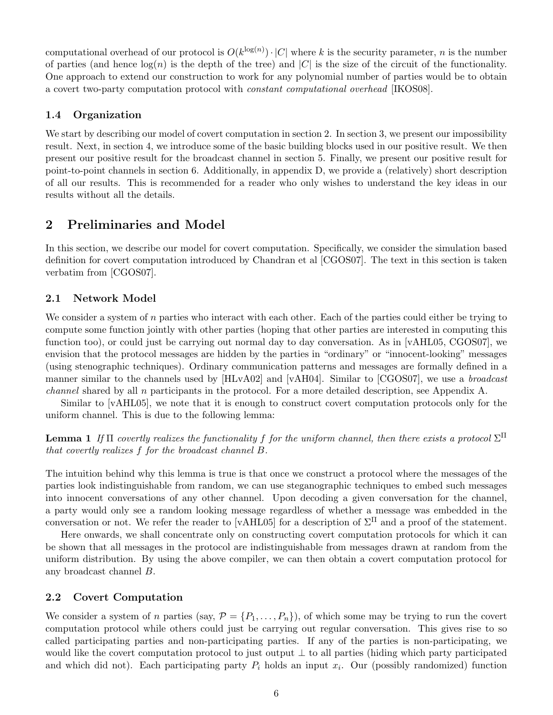computational overhead of our protocol is  $O(k^{\log(n)}) \cdot |C|$  where k is the security parameter, n is the number of parties (and hence  $log(n)$  is the depth of the tree) and |C| is the size of the circuit of the functionality. One approach to extend our construction to work for any polynomial number of parties would be to obtain a covert two-party computation protocol with constant computational overhead [IKOS08].

## 1.4 Organization

We start by describing our model of covert computation in section 2. In section 3, we present our impossibility result. Next, in section 4, we introduce some of the basic building blocks used in our positive result. We then present our positive result for the broadcast channel in section 5. Finally, we present our positive result for point-to-point channels in section 6. Additionally, in appendix D, we provide a (relatively) short description of all our results. This is recommended for a reader who only wishes to understand the key ideas in our results without all the details.

# 2 Preliminaries and Model

In this section, we describe our model for covert computation. Specifically, we consider the simulation based definition for covert computation introduced by Chandran et al [CGOS07]. The text in this section is taken verbatim from [CGOS07].

## 2.1 Network Model

We consider a system of n parties who interact with each other. Each of the parties could either be trying to compute some function jointly with other parties (hoping that other parties are interested in computing this function too), or could just be carrying out normal day to day conversation. As in [vAHL05, CGOS07], we envision that the protocol messages are hidden by the parties in "ordinary" or "innocent-looking" messages (using stenographic techniques). Ordinary communication patterns and messages are formally defined in a manner similar to the channels used by [HLvA02] and [vAH04]. Similar to [CGOS07], we use a broadcast *channel* shared by all n participants in the protocol. For a more detailed description, see Appendix A.

Similar to [vAHL05], we note that it is enough to construct covert computation protocols only for the uniform channel. This is due to the following lemma:

**Lemma 1** If  $\Pi$  covertly realizes the functionality f for the uniform channel, then there exists a protocol  $\Sigma$ <sup> $\Pi$ </sup> that covertly realizes f for the broadcast channel B.

The intuition behind why this lemma is true is that once we construct a protocol where the messages of the parties look indistinguishable from random, we can use steganographic techniques to embed such messages into innocent conversations of any other channel. Upon decoding a given conversation for the channel, a party would only see a random looking message regardless of whether a message was embedded in the conversation or not. We refer the reader to [vAHL05] for a description of  $\Sigma$ <sup>Π</sup> and a proof of the statement.

Here onwards, we shall concentrate only on constructing covert computation protocols for which it can be shown that all messages in the protocol are indistinguishable from messages drawn at random from the uniform distribution. By using the above compiler, we can then obtain a covert computation protocol for any broadcast channel B.

## 2.2 Covert Computation

We consider a system of n parties (say,  $\mathcal{P} = \{P_1, \ldots, P_n\}$ ), of which some may be trying to run the covert computation protocol while others could just be carrying out regular conversation. This gives rise to so called participating parties and non-participating parties. If any of the parties is non-participating, we would like the covert computation protocol to just output ⊥ to all parties (hiding which party participated and which did not). Each participating party  $P_i$  holds an input  $x_i$ . Our (possibly randomized) function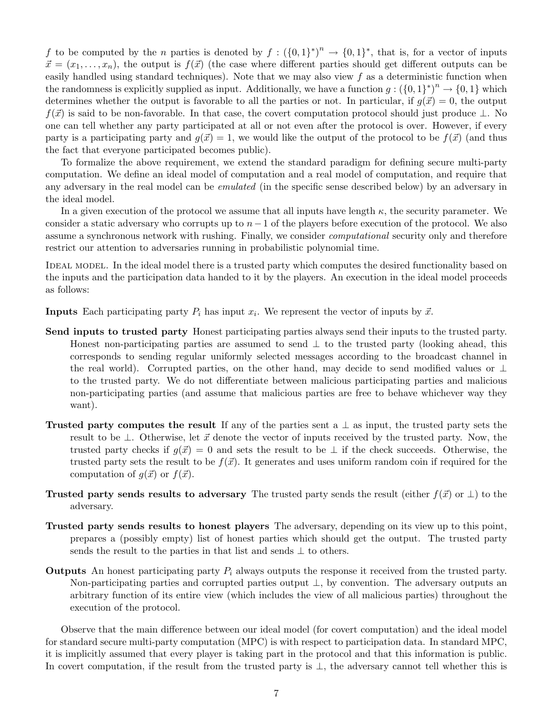f to be computed by the n parties is denoted by  $f: (\{0,1\}^*)^n \to \{0,1\}^*$ , that is, for a vector of inputs  $\vec{x} = (x_1, \ldots, x_n)$ , the output is  $f(\vec{x})$  (the case where different parties should get different outputs can be easily handled using standard techniques). Note that we may also view  $f$  as a deterministic function when the randomness is explicitly supplied as input. Additionally, we have a function  $g: (\{0,1\}^*)^n \to \{0,1\}$  which determines whether the output is favorable to all the parties or not. In particular, if  $g(\vec{x}) = 0$ , the output  $f(\vec{x})$  is said to be non-favorable. In that case, the covert computation protocol should just produce ⊥. No one can tell whether any party participated at all or not even after the protocol is over. However, if every party is a participating party and  $q(\vec{x}) = 1$ , we would like the output of the protocol to be  $f(\vec{x})$  (and thus the fact that everyone participated becomes public).

To formalize the above requirement, we extend the standard paradigm for defining secure multi-party computation. We define an ideal model of computation and a real model of computation, and require that any adversary in the real model can be *emulated* (in the specific sense described below) by an adversary in the ideal model.

In a given execution of the protocol we assume that all inputs have length  $\kappa$ , the security parameter. We consider a static adversary who corrupts up to  $n-1$  of the players before execution of the protocol. We also assume a synchronous network with rushing. Finally, we consider *computational* security only and therefore restrict our attention to adversaries running in probabilistic polynomial time.

IDEAL MODEL. In the ideal model there is a trusted party which computes the desired functionality based on the inputs and the participation data handed to it by the players. An execution in the ideal model proceeds as follows:

**Inputs** Each participating party  $P_i$  has input  $x_i$ . We represent the vector of inputs by  $\vec{x}$ .

- Send inputs to trusted party Honest participating parties always send their inputs to the trusted party. Honest non-participating parties are assumed to send ⊥ to the trusted party (looking ahead, this corresponds to sending regular uniformly selected messages according to the broadcast channel in the real world). Corrupted parties, on the other hand, may decide to send modified values or ⊥ to the trusted party. We do not differentiate between malicious participating parties and malicious non-participating parties (and assume that malicious parties are free to behave whichever way they want).
- Trusted party computes the result If any of the parties sent a  $\perp$  as input, the trusted party sets the result to be ⊥. Otherwise, let  $\vec{x}$  denote the vector of inputs received by the trusted party. Now, the trusted party checks if  $q(\vec{x}) = 0$  and sets the result to be  $\perp$  if the check succeeds. Otherwise, the trusted party sets the result to be  $f(\vec{x})$ . It generates and uses uniform random coin if required for the computation of  $g(\vec{x})$  or  $f(\vec{x})$ .
- Trusted party sends results to adversary The trusted party sends the result (either  $f(\vec{x})$  or  $\perp$ ) to the adversary.
- Trusted party sends results to honest players The adversary, depending on its view up to this point, prepares a (possibly empty) list of honest parties which should get the output. The trusted party sends the result to the parties in that list and sends  $\perp$  to others.
- **Outputs** An honest participating party  $P_i$  always outputs the response it received from the trusted party. Non-participating parties and corrupted parties output ⊥, by convention. The adversary outputs an arbitrary function of its entire view (which includes the view of all malicious parties) throughout the execution of the protocol.

Observe that the main difference between our ideal model (for covert computation) and the ideal model for standard secure multi-party computation (MPC) is with respect to participation data. In standard MPC, it is implicitly assumed that every player is taking part in the protocol and that this information is public. In covert computation, if the result from the trusted party is ⊥, the adversary cannot tell whether this is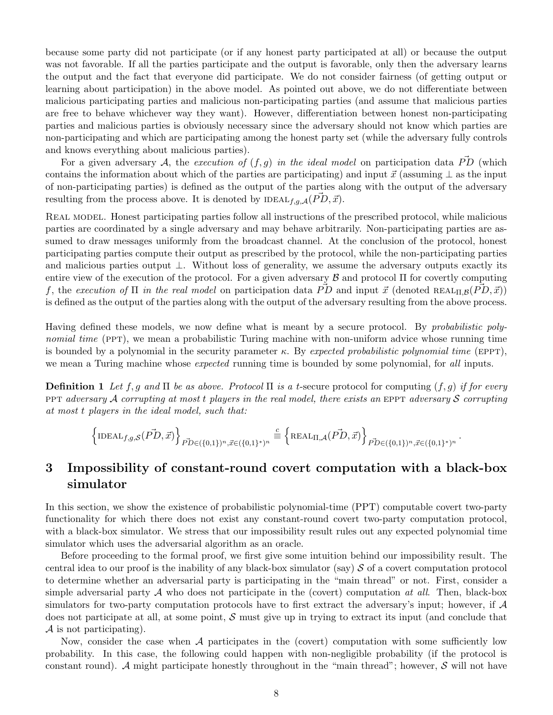because some party did not participate (or if any honest party participated at all) or because the output was not favorable. If all the parties participate and the output is favorable, only then the adversary learns the output and the fact that everyone did participate. We do not consider fairness (of getting output or learning about participation) in the above model. As pointed out above, we do not differentiate between malicious participating parties and malicious non-participating parties (and assume that malicious parties are free to behave whichever way they want). However, differentiation between honest non-participating parties and malicious parties is obviously necessary since the adversary should not know which parties are non-participating and which are participating among the honest party set (while the adversary fully controls and knows everything about malicious parties).

For a given adversary A, the execution of  $(f, g)$  in the ideal model on participation data  $\vec{PD}$  (which contains the information about which of the parties are participating) and input  $\vec{x}$  (assuming  $\perp$  as the input of non-participating parties) is defined as the output of the parties along with the output of the adversary resulting from the process above. It is denoted by IDEAL $_{f,a,A}(P\overline{D}, \overline{x})$ .

Real model. Honest participating parties follow all instructions of the prescribed protocol, while malicious parties are coordinated by a single adversary and may behave arbitrarily. Non-participating parties are assumed to draw messages uniformly from the broadcast channel. At the conclusion of the protocol, honest participating parties compute their output as prescribed by the protocol, while the non-participating parties and malicious parties output  $\perp$ . Without loss of generality, we assume the adversary outputs exactly its entire view of the execution of the protocol. For a given adversary  $\beta$  and protocol  $\Pi$  for covertly computing f, the execution of  $\Pi$  in the real model on participation data  $\vec{PD}$  and input  $\vec{x}$  (denoted  $REAL_{\Pi,\mathcal{B}}(\vec{PD}, \vec{x})$ ) is defined as the output of the parties along with the output of the adversary resulting from the above process.

Having defined these models, we now define what is meant by a secure protocol. By *probabilistic poly*nomial time (PPT), we mean a probabilistic Turing machine with non-uniform advice whose running time is bounded by a polynomial in the security parameter  $\kappa$ . By expected probabilistic polynomial time (EPPT), we mean a Turing machine whose *expected* running time is bounded by some polynomial, for all inputs.

**Definition 1** Let f, g and  $\Pi$  be as above. Protocol  $\Pi$  is a t-secure protocol for computing  $(f, g)$  if for every ppt adversary  $A$  corrupting at most t players in the real model, there exists an EPPT adversary  $S$  corrupting at most t players in the ideal model, such that:

$$
\left\{ {\rm IDEAL}_{f,g,\mathcal{S}}(\vec{PD},\vec{x}) \right\}_{\vec{PD} \in (\{0,1\})^n, \vec{x} \in (\{0,1\}^*)^n} \stackrel{c}{\equiv} \left\{ {\rm REAL}_{\Pi,\mathcal{A}}(\vec{PD},\vec{x}) \right\}_{\vec{PD} \in (\{0,1\})^n, \vec{x} \in (\{0,1\}^*)^n}.
$$

# 3 Impossibility of constant-round covert computation with a black-box simulator

In this section, we show the existence of probabilistic polynomial-time (PPT) computable covert two-party functionality for which there does not exist any constant-round covert two-party computation protocol, with a black-box simulator. We stress that our impossibility result rules out any expected polynomial time simulator which uses the adversarial algorithm as an oracle.

Before proceeding to the formal proof, we first give some intuition behind our impossibility result. The central idea to our proof is the inability of any black-box simulator (say)  $S$  of a covert computation protocol to determine whether an adversarial party is participating in the "main thread" or not. First, consider a simple adversarial party  $A$  who does not participate in the (covert) computation at all. Then, black-box simulators for two-party computation protocols have to first extract the adversary's input; however, if  $\mathcal A$ does not participate at all, at some point,  $\mathcal S$  must give up in trying to extract its input (and conclude that  $\mathcal A$  is not participating).

Now, consider the case when  $A$  participates in the (covert) computation with some sufficiently low probability. In this case, the following could happen with non-negligible probability (if the protocol is constant round). A might participate honestly throughout in the "main thread"; however,  $S$  will not have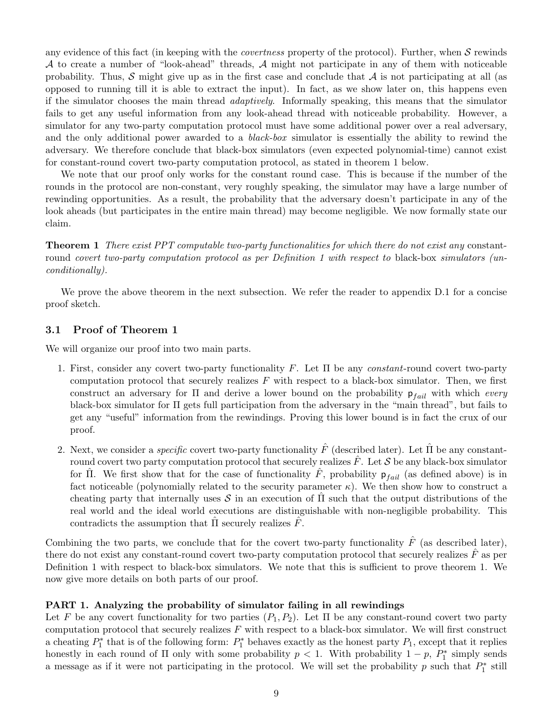any evidence of this fact (in keeping with the *covertness* property of the protocol). Further, when  $S$  rewinds  $A$  to create a number of "look-ahead" threads,  $A$  might not participate in any of them with noticeable probability. Thus,  $\mathcal S$  might give up as in the first case and conclude that  $\mathcal A$  is not participating at all (as opposed to running till it is able to extract the input). In fact, as we show later on, this happens even if the simulator chooses the main thread adaptively. Informally speaking, this means that the simulator fails to get any useful information from any look-ahead thread with noticeable probability. However, a simulator for any two-party computation protocol must have some additional power over a real adversary, and the only additional power awarded to a *black-box* simulator is essentially the ability to rewind the adversary. We therefore conclude that black-box simulators (even expected polynomial-time) cannot exist for constant-round covert two-party computation protocol, as stated in theorem 1 below.

We note that our proof only works for the constant round case. This is because if the number of the rounds in the protocol are non-constant, very roughly speaking, the simulator may have a large number of rewinding opportunities. As a result, the probability that the adversary doesn't participate in any of the look aheads (but participates in the entire main thread) may become negligible. We now formally state our claim.

Theorem 1 There exist PPT computable two-party functionalities for which there do not exist any constantround covert two-party computation protocol as per Definition 1 with respect to black-box simulators (unconditionally).

We prove the above theorem in the next subsection. We refer the reader to appendix D.1 for a concise proof sketch.

## 3.1 Proof of Theorem 1

We will organize our proof into two main parts.

- 1. First, consider any covert two-party functionality F. Let  $\Pi$  be any *constant*-round covert two-party computation protocol that securely realizes  $F$  with respect to a black-box simulator. Then, we first construct an adversary for  $\Pi$  and derive a lower bound on the probability  $p_{fail}$  with which every black-box simulator for Π gets full participation from the adversary in the "main thread", but fails to get any "useful" information from the rewindings. Proving this lower bound is in fact the crux of our proof.
- 2. Next, we consider a *specific* covert two-party functionality  $\hat{F}$  (described later). Let  $\Pi$  be any constantround covert two party computation protocol that securely realizes  $\hat{F}$ . Let S be any black-box simulator for  $\Pi$ . We first show that for the case of functionality  $\ddot{F}$ , probability  $p_{fail}$  (as defined above) is in fact noticeable (polynomially related to the security parameter  $\kappa$ ). We then show how to construct a cheating party that internally uses S in an execution of  $\overline{\Pi}$  such that the output distributions of the real world and the ideal world executions are distinguishable with non-negligible probability. This contradicts the assumption that  $\Pi$  securely realizes  $\ddot{F}$ .

Combining the two parts, we conclude that for the covert two-party functionality  $\hat{F}$  (as described later), there do not exist any constant-round covert two-party computation protocol that securely realizes  $\hat{F}$  as per Definition 1 with respect to black-box simulators. We note that this is sufficient to prove theorem 1. We now give more details on both parts of our proof.

## PART 1. Analyzing the probability of simulator failing in all rewindings

Let F be any covert functionality for two parties  $(P_1, P_2)$ . Let  $\Pi$  be any constant-round covert two party computation protocol that securely realizes  $F$  with respect to a black-box simulator. We will first construct a cheating  $P_1^*$  that is of the following form:  $P_1^*$  behaves exactly as the honest party  $P_1$ , except that it replies honestly in each round of  $\Pi$  only with some probability  $p < 1$ . With probability  $1 - p$ ,  $P_1^*$  simply sends a message as if it were not participating in the protocol. We will set the probability p such that  $P_1^*$  still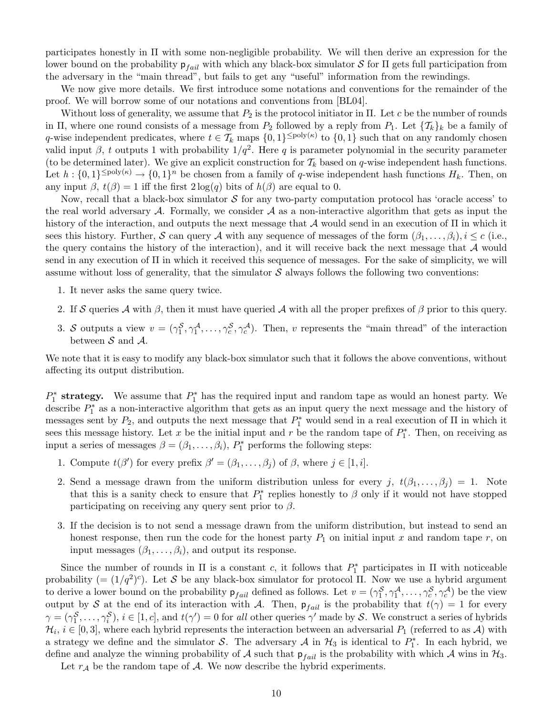participates honestly in  $\Pi$  with some non-negligible probability. We will then derive an expression for the lower bound on the probability  $p_{fail}$  with which any black-box simulator S for  $\Pi$  gets full participation from the adversary in the "main thread", but fails to get any "useful" information from the rewindings.

We now give more details. We first introduce some notations and conventions for the remainder of the proof. We will borrow some of our notations and conventions from [BL04].

Without loss of generality, we assume that  $P_2$  is the protocol initiator in  $\Pi$ . Let c be the number of rounds in Π, where one round consists of a message from  $P_2$  followed by a reply from  $P_1$ . Let  $\{\mathcal{T}_k\}_k$  be a family of q-wise independent predicates, where  $t \in \mathcal{T}_k$  maps  $\{0,1\}^{\leq \text{poly}(\kappa)}$  to  $\{0,1\}$  such that on any randomly chosen valid input  $\beta$ , t outputs 1 with probability  $1/q^2$ . Here q is parameter polynomial in the security parameter (to be determined later). We give an explicit construction for  $\mathcal{T}_k$  based on q-wise independent hash functions. Let  $h: \{0,1\}^{\leq \text{poly}(\kappa)} \to \{0,1\}^n$  be chosen from a family of q-wise independent hash functions  $H_k$ . Then, on any input  $\beta$ ,  $t(\beta) = 1$  iff the first  $2 \log(q)$  bits of  $h(\beta)$  are equal to 0.

Now, recall that a black-box simulator  $\mathcal S$  for any two-party computation protocol has 'oracle access' to the real world adversary  $\mathcal A$ . Formally, we consider  $\mathcal A$  as a non-interactive algorithm that gets as input the history of the interaction, and outputs the next message that  $\mathcal A$  would send in an execution of  $\Pi$  in which it sees this history. Further, S can query A with any sequence of messages of the form  $(\beta_1, \ldots, \beta_i), i \leq c$  (i.e., the query contains the history of the interaction), and it will receive back the next message that  $A$  would send in any execution of Π in which it received this sequence of messages. For the sake of simplicity, we will assume without loss of generality, that the simulator  $\mathcal S$  always follows the following two conventions:

- 1. It never asks the same query twice.
- 2. If S queries A with β, then it must have queried A with all the proper prefixes of β prior to this query.
- 3. S outputs a view  $v = (\gamma_1^S, \gamma_1^A, \dots, \gamma_c^S, \gamma_c^A)$ . Then, v represents the "main thread" of the interaction between  $S$  and  $A$ .

We note that it is easy to modify any black-box simulator such that it follows the above conventions, without affecting its output distribution.

 $P_1^*$  strategy. We assume that  $P_1^*$  has the required input and random tape as would an honest party. We describe  $P_1^*$  as a non-interactive algorithm that gets as an input query the next message and the history of messages sent by  $P_2$ , and outputs the next message that  $P_1^*$  would send in a real execution of  $\Pi$  in which it sees this message history. Let x be the initial input and r be the random tape of  $P_1^*$ . Then, on receiving as input a series of messages  $\beta = (\beta_1, \dots, \beta_i)$ ,  $P_1^*$  performs the following steps:

- 1. Compute  $t(\beta')$  for every prefix  $\beta' = (\beta_1, \ldots, \beta_j)$  of  $\beta$ , where  $j \in [1, i]$ .
- 2. Send a message drawn from the uniform distribution unless for every j,  $t(\beta_1,\ldots,\beta_j) = 1$ . Note that this is a sanity check to ensure that  $P_1^*$  replies honestly to  $\beta$  only if it would not have stopped participating on receiving any query sent prior to  $\beta$ .
- 3. If the decision is to not send a message drawn from the uniform distribution, but instead to send an honest response, then run the code for the honest party  $P_1$  on initial input x and random tape r, on input messages  $(\beta_1, \ldots, \beta_i)$ , and output its response.

Since the number of rounds in  $\Pi$  is a constant c, it follows that  $P_1^*$  participates in  $\Pi$  with noticeable probability (=  $(1/q^2)^c$ ). Let S be any black-box simulator for protocol Π. Now we use a hybrid argument to derive a lower bound on the probability  $p_{fail}$  defined as follows. Let  $v = (\gamma_1^S, \gamma_1^A, \dots, \gamma_c^S, \gamma_c^A)$  be the view output by S at the end of its interaction with A. Then,  $p_{fail}$  is the probability that  $t(\gamma) = 1$  for every  $\gamma = (\gamma_1^{\mathcal{S}}, \ldots, \gamma_i^{\mathcal{S}}), i \in [1, c],$  and  $t(\gamma') = 0$  for all other queries  $\gamma'$  made by S. We construct a series of hybrids  $\mathcal{H}_i, i \in [0,3]$ , where each hybrid represents the interaction between an adversarial  $P_1$  (referred to as A) with a strategy we define and the simulator S. The adversary  $\mathcal A$  in  $\mathcal H_3$  is identical to  $P_1^*$ . In each hybrid, we define and analyze the winning probability of A such that  $p_{fail}$  is the probability with which A wins in  $H_3$ .

Let  $r_A$  be the random tape of A. We now describe the hybrid experiments.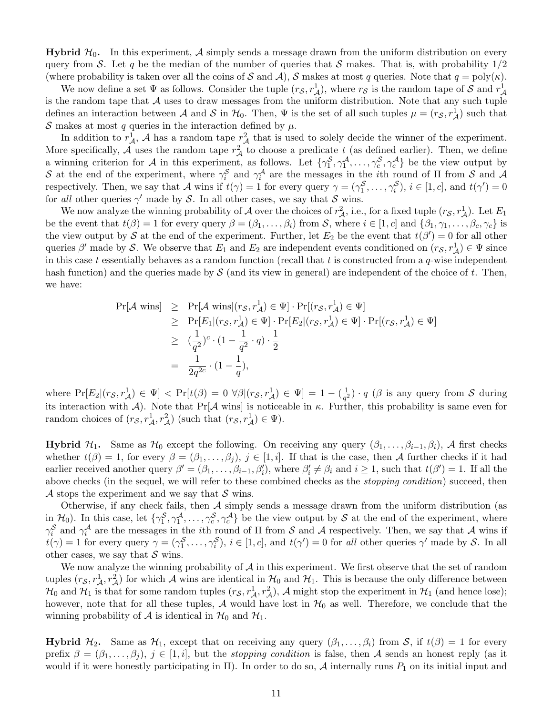**Hybrid**  $\mathcal{H}_0$ . In this experiment,  $\mathcal{A}$  simply sends a message drawn from the uniform distribution on every query from S. Let q be the median of the number of queries that S makes. That is, with probability  $1/2$ (where probability is taken over all the coins of S and A), S makes at most q queries. Note that  $q = \text{poly}(\kappa)$ .

We now define a set  $\Psi$  as follows. Consider the tuple  $(r_S, r_A^1)$ , where  $r_S$  is the random tape of S and  $r_A^1$ is the random tape that  $A$  uses to draw messages from the uniform distribution. Note that any such tuple defines an interaction between A and S in  $H_0$ . Then,  $\Psi$  is the set of all such tuples  $\mu = (r_S, r_A^1)$  such that S makes at most q queries in the interaction defined by  $\mu$ .

In addition to  $r^1_A$ , A has a random tape  $r^2_A$  that is used to solely decide the winner of the experiment. More specifically,  $\tilde{\mathcal{A}}$  uses the random tape  $r_{\tilde{\mathcal{A}}}^2$  to choose a predicate t (as defined earlier). Then, we define a winning criterion for A in this experiment, as follows. Let  $\{\gamma_1^{\mathcal{S}}, \gamma_1^{\mathcal{A}}, \ldots, \gamma_c^{\mathcal{S}}, \gamma_c^{\mathcal{A}}\}$  be the view output by S at the end of the experiment, where  $\gamma_i^{\mathcal{S}}$  and  $\gamma_i^{\mathcal{A}}$  are the messages in the *i*th round of  $\Pi$  from S and A respectively. Then, we say that A wins if  $t(\gamma) = 1$  for every query  $\gamma = (\gamma_1^S, \dots, \gamma_i^S), i \in [1, c],$  and  $t(\gamma') = 0$ for all other queries  $\gamma'$  made by S. In all other cases, we say that S wins.

We now analyze the winning probability of A over the choices of  $r_A^2$ , i.e., for a fixed tuple  $(r_S, r_A^1)$ . Let  $E_1$ be the event that  $t(\beta) = 1$  for every query  $\beta = (\beta_1, \ldots, \beta_i)$  from S, where  $i \in [1, c]$  and  $\{\beta_1, \gamma_1, \ldots, \beta_c, \gamma_c\}$  is the view output by S at the end of the experiment. Further, let  $E_2$  be the event that  $t(\beta') = 0$  for all other queries  $\beta'$  made by S. We observe that  $E_1$  and  $E_2$  are independent events conditioned on  $(r_S, r_A^1) \in \Psi$  since in this case t essentially behaves as a random function (recall that t is constructed from a  $q$ -wise independent hash function) and the queries made by  $S$  (and its view in general) are independent of the choice of t. Then, we have:

$$
\Pr[\mathcal{A} \text{ wins}] \geq \Pr[\mathcal{A} \text{ wins} | (r_{\mathcal{S}}, r_{\mathcal{A}}^1) \in \Psi] \cdot \Pr[(r_{\mathcal{S}}, r_{\mathcal{A}}^1) \in \Psi]
$$
  
\n
$$
\geq \Pr[E_1 | (r_{\mathcal{S}}, r_{\mathcal{A}}^1) \in \Psi] \cdot \Pr[E_2 | (r_{\mathcal{S}}, r_{\mathcal{A}}^1) \in \Psi] \cdot \Pr[(r_{\mathcal{S}}, r_{\mathcal{A}}^1) \in \Psi]
$$
  
\n
$$
\geq (\frac{1}{q^2})^c \cdot (1 - \frac{1}{q^2} \cdot q) \cdot \frac{1}{2}
$$
  
\n
$$
= \frac{1}{2q^{2c}} \cdot (1 - \frac{1}{q}),
$$

where  $Pr[E_2|(r_{\mathcal{S}}, r_{\mathcal{A}}^1) \in \Psi] < Pr[t(\beta) = 0 \ \forall \beta | (r_{\mathcal{S}}, r_{\mathcal{A}}^1) \in \Psi] = 1 - (\frac{1}{q^2})$  $\frac{1}{q^2}$ ) · q ( $\beta$  is any query from S during its interaction with A). Note that  $Pr[A \text{ wins}]$  is noticeable in  $\kappa$ . Further, this probability is same even for random choices of  $(r_S, r_A^1, r_A^2)$  (such that  $(r_S, r_A^1) \in \Psi$ ).

**Hybrid**  $\mathcal{H}_1$ . Same as  $\mathcal{H}_0$  except the following. On receiving any query  $(\beta_1, \ldots, \beta_{i-1}, \beta_i)$ , A first checks whether  $t(\beta) = 1$ , for every  $\beta = (\beta_1, \ldots, \beta_i)$ ,  $j \in [1, i]$ . If that is the case, then A further checks if it had earlier received another query  $\beta' = (\beta_1, \ldots, \beta_{i-1}, \beta'_i)$ , where  $\beta'_i \neq \beta_i$  and  $i \geq 1$ , such that  $t(\beta') = 1$ . If all the above checks (in the sequel, we will refer to these combined checks as the *stopping condition*) succeed, then A stops the experiment and we say that  $\mathcal S$  wins.

Otherwise, if any check fails, then  $A$  simply sends a message drawn from the uniform distribution (as in  $\mathcal{H}_0$ ). In this case, let  $\{\gamma_1^{\mathcal{S}}, \gamma_1^{\mathcal{A}}, \ldots, \gamma_c^{\mathcal{S}}, \gamma_c^{\mathcal{A}}\}$  be the view output by S at the end of the experiment, where  $\gamma_i^{\mathcal{S}}$  and  $\gamma_i^{\mathcal{A}}$  are the messages in the *i*th round of  $\Pi$  from  $\mathcal{S}$  and  $\mathcal{A}$  respectively. Then, we say that  $\mathcal{A}$  wins if  $t(\gamma) = 1$  for every query  $\gamma = (\gamma_1^S, \ldots, \gamma_i^S), i \in [1, c],$  and  $t(\gamma') = 0$  for all other queries  $\gamma'$  made by S. In all other cases, we say that  $\mathcal S$  wins.

We now analyze the winning probability of  $A$  in this experiment. We first observe that the set of random tuples  $(r_S, r_A^1, r_A^2)$  for which A wins are identical in  $\mathcal{H}_0$  and  $\mathcal{H}_1$ . This is because the only difference between  $\mathcal{H}_0$  and  $\mathcal{H}_1$  is that for some random tuples  $(r_S, r_A^1, r_A^2)$ , A might stop the experiment in  $\mathcal{H}_1$  (and hence lose); however, note that for all these tuples, A would have lost in  $H_0$  as well. Therefore, we conclude that the winning probability of A is identical in  $\mathcal{H}_0$  and  $\mathcal{H}_1$ .

**Hybrid**  $\mathcal{H}_2$ . Same as  $\mathcal{H}_1$ , except that on receiving any query  $(\beta_1, \ldots, \beta_i)$  from S, if  $t(\beta) = 1$  for every prefix  $\beta = (\beta_1, \ldots, \beta_j), j \in [1, i]$ , but the stopping condition is false, then A sends an honest reply (as it would if it were honestly participating in  $\Pi$ ). In order to do so, A internally runs  $P_1$  on its initial input and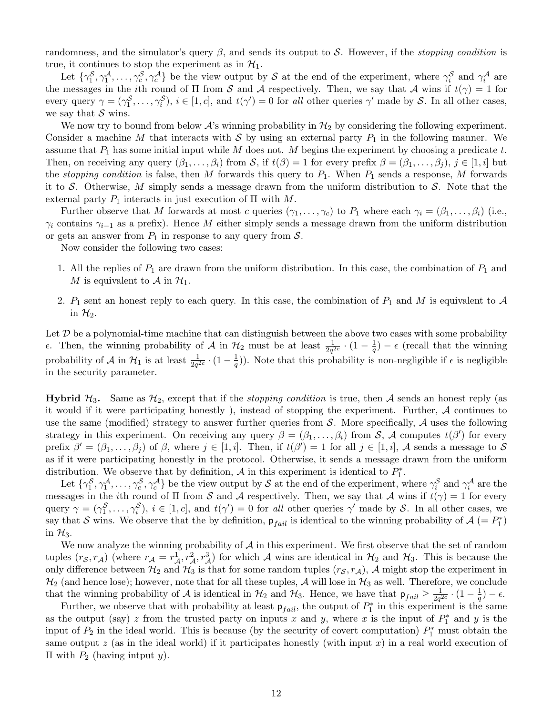randomness, and the simulator's query  $\beta$ , and sends its output to S. However, if the *stopping condition* is true, it continues to stop the experiment as in  $\mathcal{H}_1$ .

Let  $\{\gamma_1^{\mathcal{S}}, \gamma_1^{\mathcal{A}}, \ldots, \gamma_c^{\mathcal{S}}, \gamma_c^{\mathcal{A}}\}$  be the view output by  $\mathcal{S}$  at the end of the experiment, where  $\gamma_i^{\mathcal{S}}$  and  $\gamma_i^{\mathcal{A}}$  are the messages in the *i*th round of  $\Pi$  from S and A respectively. Then, we say that A wins if  $t(\gamma) = 1$  for every query  $\gamma = (\gamma_1^S, \ldots, \gamma_i^S), i \in [1, c],$  and  $t(\gamma') = 0$  for all other queries  $\gamma'$  made by S. In all other cases, we say that  $S$  wins.

We now try to bound from below  $\mathcal{A}$ 's winning probability in  $\mathcal{H}_2$  by considering the following experiment. Consider a machine M that interacts with S by using an external party  $P_1$  in the following manner. We assume that  $P_1$  has some initial input while M does not. M begins the experiment by choosing a predicate t. Then, on receiving any query  $(\beta_1, \ldots, \beta_i)$  from S, if  $t(\beta) = 1$  for every prefix  $\beta = (\beta_1, \ldots, \beta_i)$ ,  $j \in [1, i]$  but the *stopping condition* is false, then M forwards this query to  $P_1$ . When  $P_1$  sends a response, M forwards it to S. Otherwise, M simply sends a message drawn from the uniform distribution to S. Note that the external party  $P_1$  interacts in just execution of  $\Pi$  with M.

Further observe that M forwards at most c queries  $(\gamma_1, \ldots, \gamma_c)$  to  $P_1$  where each  $\gamma_i = (\beta_1, \ldots, \beta_i)$  (i.e.,  $\gamma_i$  contains  $\gamma_{i-1}$  as a prefix). Hence M either simply sends a message drawn from the uniform distribution or gets an answer from  $P_1$  in response to any query from  $S$ .

Now consider the following two cases:

- 1. All the replies of  $P_1$  are drawn from the uniform distribution. In this case, the combination of  $P_1$  and M is equivalent to  $\mathcal A$  in  $\mathcal H_1$ .
- 2.  $P_1$  sent an honest reply to each query. In this case, the combination of  $P_1$  and M is equivalent to  $\mathcal A$ in  $\mathcal{H}_2$ .

Let  $\mathcal D$  be a polynomial-time machine that can distinguish between the above two cases with some probability *ε*. Then, the winning probability of A in  $\mathcal{H}_2$  must be at least  $\frac{1}{2q^{2c}} \cdot (1 - \frac{1}{q})$  $(\frac{1}{q}) - \epsilon$  (recall that the winning probability of  $\mathcal A$  in  $\mathcal H_1$  is at least  $\frac{1}{2q^{2c}} \cdot (1 - \frac{1}{q})$  $(\frac{1}{q})$ ). Note that this probability is non-negligible if  $\epsilon$  is negligible in the security parameter.

**Hybrid**  $H_3$ . Same as  $H_2$ , except that if the *stopping condition* is true, then A sends an honest reply (as it would if it were participating honestly ), instead of stopping the experiment. Further, A continues to use the same (modified) strategy to answer further queries from  $\mathcal S$ . More specifically,  $\mathcal A$  uses the following strategy in this experiment. On receiving any query  $\beta = (\beta_1, \ldots, \beta_i)$  from S, A computes  $t(\beta')$  for every prefix  $\beta' = (\beta_1, \ldots, \beta_j)$  of  $\beta$ , where  $j \in [1, i]$ . Then, if  $t(\beta') = 1$  for all  $j \in [1, i]$ , A sends a message to S as if it were participating honestly in the protocol. Otherwise, it sends a message drawn from the uniform distribution. We observe that by definition,  $A$  in this experiment is identical to  $P_1^*$ .

Let  $\{\gamma_1^{\mathcal{S}}, \gamma_1^{\mathcal{A}}, \ldots, \gamma_c^{\mathcal{S}}, \gamma_c^{\mathcal{A}}\}$  be the view output by  $\mathcal{S}$  at the end of the experiment, where  $\gamma_i^{\mathcal{S}}$  and  $\gamma_i^{\mathcal{A}}$  are the messages in the *i*th round of  $\Pi$  from S and A respectively. Then, we say that A wins if  $t(\gamma) = 1$  for every query  $\gamma = (\gamma_1^S, \ldots, \gamma_i^S), i \in [1, c],$  and  $t(\gamma') = 0$  for all other queries  $\gamma'$  made by S. In all other cases, we say that S wins. We observe that the by definition,  $p_{fail}$  is identical to the winning probability of  $\mathcal{A} (= P_1^*)$ in  $\mathcal{H}_3$ .

We now analyze the winning probability of  $A$  in this experiment. We first observe that the set of random tuples  $(r_S, r_A)$  (where  $r_A = r_A^1, r_A^2, r_A^3$ ) for which A wins are identical in  $\mathcal{H}_2$  and  $\mathcal{H}_3$ . This is because the only difference between  $\mathcal{H}_2$  and  $\mathcal{H}_3$  is that for some random tuples  $(r_S, r_A)$ , A might stop the experiment in  $\mathcal{H}_2$  (and hence lose); however, note that for all these tuples, A will lose in  $\mathcal{H}_3$  as well. Therefore, we conclude that the winning probability of A is identical in  $H_2$  and  $H_3$ . Hence, we have that  $p_{fail} \geq \frac{1}{2q^2}$  $\frac{1}{2q^{2c}}\cdot (1-\frac{1}{q})$  $\frac{1}{q})-\epsilon.$ 

Further, we observe that with probability at least  $p_{fail}$ , the output of  $P_1^*$  in this experiment is the same as the output (say) z from the trusted party on inputs x and y, where x is the input of  $P_1^*$  and y is the input of  $P_2$  in the ideal world. This is because (by the security of covert computation)  $P_1^*$  must obtain the same output  $z$  (as in the ideal world) if it participates honestly (with input  $x$ ) in a real world execution of  $\Pi$  with  $P_2$  (having intput *y*).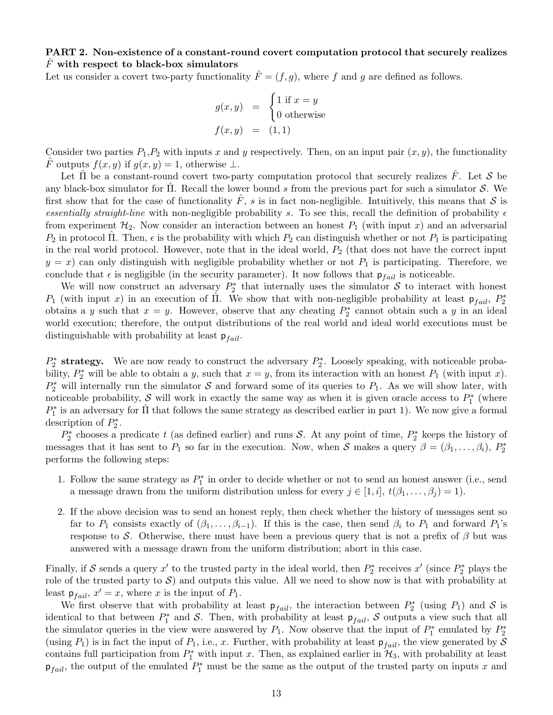## PART 2. Non-existence of a constant-round covert computation protocol that securely realizes  $\overline{F}$  with respect to black-box simulators

Let us consider a covert two-party functionality  $\hat{F} = (f, g)$ , where f and g are defined as follows.

$$
g(x, y) = \begin{cases} 1 \text{ if } x = y \\ 0 \text{ otherwise} \end{cases}
$$

$$
f(x, y) = (1, 1)
$$

Consider two parties  $P_1, P_2$  with inputs x and y respectively. Then, on an input pair  $(x, y)$ , the functionality F outputs  $f(x, y)$  if  $g(x, y) = 1$ , otherwise  $\perp$ .

Let  $\Pi$  be a constant-round covert two-party computation protocol that securely realizes  $\tilde{F}$ . Let  $S$  be any black-box simulator for  $\Pi$ . Recall the lower bound s from the previous part for such a simulator S. We first show that for the case of functionality F, s is in fact non-negligible. Intuitively, this means that S is essentially straight-line with non-negligible probability s. To see this, recall the definition of probability  $\epsilon$ from experiment  $\mathcal{H}_2$ . Now consider an interaction between an honest  $P_1$  (with input x) and an adversarial P<sub>2</sub> in protocol  $\Pi$ . Then,  $\epsilon$  is the probability with which P<sub>2</sub> can distinguish whether or not P<sub>1</sub> is participating in the real world protocol. However, note that in the ideal world,  $P_2$  (that does not have the correct input  $y = x$ ) can only distinguish with negligible probability whether or not  $P_1$  is participating. Therefore, we conclude that  $\epsilon$  is negligible (in the security parameter). It now follows that  $p_{fail}$  is noticeable.

We will now construct an adversary  $P_2^*$  that internally uses the simulator S to interact with honest P<sub>1</sub> (with input x) in an execution of  $\hat{\Pi}$ . We show that with non-negligible probability at least  $p_{fail}$ ,  $P_2^*$ obtains a y such that  $x = y$ . However, observe that any cheating  $P_2^*$  cannot obtain such a y in an ideal world execution; therefore, the output distributions of the real world and ideal world executions must be distinguishable with probability at least  $p_{fail}$ .

 $P_2^*$  strategy. We are now ready to construct the adversary  $P_2^*$ . Loosely speaking, with noticeable probability,  $P_2^*$  will be able to obtain a y, such that  $x = y$ , from its interaction with an honest  $P_1$  (with input x).  $P_2^*$  will internally run the simulator S and forward some of its queries to  $P_1$ . As we will show later, with noticeable probability,  $\mathcal{S}$  will work in exactly the same way as when it is given oracle access to  $P_1^*$  (where  $P_1^*$  is an adversary for  $\hat{\Pi}$  that follows the same strategy as described earlier in part 1). We now give a formal description of  $P_2^*$ .

 $P_2^*$  chooses a predicate t (as defined earlier) and runs S. At any point of time,  $P_2^*$  keeps the history of messages that it has sent to  $P_1$  so far in the execution. Now, when S makes a query  $\beta = (\beta_1, \ldots, \beta_i), P_2^*$ performs the following steps:

- 1. Follow the same strategy as  $P_1^*$  in order to decide whether or not to send an honest answer (i.e., send a message drawn from the uniform distribution unless for every  $j \in [1, i], t(\beta_1, \ldots, \beta_i) = 1$ .
- 2. If the above decision was to send an honest reply, then check whether the history of messages sent so far to  $P_1$  consists exactly of  $(\beta_1, \ldots, \beta_{i-1})$ . If this is the case, then send  $\beta_i$  to  $P_1$  and forward  $P_1$ 's response to S. Otherwise, there must have been a previous query that is not a prefix of  $\beta$  but was answered with a message drawn from the uniform distribution; abort in this case.

Finally, if S sends a query  $x'$  to the trusted party in the ideal world, then  $P_2^*$  receives  $x'$  (since  $P_2^*$  plays the role of the trusted party to  $S$ ) and outputs this value. All we need to show now is that with probability at least  $p_{fail}$ ,  $x' = x$ , where x is the input of  $P_1$ .

We first observe that with probability at least  $p_{fail}$ , the interaction between  $P_2^*$  (using  $P_1$ ) and S is identical to that between  $P_1^*$  and S. Then, with probability at least  $p_{fail}$ , S outputs a view such that all the simulator queries in the view were answered by  $P_1$ . Now observe that the input of  $P_1^*$  emulated by  $P_2^*$ (using  $P_1$ ) is in fact the input of  $P_1$ , i.e., x. Further, with probability at least  $p_{fail}$ , the view generated by S contains full participation from  $P_1^*$  with input x. Then, as explained earlier in  $\mathcal{H}_3$ , with probability at least  $p_{fail}$ , the output of the emulated  $P_1^*$  must be the same as the output of the trusted party on inputs x and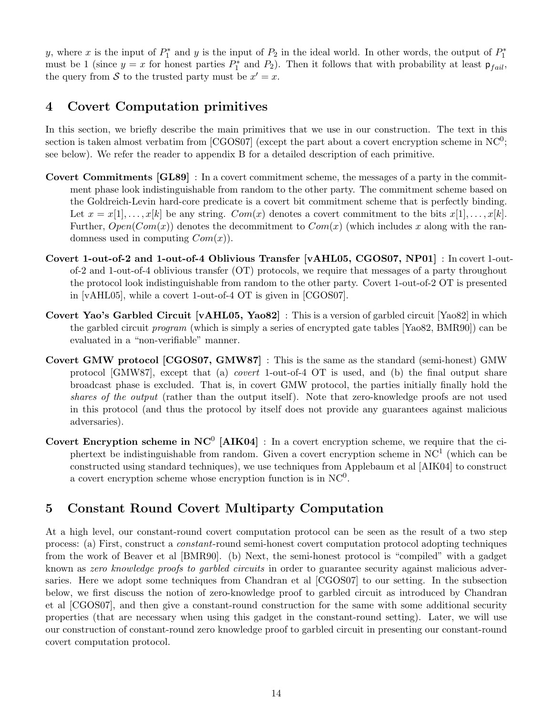y, where x is the input of  $P_1^*$  and y is the input of  $P_2$  in the ideal world. In other words, the output of  $P_1^*$ must be 1 (since  $y = x$  for honest parties  $P_1^*$  and  $P_2$ ). Then it follows that with probability at least  $p_{fail}$ , the query from S to the trusted party must be  $x' = x$ .

# 4 Covert Computation primitives

In this section, we briefly describe the main primitives that we use in our construction. The text in this section is taken almost verbatim from [CGOS07] (except the part about a covert encryption scheme in  $NC^0$ ; see below). We refer the reader to appendix B for a detailed description of each primitive.

- Covert Commitments [GL89] : In a covert commitment scheme, the messages of a party in the commitment phase look indistinguishable from random to the other party. The commitment scheme based on the Goldreich-Levin hard-core predicate is a covert bit commitment scheme that is perfectly binding. Let  $x = x[1], \ldots, x[k]$  be any string.  $Com(x)$  denotes a covert commitment to the bits  $x[1], \ldots, x[k]$ . Further,  $Open(Com(x))$  denotes the decommitment to  $Com(x)$  (which includes x along with the randomness used in computing  $Com(x)$ .
- Covert 1-out-of-2 and 1-out-of-4 Oblivious Transfer [vAHL05, CGOS07, NP01] : In covert 1-outof-2 and 1-out-of-4 oblivious transfer (OT) protocols, we require that messages of a party throughout the protocol look indistinguishable from random to the other party. Covert 1-out-of-2 OT is presented in [vAHL05], while a covert 1-out-of-4 OT is given in [CGOS07].
- Covert Yao's Garbled Circuit [vAHL05, Yao82] : This is a version of garbled circuit [Yao82] in which the garbled circuit program (which is simply a series of encrypted gate tables [Yao82, BMR90]) can be evaluated in a "non-verifiable" manner.
- Covert GMW protocol [CGOS07, GMW87] : This is the same as the standard (semi-honest) GMW protocol [GMW87], except that (a) covert 1-out-of-4 OT is used, and (b) the final output share broadcast phase is excluded. That is, in covert GMW protocol, the parties initially finally hold the shares of the output (rather than the output itself). Note that zero-knowledge proofs are not used in this protocol (and thus the protocol by itself does not provide any guarantees against malicious adversaries).
- Covert Encryption scheme in  $NC^0$  [AIK04] : In a covert encryption scheme, we require that the ciphertext be indistinguishable from random. Given a covert encryption scheme in  $NC<sup>1</sup>$  (which can be constructed using standard techniques), we use techniques from Applebaum et al [AIK04] to construct a covert encryption scheme whose encryption function is in  $NC<sup>0</sup>$ .

# 5 Constant Round Covert Multiparty Computation

At a high level, our constant-round covert computation protocol can be seen as the result of a two step process: (a) First, construct a constant-round semi-honest covert computation protocol adopting techniques from the work of Beaver et al [BMR90]. (b) Next, the semi-honest protocol is "compiled" with a gadget known as zero knowledge proofs to garbled circuits in order to guarantee security against malicious adversaries. Here we adopt some techniques from Chandran et al [CGOS07] to our setting. In the subsection below, we first discuss the notion of zero-knowledge proof to garbled circuit as introduced by Chandran et al [CGOS07], and then give a constant-round construction for the same with some additional security properties (that are necessary when using this gadget in the constant-round setting). Later, we will use our construction of constant-round zero knowledge proof to garbled circuit in presenting our constant-round covert computation protocol.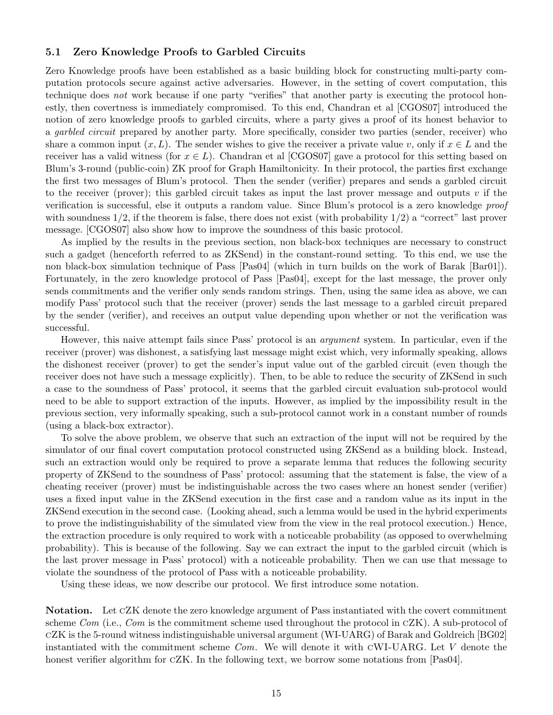### 5.1 Zero Knowledge Proofs to Garbled Circuits

Zero Knowledge proofs have been established as a basic building block for constructing multi-party computation protocols secure against active adversaries. However, in the setting of covert computation, this technique does not work because if one party "verifies" that another party is executing the protocol honestly, then covertness is immediately compromised. To this end, Chandran et al [CGOS07] introduced the notion of zero knowledge proofs to garbled circuits, where a party gives a proof of its honest behavior to a garbled circuit prepared by another party. More specifically, consider two parties (sender, receiver) who share a common input  $(x, L)$ . The sender wishes to give the receiver a private value v, only if  $x \in L$  and the receiver has a valid witness (for  $x \in L$ ). Chandran et al [CGOS07] gave a protocol for this setting based on Blum's 3-round (public-coin) ZK proof for Graph Hamiltonicity. In their protocol, the parties first exchange the first two messages of Blum's protocol. Then the sender (verifier) prepares and sends a garbled circuit to the receiver (prover); this garbled circuit takes as input the last prover message and outputs  $v$  if the verification is successful, else it outputs a random value. Since Blum's protocol is a zero knowledge proof with soundness  $1/2$ , if the theorem is false, there does not exist (with probability  $1/2$ ) a "correct" last prover message. [CGOS07] also show how to improve the soundness of this basic protocol.

As implied by the results in the previous section, non black-box techniques are necessary to construct such a gadget (henceforth referred to as ZKSend) in the constant-round setting. To this end, we use the non black-box simulation technique of Pass [Pas04] (which in turn builds on the work of Barak [Bar01]). Fortunately, in the zero knowledge protocol of Pass [Pas04], except for the last message, the prover only sends commitments and the verifier only sends random strings. Then, using the same idea as above, we can modify Pass' protocol such that the receiver (prover) sends the last message to a garbled circuit prepared by the sender (verifier), and receives an output value depending upon whether or not the verification was successful.

However, this naive attempt fails since Pass' protocol is an argument system. In particular, even if the receiver (prover) was dishonest, a satisfying last message might exist which, very informally speaking, allows the dishonest receiver (prover) to get the sender's input value out of the garbled circuit (even though the receiver does not have such a message explicitly). Then, to be able to reduce the security of ZKSend in such a case to the soundness of Pass' protocol, it seems that the garbled circuit evaluation sub-protocol would need to be able to support extraction of the inputs. However, as implied by the impossibility result in the previous section, very informally speaking, such a sub-protocol cannot work in a constant number of rounds (using a black-box extractor).

To solve the above problem, we observe that such an extraction of the input will not be required by the simulator of our final covert computation protocol constructed using ZKSend as a building block. Instead, such an extraction would only be required to prove a separate lemma that reduces the following security property of ZKSend to the soundness of Pass' protocol: assuming that the statement is false, the view of a cheating receiver (prover) must be indistinguishable across the two cases where an honest sender (verifier) uses a fixed input value in the ZKSend execution in the first case and a random value as its input in the ZKSend execution in the second case. (Looking ahead, such a lemma would be used in the hybrid experiments to prove the indistinguishability of the simulated view from the view in the real protocol execution.) Hence, the extraction procedure is only required to work with a noticeable probability (as opposed to overwhelming probability). This is because of the following. Say we can extract the input to the garbled circuit (which is the last prover message in Pass' protocol) with a noticeable probability. Then we can use that message to violate the soundness of the protocol of Pass with a noticeable probability.

Using these ideas, we now describe our protocol. We first introduce some notation.

Notation. Let cZK denote the zero knowledge argument of Pass instantiated with the covert commitment scheme  $Com$  (i.e.,  $Com$  is the commitment scheme used throughout the protocol in  $CZK$ ). A sub-protocol of cZK is the 5-round witness indistinguishable universal argument (WI-UARG) of Barak and Goldreich [BG02] instantiated with the commitment scheme Com. We will denote it with cWI-UARG. Let V denote the honest verifier algorithm for CZK. In the following text, we borrow some notations from [Pas04].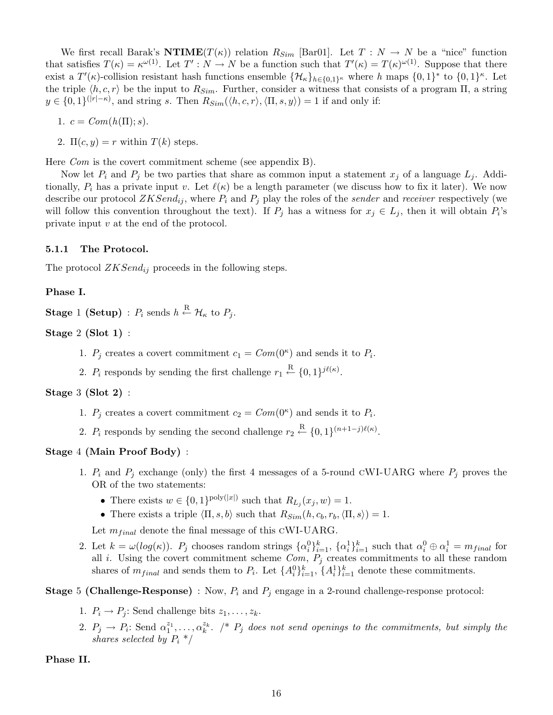We first recall Barak's **NTIME** $(T(\kappa))$  relation  $R_{Sim}$  [Bar01]. Let  $T : N \to N$  be a "nice" function that satisfies  $T(\kappa) = \kappa^{\omega(1)}$ . Let  $T' : N \to N$  be a function such that  $T'(\kappa) = T(\kappa)^{\omega(1)}$ . Suppose that there exist a  $T'(\kappa)$ -collision resistant hash functions ensemble  $\{\mathcal{H}_{\kappa}\}_{h\in\{0,1\}^{\kappa}}$  where h maps  $\{0,1\}^*$  to  $\{0,1\}^{\kappa}$ . Let the triple  $\langle h, c, r \rangle$  be the input to  $R_{Sim}$ . Further, consider a witness that consists of a program  $\Pi$ , a string  $y \in \{0,1\}^{(|r|-\kappa)}$ , and string s. Then  $R_{Sim}(\langle h,c,r \rangle, \langle \Pi, s, y \rangle) = 1$  if and only if:

- 1.  $c = Com(h(\Pi); s)$ .
- 2.  $\Pi(c, y) = r$  within  $T(k)$  steps.

Here *Com* is the covert commitment scheme (see appendix B).

Now let  $P_i$  and  $P_j$  be two parties that share as common input a statement  $x_j$  of a language  $L_j$ . Additionally,  $P_i$  has a private input v. Let  $\ell(\kappa)$  be a length parameter (we discuss how to fix it later). We now describe our protocol  $ZKSend_{ij}$ , where  $P_i$  and  $P_j$  play the roles of the sender and receiver respectively (we will follow this convention throughout the text). If  $P_j$  has a witness for  $x_j \in L_j$ , then it will obtain  $P_i$ 's private input v at the end of the protocol.

### 5.1.1 The Protocol.

The protocol  $ZKSend_{ij}$  proceeds in the following steps.

### Phase I.

**Stage** 1 (**Setup**) :  $P_i$  sends  $h \stackrel{\text{R}}{\leftarrow} \mathcal{H}_\kappa$  to  $P_j$ .

Stage 2 (Slot 1) :

- 1.  $P_j$  creates a covert commitment  $c_1 = Com(0^{\kappa})$  and sends it to  $P_i$ .
- 2.  $P_i$  responds by sending the first challenge  $r_1 \stackrel{\text{R}}{\leftarrow} \{0,1\}^{j\ell(\kappa)}$ .

### Stage 3 (Slot 2) :

- 1.  $P_j$  creates a covert commitment  $c_2 = Com(0^{\kappa})$  and sends it to  $P_i$ .
- 2.  $P_i$  responds by sending the second challenge  $r_2 \stackrel{\text{R}}{\leftarrow} \{0,1\}^{(n+1-j)\ell(\kappa)}$ .

#### Stage 4 (Main Proof Body) :

- 1.  $P_i$  and  $P_j$  exchange (only) the first 4 messages of a 5-round CWI-UARG where  $P_j$  proves the OR of the two statements:
	- There exists  $w \in \{0,1\}^{\text{poly}(|x|)}$  such that  $R_{L_j}(x_j, w) = 1$ .
	- There exists a triple  $\langle \Pi, s, b \rangle$  such that  $R_{Sim}(h, c_b, r_b, \langle \Pi, s \rangle) = 1$ .

Let  $m_{final}$  denote the final message of this CWI-UARG.

2. Let  $k = \omega(log(\kappa))$ .  $P_j$  chooses random strings  $\{\alpha_i^0\}_{i=1}^k$ ,  $\{\alpha_i^1\}_{i=1}^k$  such that  $\alpha_i^0 \oplus \alpha_i^1 = m_{final}$  for all i. Using the covert commitment scheme  $Com, P_j$  creates commitments to all these random shares of  $m_{final}$  and sends them to  $P_i$ . Let  $\{A_i^0\}_{i=1}^k$ ,  $\{A_i^1\}_{i=1}^k$  denote these commitments.

## **Stage** 5 (Challenge-Response) : Now,  $P_i$  and  $P_j$  engage in a 2-round challenge-response protocol:

- 1.  $P_i \rightarrow P_j$ : Send challenge bits  $z_1, \ldots, z_k$ .
- 2.  $P_j \to P_i$ : Send  $\alpha_1^{z_1}, \ldots, \alpha_k^{z_k}$ . /\*  $P_j$  does not send openings to the commitments, but simply the shares selected by  $P_i^*$

Phase II.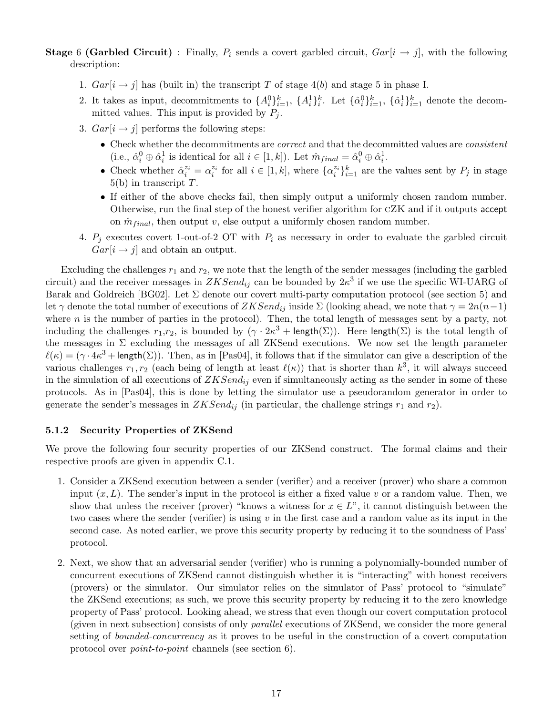**Stage** 6 (Garbled Circuit) : Finally,  $P_i$  sends a covert garbled circuit,  $Gar[i \rightarrow j]$ , with the following description:

- 1.  $Gar[i \rightarrow j]$  has (built in) the transcript T of stage 4(b) and stage 5 in phase I.
- 2. It takes as input, decommitments to  $\{A_i^0\}_{i=1}^k$ ,  $\{A_i^1\}_{i}^k$ . Let  $\{\hat{\alpha}_i^0\}_{i=1}^k$ ,  $\{\hat{\alpha}_i^1\}_{i=1}^k$  denote the decommitted values. This input is provided by  $P_j$ .
- 3.  $Gar[i \rightarrow j]$  performs the following steps:
	- Check whether the decommitments are correct and that the decommitted values are consistent (i.e.,  $\hat{\alpha}_i^0 \oplus \hat{\alpha}_i^1$  is identical for all  $i \in [1, k]$ ). Let  $\hat{m}_{final} = \hat{\alpha}_i^0 \oplus \hat{\alpha}_i^1$ .
	- Check whether  $\hat{\alpha}_i^{z_i} = \alpha_i^{z_i}$  for all  $i \in [1, k]$ , where  $\{\alpha_i^{z_i}\}_{i=1}^k$  are the values sent by  $P_j$  in stage  $5(b)$  in transcript T.
	- If either of the above checks fail, then simply output a uniformly chosen random number. Otherwise, run the final step of the honest verifier algorithm for cZK and if it outputs accept on  $\hat{m}_{final}$ , then output v, else output a uniformly chosen random number.
- 4.  $P_j$  executes covert 1-out-of-2 OT with  $P_i$  as necessary in order to evaluate the garbled circuit  $Gar[i \rightarrow j]$  and obtain an output.

Excluding the challenges  $r_1$  and  $r_2$ , we note that the length of the sender messages (including the garbled circuit) and the receiver messages in  $ZKSend_{ij}$  can be bounded by  $2\kappa^3$  if we use the specific WI-UARG of Barak and Goldreich [BG02]. Let  $\Sigma$  denote our covert multi-party computation protocol (see section 5) and let  $\gamma$  denote the total number of executions of ZKSend<sub>ij</sub> inside  $\Sigma$  (looking ahead, we note that  $\gamma = 2n(n-1)$ ) where  $n$  is the number of parties in the protocol). Then, the total length of messages sent by a party, not including the challenges  $r_1,r_2$ , is bounded by  $(\gamma \cdot 2\kappa^3 + \text{length}(\Sigma))$ . Here length $(\Sigma)$  is the total length of the messages in Σ excluding the messages of all ZKSend executions. We now set the length parameter  $\ell(\kappa) = (\gamma \cdot 4\kappa^3 + \text{length}(\Sigma)).$  Then, as in [Pas04], it follows that if the simulator can give a description of the various challenges  $r_1, r_2$  (each being of length at least  $\ell(\kappa)$ ) that is shorter than  $k^3$ , it will always succeed in the simulation of all executions of  $ZKSend_{ij}$  even if simultaneously acting as the sender in some of these protocols. As in [Pas04], this is done by letting the simulator use a pseudorandom generator in order to generate the sender's messages in  $ZKSend_{ij}$  (in particular, the challenge strings  $r_1$  and  $r_2$ ).

## 5.1.2 Security Properties of ZKSend

We prove the following four security properties of our ZKSend construct. The formal claims and their respective proofs are given in appendix C.1.

- 1. Consider a ZKSend execution between a sender (verifier) and a receiver (prover) who share a common input  $(x, L)$ . The sender's input in the protocol is either a fixed value v or a random value. Then, we show that unless the receiver (prover) "knows a witness for  $x \in L$ ", it cannot distinguish between the two cases where the sender (verifier) is using  $v$  in the first case and a random value as its input in the second case. As noted earlier, we prove this security property by reducing it to the soundness of Pass' protocol.
- 2. Next, we show that an adversarial sender (verifier) who is running a polynomially-bounded number of concurrent executions of ZKSend cannot distinguish whether it is "interacting" with honest receivers (provers) or the simulator. Our simulator relies on the simulator of Pass' protocol to "simulate" the ZKSend executions; as such, we prove this security property by reducing it to the zero knowledge property of Pass' protocol. Looking ahead, we stress that even though our covert computation protocol (given in next subsection) consists of only parallel executions of ZKSend, we consider the more general setting of *bounded-concurrency* as it proves to be useful in the construction of a covert computation protocol over point-to-point channels (see section 6).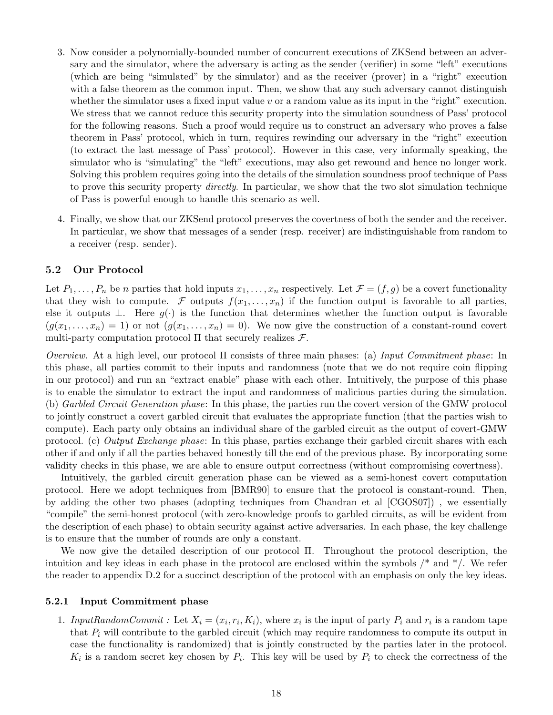- 3. Now consider a polynomially-bounded number of concurrent executions of ZKSend between an adversary and the simulator, where the adversary is acting as the sender (verifier) in some "left" executions (which are being "simulated" by the simulator) and as the receiver (prover) in a "right" execution with a false theorem as the common input. Then, we show that any such adversary cannot distinguish whether the simulator uses a fixed input value v or a random value as its input in the "right" execution. We stress that we cannot reduce this security property into the simulation soundness of Pass' protocol for the following reasons. Such a proof would require us to construct an adversary who proves a false theorem in Pass' protocol, which in turn, requires rewinding our adversary in the "right" execution (to extract the last message of Pass' protocol). However in this case, very informally speaking, the simulator who is "simulating" the "left" executions, may also get rewound and hence no longer work. Solving this problem requires going into the details of the simulation soundness proof technique of Pass to prove this security property *directly*. In particular, we show that the two slot simulation technique of Pass is powerful enough to handle this scenario as well.
- 4. Finally, we show that our ZKSend protocol preserves the covertness of both the sender and the receiver. In particular, we show that messages of a sender (resp. receiver) are indistinguishable from random to a receiver (resp. sender).

## 5.2 Our Protocol

Let  $P_1, \ldots, P_n$  be n parties that hold inputs  $x_1, \ldots, x_n$  respectively. Let  $\mathcal{F} = (f, g)$  be a covert functionality that they wish to compute. F outputs  $f(x_1, \ldots, x_n)$  if the function output is favorable to all parties, else it outputs ⊥. Here  $q(\cdot)$  is the function that determines whether the function output is favorable  $(g(x_1, \ldots, x_n) = 1)$  or not  $(g(x_1, \ldots, x_n) = 0)$ . We now give the construction of a constant-round covert multi-party computation protocol  $\Pi$  that securely realizes  $\mathcal{F}$ .

Overview. At a high level, our protocol  $\Pi$  consists of three main phases: (a) Input Commitment phase: In this phase, all parties commit to their inputs and randomness (note that we do not require coin flipping in our protocol) and run an "extract enable" phase with each other. Intuitively, the purpose of this phase is to enable the simulator to extract the input and randomness of malicious parties during the simulation. (b) Garbled Circuit Generation phase: In this phase, the parties run the covert version of the GMW protocol to jointly construct a covert garbled circuit that evaluates the appropriate function (that the parties wish to compute). Each party only obtains an individual share of the garbled circuit as the output of covert-GMW protocol. (c) Output Exchange phase: In this phase, parties exchange their garbled circuit shares with each other if and only if all the parties behaved honestly till the end of the previous phase. By incorporating some validity checks in this phase, we are able to ensure output correctness (without compromising covertness).

Intuitively, the garbled circuit generation phase can be viewed as a semi-honest covert computation protocol. Here we adopt techniques from [BMR90] to ensure that the protocol is constant-round. Then, by adding the other two phases (adopting techniques from Chandran et al [CGOS07]) , we essentially "compile" the semi-honest protocol (with zero-knowledge proofs to garbled circuits, as will be evident from the description of each phase) to obtain security against active adversaries. In each phase, the key challenge is to ensure that the number of rounds are only a constant.

We now give the detailed description of our protocol Π. Throughout the protocol description, the intuition and key ideas in each phase in the protocol are enclosed within the symbols  $\frac{1}{2}$  and  $\frac{1}{2}$ . We refer the reader to appendix D.2 for a succinct description of the protocol with an emphasis on only the key ideas.

### 5.2.1 Input Commitment phase

1. InputRandomCommit: Let  $X_i = (x_i, r_i, K_i)$ , where  $x_i$  is the input of party  $P_i$  and  $r_i$  is a random tape that  $P_i$  will contribute to the garbled circuit (which may require randomness to compute its output in case the functionality is randomized) that is jointly constructed by the parties later in the protocol.  $K_i$  is a random secret key chosen by  $P_i$ . This key will be used by  $P_i$  to check the correctness of the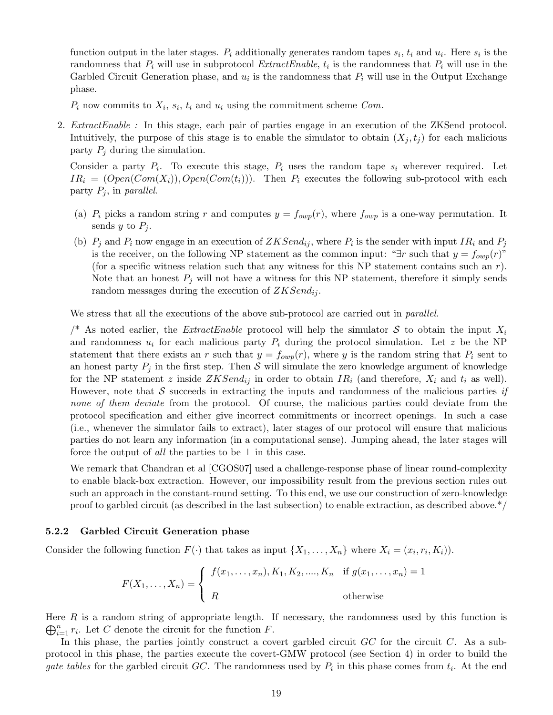function output in the later stages.  $P_i$  additionally generates random tapes  $s_i$ ,  $t_i$  and  $u_i$ . Here  $s_i$  is the randomness that  $P_i$  will use in subprotocol  $ExtractEnable$ ,  $t_i$  is the randomness that  $P_i$  will use in the Garbled Circuit Generation phase, and  $u_i$  is the randomness that  $P_i$  will use in the Output Exchange phase.

 $P_i$  now commits to  $X_i$ ,  $s_i$ ,  $t_i$  and  $u_i$  using the commitment scheme  $Com$ .

2. ExtractEnable : In this stage, each pair of parties engage in an execution of the ZKSend protocol. Intuitively, the purpose of this stage is to enable the simulator to obtain  $(X_i, t_i)$  for each malicious party  $P_i$  during the simulation.

Consider a party  $P_i$ . To execute this stage,  $P_i$  uses the random tape  $s_i$  wherever required. Let  $IR_i = (Open(Com(X_i)), Open(Com(t_i)))$ . Then  $P_i$  executes the following sub-protocol with each party  $P_i$ , in parallel.

- (a)  $P_i$  picks a random string r and computes  $y = f_{owp}(r)$ , where  $f_{owp}$  is a one-way permutation. It sends y to  $P_i$ .
- (b)  $P_j$  and  $P_i$  now engage in an execution of  $ZKSend_{ij}$ , where  $P_i$  is the sender with input  $IR_i$  and  $P_j$ is the receiver, on the following NP statement as the common input: "∃r such that  $y = f_{owp}(r)$ " (for a specific witness relation such that any witness for this NP statement contains such an  $r$ ). Note that an honest  $P_j$  will not have a witness for this NP statement, therefore it simply sends random messages during the execution of  $ZKSend_{ij}$ .

We stress that all the executions of the above sub-protocol are carried out in *parallel*.

<sup>\*</sup> As noted earlier, the *ExtractEnable* protocol will help the simulator S to obtain the input  $X_i$ and randomness  $u_i$  for each malicious party  $P_i$  during the protocol simulation. Let z be the NP statement that there exists an r such that  $y = f_{owp}(r)$ , where y is the random string that  $P_i$  sent to an honest party  $P_j$  in the first step. Then S will simulate the zero knowledge argument of knowledge for the NP statement z inside  $ZKSend_{ij}$  in order to obtain  $IR_i$  (and therefore,  $X_i$  and  $t_i$  as well). However, note that  $S$  succeeds in extracting the inputs and randomness of the malicious parties if none of them deviate from the protocol. Of course, the malicious parties could deviate from the protocol specification and either give incorrect commitments or incorrect openings. In such a case (i.e., whenever the simulator fails to extract), later stages of our protocol will ensure that malicious parties do not learn any information (in a computational sense). Jumping ahead, the later stages will force the output of all the parties to be  $\perp$  in this case.

We remark that Chandran et al [CGOS07] used a challenge-response phase of linear round-complexity to enable black-box extraction. However, our impossibility result from the previous section rules out such an approach in the constant-round setting. To this end, we use our construction of zero-knowledge proof to garbled circuit (as described in the last subsection) to enable extraction, as described above.\*/

#### 5.2.2 Garbled Circuit Generation phase

Consider the following function  $F(\cdot)$  that takes as input  $\{X_1, \ldots, X_n\}$  where  $X_i = (x_i, r_i, K_i)$ .

$$
F(X_1, ..., X_n) = \begin{cases} f(x_1, ..., x_n), K_1, K_2, ..., K_n & \text{if } g(x_1, ..., x_n) = 1 \\ R & \text{otherwise} \end{cases}
$$

Here  $R$  is a random string of appropriate length. If necessary, the randomness used by this function is  $\bigoplus_{i=1}^n r_i$ . Let C denote the circuit for the function F.

In this phase, the parties jointly construct a covert garbled circuit  $GC$  for the circuit  $C$ . As a subprotocol in this phase, the parties execute the covert-GMW protocol (see Section 4) in order to build the gate tables for the garbled circuit GC. The randomness used by  $P_i$  in this phase comes from  $t_i$ . At the end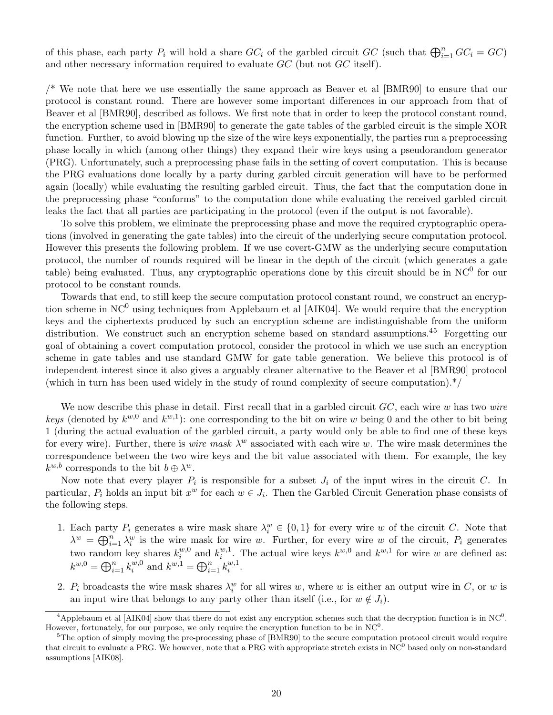of this phase, each party  $P_i$  will hold a share  $GC_i$  of the garbled circuit  $GC$  (such that  $\bigoplus_{i=1}^n GC_i = GC)$ ) and other necessary information required to evaluate GC (but not GC itself).

/\* We note that here we use essentially the same approach as Beaver et al [BMR90] to ensure that our protocol is constant round. There are however some important differences in our approach from that of Beaver et al [BMR90], described as follows. We first note that in order to keep the protocol constant round, the encryption scheme used in [BMR90] to generate the gate tables of the garbled circuit is the simple XOR function. Further, to avoid blowing up the size of the wire keys exponentially, the parties run a preprocessing phase locally in which (among other things) they expand their wire keys using a pseudorandom generator (PRG). Unfortunately, such a preprocessing phase fails in the setting of covert computation. This is because the PRG evaluations done locally by a party during garbled circuit generation will have to be performed again (locally) while evaluating the resulting garbled circuit. Thus, the fact that the computation done in the preprocessing phase "conforms" to the computation done while evaluating the received garbled circuit leaks the fact that all parties are participating in the protocol (even if the output is not favorable).

To solve this problem, we eliminate the preprocessing phase and move the required cryptographic operations (involved in generating the gate tables) into the circuit of the underlying secure computation protocol. However this presents the following problem. If we use covert-GMW as the underlying secure computation protocol, the number of rounds required will be linear in the depth of the circuit (which generates a gate table) being evaluated. Thus, any cryptographic operations done by this circuit should be in  $NC<sup>0</sup>$  for our protocol to be constant rounds.

Towards that end, to still keep the secure computation protocol constant round, we construct an encryption scheme in  $NC^0$  using techniques from Applebaum et al [AIK04]. We would require that the encryption keys and the ciphertexts produced by such an encryption scheme are indistinguishable from the uniform distribution. We construct such an encryption scheme based on standard assumptions.<sup>45</sup> Forgetting our goal of obtaining a covert computation protocol, consider the protocol in which we use such an encryption scheme in gate tables and use standard GMW for gate table generation. We believe this protocol is of independent interest since it also gives a arguably cleaner alternative to the Beaver et al [BMR90] protocol (which in turn has been used widely in the study of round complexity of secure computation).\*/

We now describe this phase in detail. First recall that in a garbled circuit  $GC$ , each wire w has two wire keys (denoted by  $k^{w,0}$  and  $k^{w,1}$ ): one corresponding to the bit on wire w being 0 and the other to bit being 1 (during the actual evaluation of the garbled circuit, a party would only be able to find one of these keys for every wire). Further, there is *wire mask*  $\lambda^w$  associated with each wire w. The wire mask determines the correspondence between the two wire keys and the bit value associated with them. For example, the key  $k^{w,b}$  corresponds to the bit  $b \oplus \lambda^w$ .

Now note that every player  $P_i$  is responsible for a subset  $J_i$  of the input wires in the circuit C. In particular,  $P_i$  holds an input bit  $x^w$  for each  $w \in J_i$ . Then the Garbled Circuit Generation phase consists of the following steps.

- 1. Each party  $P_i$  generates a wire mask share  $\lambda_i^w \in \{0,1\}$  for every wire w of the circuit C. Note that  $\lambda^w = \bigoplus_{i=1}^n \lambda_i^w$  is the wire mask for wire w. Further, for every wire w of the circuit,  $P_i$  generates i two random key shares  $k_i^{w,0}$  $_i^{w,0}$  and  $k_i^{w,1}$  $i^{w,1}$ . The actual wire keys  $k^{w,0}$  and  $k^{w,1}$  for wire w are defined as:  $k^{w,0} = \bigoplus_{i=1}^n k_i^{w,0}$  $i^{w,0}$  and  $k^{w,1} = \bigoplus_{i=1}^{n} k_i^{w,1}$  $\frac{w,1}{i}$ .
- 2.  $P_i$  broadcasts the wire mask shares  $\lambda_i^w$  for all wires w, where w is either an output wire in C, or w is an input wire that belongs to any party other than itself (i.e., for  $w \notin J_i$ ).

<sup>&</sup>lt;sup>4</sup>Applebaum et al [AIK04] show that there do not exist any encryption schemes such that the decryption function is in NC<sup>0</sup>. However, fortunately, for our purpose, we only require the encryption function to be in  $NC^0$ .

<sup>&</sup>lt;sup>5</sup>The option of simply moving the pre-processing phase of [BMR90] to the secure computation protocol circuit would require that circuit to evaluate a PRG. We however, note that a PRG with appropriate stretch exists in  $NC<sup>0</sup>$  based only on non-standard assumptions [AIK08].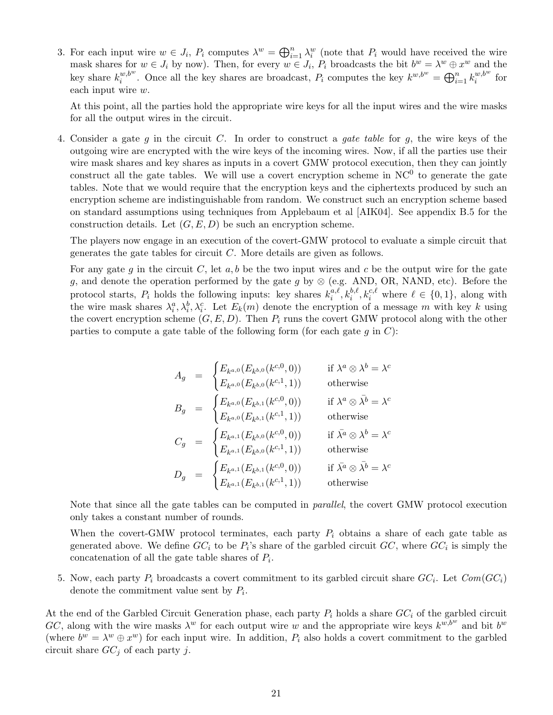3. For each input wire  $w \in J_i$ ,  $P_i$  computes  $\lambda^w = \bigoplus_{i=1}^n \lambda_i^w$  (note that  $P_i$  would have received the wire mask shares for  $w \in J_i$  by now). Then, for every  $w \in J_i$ ,  $P_i$  broadcasts the bit  $b^w = \lambda^w \oplus x^w$  and the key share  $k_i^{w,b^w}$  $i^{w,b^w}$ . Once all the key shares are broadcast,  $P_i$  computes the key  $k^{w,b^w} = \bigoplus_{i=1}^n k_i^{w,b^w}$  $i^{w, o^{\omega}}$  for each input wire w.

At this point, all the parties hold the appropriate wire keys for all the input wires and the wire masks for all the output wires in the circuit.

4. Consider a gate g in the circuit C. In order to construct a gate table for g, the wire keys of the outgoing wire are encrypted with the wire keys of the incoming wires. Now, if all the parties use their wire mask shares and key shares as inputs in a covert GMW protocol execution, then they can jointly construct all the gate tables. We will use a covert encryption scheme in  $NC<sup>0</sup>$  to generate the gate tables. Note that we would require that the encryption keys and the ciphertexts produced by such an encryption scheme are indistinguishable from random. We construct such an encryption scheme based on standard assumptions using techniques from Applebaum et al [AIK04]. See appendix B.5 for the construction details. Let  $(G, E, D)$  be such an encryption scheme.

The players now engage in an execution of the covert-GMW protocol to evaluate a simple circuit that generates the gate tables for circuit  $C$ . More details are given as follows.

For any gate q in the circuit C, let  $a, b$  be the two input wires and c be the output wire for the gate g, and denote the operation performed by the gate g by  $\otimes$  (e.g. AND, OR, NAND, etc). Before the protocol starts,  $P_i$  holds the following inputs: key shares  $k_i^{a,\ell}$  $i^{a,\ell}_i, k^{b,\ell}_i, k^{c,\ell}_i$  where  $\ell \in \{0,1\}$ , along with the wire mask shares  $\lambda_i^a, \lambda_i^b, \lambda_i^c$ . Let  $E_k(m)$  denote the encryption of a message m with key k using the covert encryption scheme  $(G, E, D)$ . Then  $P_i$  runs the covert GMW protocol along with the other parties to compute a gate table of the following form (for each gate g in  $C$ ):

$$
A_g = \begin{cases} E_{k^{a,0}}(E_{k^{b,0}}(k^{c,0},0)) & \text{if } \lambda^a \otimes \lambda^b = \lambda^c \\ E_{k^{a,0}}(E_{k^{b,0}}(k^{c,1},1)) & \text{otherwise} \end{cases}
$$
  
\n
$$
B_g = \begin{cases} E_{k^{a,0}}(E_{k^{b,1}}(k^{c,0},0)) & \text{if } \lambda^a \otimes \bar{\lambda}^b = \lambda^c \\ E_{k^{a,0}}(E_{k^{b,1}}(k^{c,1},1)) & \text{otherwise} \end{cases}
$$
  
\n
$$
C_g = \begin{cases} E_{k^{a,1}}(E_{k^{b,0}}(k^{c,0},0)) & \text{if } \bar{\lambda}^a \otimes \lambda^b = \lambda^c \\ E_{k^{a,1}}(E_{k^{b,0}}(k^{c,1},1)) & \text{otherwise} \end{cases}
$$
  
\n
$$
D_g = \begin{cases} E_{k^{a,1}}(E_{k^{b,1}}(k^{c,0},0)) & \text{if } \bar{\lambda}^a \otimes \bar{\lambda}^b = \lambda^c \\ E_{k^{a,1}}(E_{k^{b,1}}(k^{c,1},1)) & \text{otherwise} \end{cases}
$$

Note that since all the gate tables can be computed in *parallel*, the covert GMW protocol execution only takes a constant number of rounds.

When the covert-GMW protocol terminates, each party  $P_i$  obtains a share of each gate table as generated above. We define  $GC_i$  to be  $P_i$ 's share of the garbled circuit  $GC$ , where  $GC_i$  is simply the concatenation of all the gate table shares of  $P_i$ .

5. Now, each party  $P_i$  broadcasts a covert commitment to its garbled circuit share  $GC_i$ . Let  $Com(GC_i)$ denote the commitment value sent by  $P_i$ .

At the end of the Garbled Circuit Generation phase, each party  $P_i$  holds a share  $GC_i$  of the garbled circuit GC, along with the wire masks  $\lambda^w$  for each output wire w and the appropriate wire keys  $k^{w,b^w}$  and bit  $b^w$ (where  $b^w = \lambda^w \oplus x^w$ ) for each input wire. In addition,  $P_i$  also holds a covert commitment to the garbled circuit share  $GC_j$  of each party j.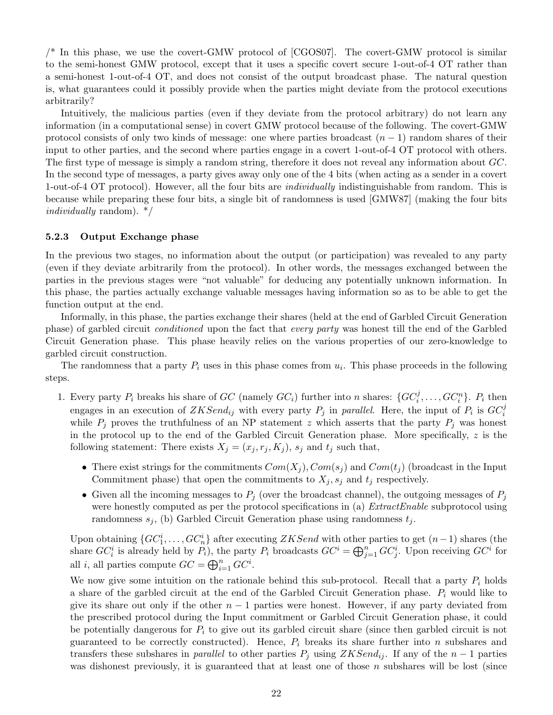/\* In this phase, we use the covert-GMW protocol of [CGOS07]. The covert-GMW protocol is similar to the semi-honest GMW protocol, except that it uses a specific covert secure 1-out-of-4 OT rather than a semi-honest 1-out-of-4 OT, and does not consist of the output broadcast phase. The natural question is, what guarantees could it possibly provide when the parties might deviate from the protocol executions arbitrarily?

Intuitively, the malicious parties (even if they deviate from the protocol arbitrary) do not learn any information (in a computational sense) in covert GMW protocol because of the following. The covert-GMW protocol consists of only two kinds of message: one where parties broadcast  $(n - 1)$  random shares of their input to other parties, and the second where parties engage in a covert 1-out-of-4 OT protocol with others. The first type of message is simply a random string, therefore it does not reveal any information about GC. In the second type of messages, a party gives away only one of the 4 bits (when acting as a sender in a covert 1-out-of-4 OT protocol). However, all the four bits are *individually* indistinguishable from random. This is because while preparing these four bits, a single bit of randomness is used [GMW87] (making the four bits *individually* random).  $*/$ 

### 5.2.3 Output Exchange phase

In the previous two stages, no information about the output (or participation) was revealed to any party (even if they deviate arbitrarily from the protocol). In other words, the messages exchanged between the parties in the previous stages were "not valuable" for deducing any potentially unknown information. In this phase, the parties actually exchange valuable messages having information so as to be able to get the function output at the end.

Informally, in this phase, the parties exchange their shares (held at the end of Garbled Circuit Generation phase) of garbled circuit conditioned upon the fact that every party was honest till the end of the Garbled Circuit Generation phase. This phase heavily relies on the various properties of our zero-knowledge to garbled circuit construction.

The randomness that a party  $P_i$  uses in this phase comes from  $u_i$ . This phase proceeds in the following steps.

- 1. Every party  $P_i$  breaks his share of  $GC$  (namely  $GC_i$ ) further into n shares:  $\{GC_i^j,\ldots,GC_i^n\}$ .  $P_i$  then engages in an execution of  $ZKSend_{ij}$  with every party  $P_j$  in parallel. Here, the input of  $P_i$  is  $GC_i^j$ while  $P_i$  proves the truthfulness of an NP statement z which asserts that the party  $P_i$  was honest in the protocol up to the end of the Garbled Circuit Generation phase. More specifically,  $z$  is the following statement: There exists  $X_j = (x_j, r_j, K_j)$ ,  $s_j$  and  $t_j$  such that,
	- There exist strings for the commitments  $Com(X_j), Com(s_j)$  and  $Com(t_j)$  (broadcast in the Input Commitment phase) that open the commitments to  $X_j$ ,  $s_j$  and  $t_j$  respectively.
	- Given all the incoming messages to  $P_i$  (over the broadcast channel), the outgoing messages of  $P_i$ were honestly computed as per the protocol specifications in (a)  $ExtractEnable$  subprotocol using randomness  $s_i$ , (b) Garbled Circuit Generation phase using randomness  $t_i$ .

Upon obtaining  $\{GC_1^i, \ldots, GC_n^i\}$  after executing  $ZKSend$  with other parties to get  $(n-1)$  shares (the share  $GC_i^i$  is already held by  $P_i$ ), the party  $P_i$  broadcasts  $GC^i = \bigoplus_{j=1}^n GC_j^i$ . Upon receiving  $GC^i$  for all *i*, all parties compute  $GC = \bigoplus_{i=1}^{n} GC^i$ .

We now give some intuition on the rationale behind this sub-protocol. Recall that a party  $P_i$  holds a share of the garbled circuit at the end of the Garbled Circuit Generation phase.  $P_i$  would like to give its share out only if the other  $n-1$  parties were honest. However, if any party deviated from the prescribed protocol during the Input commitment or Garbled Circuit Generation phase, it could be potentially dangerous for  $P_i$  to give out its garbled circuit share (since then garbled circuit is not guaranteed to be correctly constructed). Hence,  $P_i$  breaks its share further into n subshares and transfers these subshares in parallel to other parties  $P_j$  using ZKSend<sub>ij</sub>. If any of the  $n-1$  parties was dishonest previously, it is guaranteed that at least one of those  $n$  subshares will be lost (since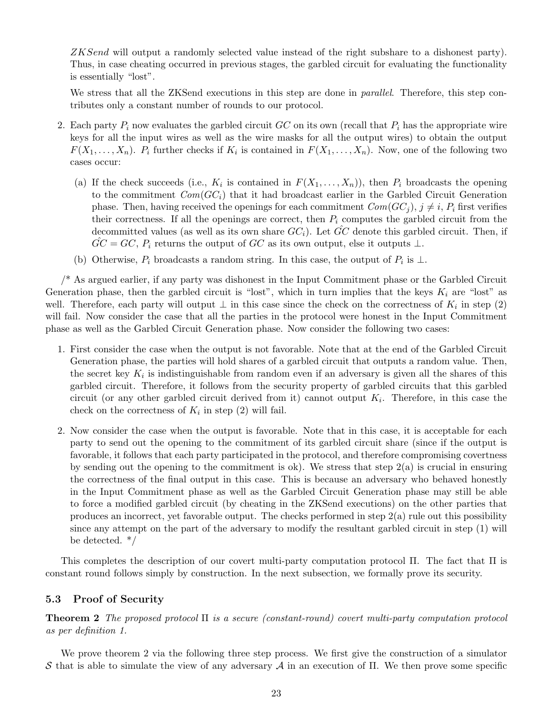ZKSend will output a randomly selected value instead of the right subshare to a dishonest party). Thus, in case cheating occurred in previous stages, the garbled circuit for evaluating the functionality is essentially "lost".

We stress that all the ZKSend executions in this step are done in *parallel*. Therefore, this step contributes only a constant number of rounds to our protocol.

- 2. Each party  $P_i$  now evaluates the garbled circuit  $GC$  on its own (recall that  $P_i$  has the appropriate wire keys for all the input wires as well as the wire masks for all the output wires) to obtain the output  $F(X_1, \ldots, X_n)$ .  $P_i$  further checks if  $K_i$  is contained in  $F(X_1, \ldots, X_n)$ . Now, one of the following two cases occur:
	- (a) If the check succeeds (i.e.,  $K_i$  is contained in  $F(X_1, \ldots, X_n)$ ), then  $P_i$  broadcasts the opening to the commitment  $Com(GC_i)$  that it had broadcast earlier in the Garbled Circuit Generation phase. Then, having received the openings for each commitment  $Com(GC_i)$ ,  $j \neq i$ ,  $P_i$  first verifies their correctness. If all the openings are correct, then  $P_i$  computes the garbled circuit from the decommitted values (as well as its own share  $GC_i$ ). Let  $GC$  denote this garbled circuit. Then, if  $GC = GC, P_i$  returns the output of GC as its own output, else it outputs  $\perp$ .
	- (b) Otherwise,  $P_i$  broadcasts a random string. In this case, the output of  $P_i$  is  $\perp$ .

/\* As argued earlier, if any party was dishonest in the Input Commitment phase or the Garbled Circuit Generation phase, then the garbled circuit is "lost", which in turn implies that the keys  $K_i$  are "lost" as well. Therefore, each party will output  $\perp$  in this case since the check on the correctness of  $K_i$  in step (2) will fail. Now consider the case that all the parties in the protocol were honest in the Input Commitment phase as well as the Garbled Circuit Generation phase. Now consider the following two cases:

- 1. First consider the case when the output is not favorable. Note that at the end of the Garbled Circuit Generation phase, the parties will hold shares of a garbled circuit that outputs a random value. Then, the secret key  $K_i$  is indistinguishable from random even if an adversary is given all the shares of this garbled circuit. Therefore, it follows from the security property of garbled circuits that this garbled circuit (or any other garbled circuit derived from it) cannot output  $K_i$ . Therefore, in this case the check on the correctness of  $K_i$  in step (2) will fail.
- 2. Now consider the case when the output is favorable. Note that in this case, it is acceptable for each party to send out the opening to the commitment of its garbled circuit share (since if the output is favorable, it follows that each party participated in the protocol, and therefore compromising covertness by sending out the opening to the commitment is ok). We stress that step  $2(a)$  is crucial in ensuring the correctness of the final output in this case. This is because an adversary who behaved honestly in the Input Commitment phase as well as the Garbled Circuit Generation phase may still be able to force a modified garbled circuit (by cheating in the ZKSend executions) on the other parties that produces an incorrect, yet favorable output. The checks performed in step 2(a) rule out this possibility since any attempt on the part of the adversary to modify the resultant garbled circuit in step (1) will be detected. \*/

This completes the description of our covert multi-party computation protocol Π. The fact that Π is constant round follows simply by construction. In the next subsection, we formally prove its security.

## 5.3 Proof of Security

Theorem 2 The proposed protocol Π is a secure (constant-round) covert multi-party computation protocol as per definition 1.

We prove theorem 2 via the following three step process. We first give the construction of a simulator S that is able to simulate the view of any adversary  $\mathcal A$  in an execution of  $\Pi$ . We then prove some specific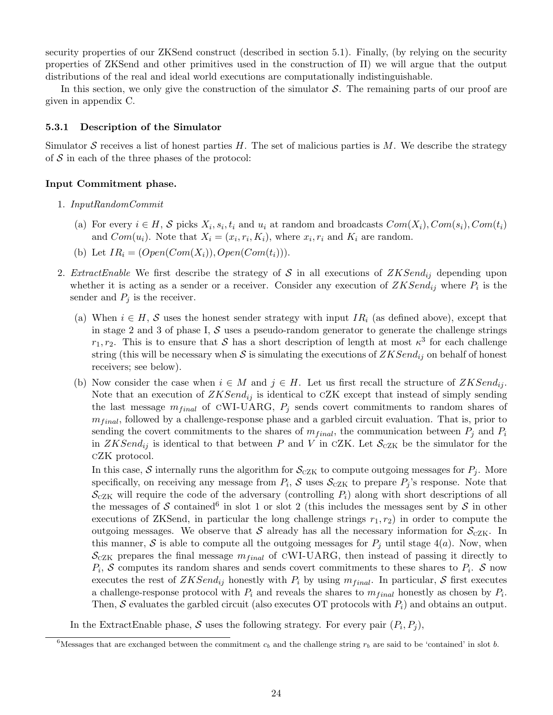security properties of our ZKSend construct (described in section 5.1). Finally, (by relying on the security properties of ZKSend and other primitives used in the construction of Π) we will argue that the output distributions of the real and ideal world executions are computationally indistinguishable.

In this section, we only give the construction of the simulator  $S$ . The remaining parts of our proof are given in appendix C.

#### 5.3.1 Description of the Simulator

Simulator S receives a list of honest parties H. The set of malicious parties is  $M$ . We describe the strategy of  $S$  in each of the three phases of the protocol:

## Input Commitment phase.

- 1. InputRandomCommit
	- (a) For every  $i \in H$ , S picks  $X_i$ ,  $s_i$ ,  $t_i$  and  $u_i$  at random and broadcasts  $Com(X_i)$ ,  $Com(s_i)$ ,  $Com(t_i)$ and  $Com(u_i)$ . Note that  $X_i = (x_i, r_i, K_i)$ , where  $x_i, r_i$  and  $K_i$  are random.
	- (b) Let  $IR_i = (Open(Com(X_i)), Open(Com(t_i))).$
- 2. ExtractEnable We first describe the strategy of S in all executions of  $ZKSend_{ij}$  depending upon whether it is acting as a sender or a receiver. Consider any execution of  $ZKSend_{ij}$  where  $P_i$  is the sender and  $P_i$  is the receiver.
	- (a) When  $i \in H$ , S uses the honest sender strategy with input  $IR_i$  (as defined above), except that in stage 2 and 3 of phase I,  $S$  uses a pseudo-random generator to generate the challenge strings  $r_1, r_2$ . This is to ensure that S has a short description of length at most  $\kappa^3$  for each challenge string (this will be necessary when S is simulating the executions of  $ZKSend_{ij}$  on behalf of honest receivers; see below).
	- (b) Now consider the case when  $i \in M$  and  $j \in H$ . Let us first recall the structure of  $ZKSend_{ij}$ . Note that an execution of  $ZKSend_{ij}$  is identical to CZK except that instead of simply sending the last message  $m_{final}$  of CWI-UARG,  $P_j$  sends covert commitments to random shares of  $m_{final}$ , followed by a challenge-response phase and a garbled circuit evaluation. That is, prior to sending the covert commitments to the shares of  $m_{final}$ , the communication between  $P_i$  and  $P_i$ in ZKSend<sub>ij</sub> is identical to that between P and V in CZK. Let  $\mathcal{S}_{CZK}$  be the simulator for the cZK protocol.

In this case, S internally runs the algorithm for  $S_{CZK}$  to compute outgoing messages for  $P_i$ . More specifically, on receiving any message from  $P_i$ , S uses  $\mathcal{S}_{CZK}$  to prepare  $P_j$ 's response. Note that  $\mathcal{S}_{CZK}$  will require the code of the adversary (controlling  $P_i$ ) along with short descriptions of all the messages of S contained<sup>6</sup> in slot 1 or slot 2 (this includes the messages sent by S in other executions of ZKSend, in particular the long challenge strings  $r_1, r_2$ ) in order to compute the outgoing messages. We observe that S already has all the necessary information for  $S_{CZK}$ . In this manner, S is able to compute all the outgoing messages for  $P_j$  until stage 4(a). Now, when  $\mathcal{S}_{CZK}$  prepares the final message  $m_{final}$  of CWI-UARG, then instead of passing it directly to  $P_i$ , S computes its random shares and sends covert commitments to these shares to  $P_i$ . S now executes the rest of  $ZKSend_{ij}$  honestly with  $P_i$  by using  $m_{final}$ . In particular, S first executes a challenge-response protocol with  $P_i$  and reveals the shares to  $m_{final}$  honestly as chosen by  $P_i$ . Then, S evaluates the garbled circuit (also executes OT protocols with  $P_i$ ) and obtains an output.

In the ExtractEnable phase, S uses the following strategy. For every pair  $(P_i, P_j)$ ,

<sup>&</sup>lt;sup>6</sup>Messages that are exchanged between the commitment  $c_b$  and the challenge string  $r_b$  are said to be 'contained' in slot b.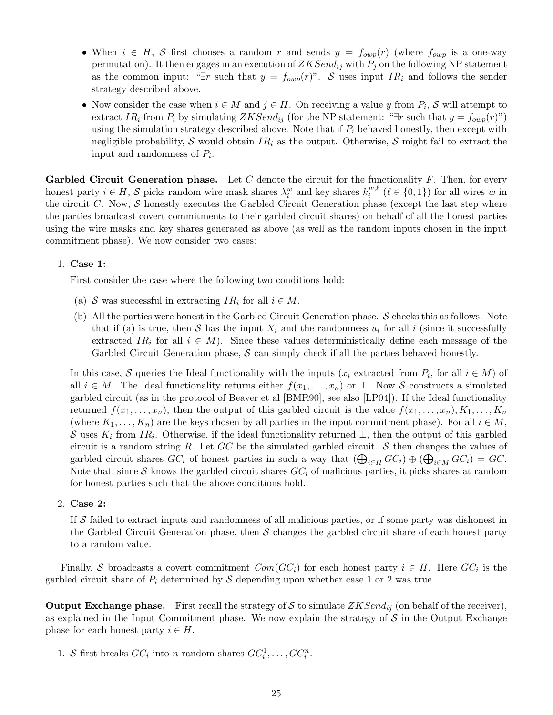- When  $i \in H$ , S first chooses a random r and sends  $y = f_{owp}(r)$  (where  $f_{owp}$  is a one-way permutation). It then engages in an execution of  $ZKSend_{ij}$  with  $P_j$  on the following NP statement as the common input: "∃r such that  $y = f_{owp}(r)$ ". S uses input IR<sub>i</sub> and follows the sender strategy described above.
- Now consider the case when  $i \in M$  and  $j \in H$ . On receiving a value y from  $P_i$ , S will attempt to extract IR<sub>i</sub> from  $P_i$  by simulating  $ZKSend_{ij}$  (for the NP statement: "∃r such that  $y = f_{owp}(r)$ ") using the simulation strategy described above. Note that if  $P_i$  behaved honestly, then except with negligible probability, S would obtain  $IR_i$  as the output. Otherwise, S might fail to extract the input and randomness of  $P_i$ .

**Garbled Circuit Generation phase.** Let C denote the circuit for the functionality  $F$ . Then, for every honest party  $i \in H$ , S picks random wire mask shares  $\lambda_i^w$  and key shares  $k_i^{w,\ell}$  $e^{w,\ell}$  ( $\ell \in \{0,1\}$ ) for all wires w in the circuit C. Now,  $\mathcal S$  honestly executes the Garbled Circuit Generation phase (except the last step where the parties broadcast covert commitments to their garbled circuit shares) on behalf of all the honest parties using the wire masks and key shares generated as above (as well as the random inputs chosen in the input commitment phase). We now consider two cases:

#### 1. Case 1:

First consider the case where the following two conditions hold:

- (a) S was successful in extracting  $IR_i$  for all  $i \in M$ .
- (b) All the parties were honest in the Garbled Circuit Generation phase.  $S$  checks this as follows. Note that if (a) is true, then S has the input  $X_i$  and the randomness  $u_i$  for all i (since it successfully extracted IR<sub>i</sub> for all  $i \in M$ ). Since these values deterministically define each message of the Garbled Circuit Generation phase,  $S$  can simply check if all the parties behaved honestly.

In this case, S queries the Ideal functionality with the inputs  $(x_i$  extracted from  $P_i$ , for all  $i \in M$ ) of all  $i \in M$ . The Ideal functionality returns either  $f(x_1, \ldots, x_n)$  or  $\perp$ . Now S constructs a simulated garbled circuit (as in the protocol of Beaver et al [BMR90], see also [LP04]). If the Ideal functionality returned  $f(x_1, \ldots, x_n)$ , then the output of this garbled circuit is the value  $f(x_1, \ldots, x_n), K_1, \ldots, K_n$ (where  $K_1, \ldots, K_n$ ) are the keys chosen by all parties in the input commitment phase). For all  $i \in M$ , S uses  $K_i$  from  $IR_i$ . Otherwise, if the ideal functionality returned  $\perp$ , then the output of this garbled circuit is a random string R. Let  $GC$  be the simulated garbled circuit. S then changes the values of garbled circuit shares  $GC_i$  of honest parties in such a way that  $(\bigoplus_{i\in H} GC_i) \oplus (\bigoplus_{i\in M} GC_i) = GC$ . Note that, since  $S$  knows the garbled circuit shares  $GC_i$  of malicious parties, it picks shares at random for honest parties such that the above conditions hold.

2. Case 2:

If S failed to extract inputs and randomness of all malicious parties, or if some party was dishonest in the Garbled Circuit Generation phase, then  $S$  changes the garbled circuit share of each honest party to a random value.

Finally, S broadcasts a covert commitment  $Com(GC_i)$  for each honest party  $i \in H$ . Here  $GC_i$  is the garbled circuit share of  $P_i$  determined by S depending upon whether case 1 or 2 was true.

**Output Exchange phase.** First recall the strategy of S to simulate  $ZKSend_{ij}$  (on behalf of the receiver), as explained in the Input Commitment phase. We now explain the strategy of  $\mathcal S$  in the Output Exchange phase for each honest party  $i \in H$ .

1. S first breaks  $GC_i$  into n random shares  $GC_i^1, \ldots, GC_i^n$ .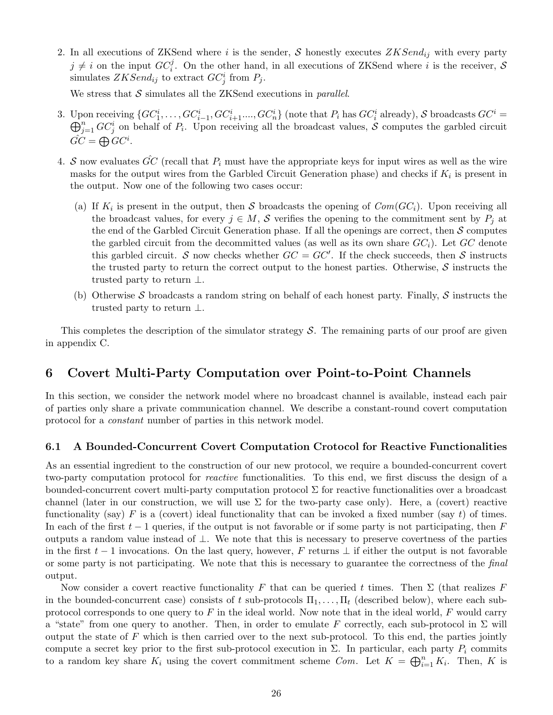2. In all executions of ZKSend where i is the sender, S honestly executes  $ZKSend_{ij}$  with every party  $j \neq i$  on the input  $GC_i^j$ . On the other hand, in all executions of ZKSend where i is the receiver, S simulates  $ZKSend_{ij}$  to extract  $GC_j^i$  from  $P_j$ .

We stress that  $S$  simulates all the ZKSend executions in *parallel*.

- 3. Upon receiving  $\{GC_1^i, \ldots, GC_{i-1}^i, GC_{i+1}^i, \ldots, GC_n^i\}$  (note that  $P_i$  has  $GC_i^i$  already), S broadcasts  $GC$  $\oplus$ ion receiving  $\{GC_1^i, \ldots, GC_{i-1}^i, GC_{i+1}^i, \ldots, GC_n^i\}$  (note that  $P_i$  has  $GC_i^i$  already),  $S$  broadcasts  $GC^i =$ <br> ${}_{j=1}^n GC_j^i$  on behalf of  $P_i$ . Upon receiving all the broadcast values,  $S$  computes the garbled circu  $\hat{GC} = \bigoplus GC^i$ .
- 4. S now evaluates  $\hat{GC}$  (recall that  $P_i$  must have the appropriate keys for input wires as well as the wire masks for the output wires from the Garbled Circuit Generation phase) and checks if  $K_i$  is present in the output. Now one of the following two cases occur:
	- (a) If  $K_i$  is present in the output, then S broadcasts the opening of  $Com(GC_i)$ . Upon receiving all the broadcast values, for every  $j \in M$ , S verifies the opening to the commitment sent by  $P_j$  at the end of the Garbled Circuit Generation phase. If all the openings are correct, then  $S$  computes the garbled circuit from the decommitted values (as well as its own share  $GC_i$ ). Let  $GC$  denote this garbled circuit. S now checks whether  $GC = GC'$ . If the check succeeds, then S instructs the trusted party to return the correct output to the honest parties. Otherwise,  $S$  instructs the trusted party to return ⊥.
	- (b) Otherwise S broadcasts a random string on behalf of each honest party. Finally, S instructs the trusted party to return  $\perp$ .

This completes the description of the simulator strategy  $S$ . The remaining parts of our proof are given in appendix C.

# 6 Covert Multi-Party Computation over Point-to-Point Channels

In this section, we consider the network model where no broadcast channel is available, instead each pair of parties only share a private communication channel. We describe a constant-round covert computation protocol for a constant number of parties in this network model.

## 6.1 A Bounded-Concurrent Covert Computation Crotocol for Reactive Functionalities

As an essential ingredient to the construction of our new protocol, we require a bounded-concurrent covert two-party computation protocol for reactive functionalities. To this end, we first discuss the design of a bounded-concurrent covert multi-party computation protocol  $\Sigma$  for reactive functionalities over a broadcast channel (later in our construction, we will use  $\Sigma$  for the two-party case only). Here, a (covert) reactive functionality (say) F is a (covert) ideal functionality that can be invoked a fixed number (say t) of times. In each of the first  $t - 1$  queries, if the output is not favorable or if some party is not participating, then F outputs a random value instead of ⊥. We note that this is necessary to preserve covertness of the parties in the first  $t-1$  invocations. On the last query, however, F returns  $\perp$  if either the output is not favorable or some party is not participating. We note that this is necessary to guarantee the correctness of the final output.

Now consider a covert reactive functionality F that can be queried t times. Then  $\Sigma$  (that realizes F in the bounded-concurrent case) consists of t sub-protocols  $\Pi_1, \ldots, \Pi_t$  (described below), where each subprotocol corresponds to one query to F in the ideal world. Now note that in the ideal world, F would carry a "state" from one query to another. Then, in order to emulate F correctly, each sub-protocol in  $\Sigma$  will output the state of  $F$  which is then carried over to the next sub-protocol. To this end, the parties jointly compute a secret key prior to the first sub-protocol execution in  $\Sigma$ . In particular, each party  $P_i$  commits to a random key share  $K_i$  using the covert commitment scheme Com. Let  $K = \bigoplus_{i=1}^n K_i$ . Then, K is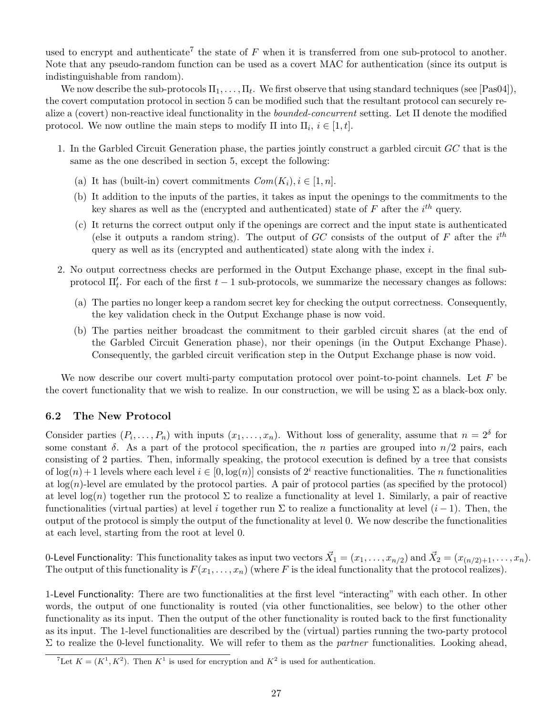used to encrypt and authenticate<sup>7</sup> the state of F when it is transferred from one sub-protocol to another. Note that any pseudo-random function can be used as a covert MAC for authentication (since its output is indistinguishable from random).

We now describe the sub-protocols  $\Pi_1,\ldots,\Pi_t$ . We first observe that using standard techniques (see [Pas04]), the covert computation protocol in section 5 can be modified such that the resultant protocol can securely realize a (covert) non-reactive ideal functionality in the bounded-concurrent setting. Let Π denote the modified protocol. We now outline the main steps to modify  $\Pi$  into  $\Pi_i$ ,  $i \in [1, t]$ .

- 1. In the Garbled Circuit Generation phase, the parties jointly construct a garbled circuit GC that is the same as the one described in section 5, except the following:
	- (a) It has (built-in) covert commitments  $Com(K_i), i \in [1, n]$ .
	- (b) It addition to the inputs of the parties, it takes as input the openings to the commitments to the key shares as well as the (encrypted and authenticated) state of  $F$  after the  $i^{th}$  query.
	- (c) It returns the correct output only if the openings are correct and the input state is authenticated (else it outputs a random string). The output of  $GC$  consists of the output of F after the  $i^{th}$ query as well as its (encrypted and authenticated) state along with the index i.
- 2. No output correctness checks are performed in the Output Exchange phase, except in the final subprotocol  $\Pi'_{t}$ . For each of the first  $t - 1$  sub-protocols, we summarize the necessary changes as follows:
	- (a) The parties no longer keep a random secret key for checking the output correctness. Consequently, the key validation check in the Output Exchange phase is now void.
	- (b) The parties neither broadcast the commitment to their garbled circuit shares (at the end of the Garbled Circuit Generation phase), nor their openings (in the Output Exchange Phase). Consequently, the garbled circuit verification step in the Output Exchange phase is now void.

We now describe our covert multi-party computation protocol over point-to-point channels. Let  $F$  be the covert functionality that we wish to realize. In our construction, we will be using  $\Sigma$  as a black-box only.

## 6.2 The New Protocol

Consider parties  $(P_i, \ldots, P_n)$  with inputs  $(x_1, \ldots, x_n)$ . Without loss of generality, assume that  $n = 2^{\delta}$  for some constant  $\delta$ . As a part of the protocol specification, the *n* parties are grouped into  $n/2$  pairs, each consisting of 2 parties. Then, informally speaking, the protocol execution is defined by a tree that consists of  $log(n) + 1$  levels where each level  $i \in [0, log(n)]$  consists of  $2<sup>i</sup>$  reactive functionalities. The *n* functionalities at  $log(n)$ -level are emulated by the protocol parties. A pair of protocol parties (as specified by the protocol) at level  $\log(n)$  together run the protocol  $\Sigma$  to realize a functionality at level 1. Similarly, a pair of reactive functionalities (virtual parties) at level i together run  $\Sigma$  to realize a functionality at level  $(i-1)$ . Then, the output of the protocol is simply the output of the functionality at level 0. We now describe the functionalities at each level, starting from the root at level 0.

0-Level Functionality: This functionality takes as input two vectors  $\vec{X}_1=(x_1,\ldots,x_{n/2})$  and  $\vec{X}_2=(x_{(n/2)+1},\ldots,x_n).$ The output of this functionality is  $F(x_1, \ldots, x_n)$  (where F is the ideal functionality that the protocol realizes).

1-Level Functionality: There are two functionalities at the first level "interacting" with each other. In other words, the output of one functionality is routed (via other functionalities, see below) to the other other functionality as its input. Then the output of the other functionality is routed back to the first functionality as its input. The 1-level functionalities are described by the (virtual) parties running the two-party protocol  $\Sigma$  to realize the 0-level functionality. We will refer to them as the *partner* functionalities. Looking ahead,

<sup>&</sup>lt;sup>7</sup>Let  $K = (K^1, K^2)$ . Then  $K^1$  is used for encryption and  $K^2$  is used for authentication.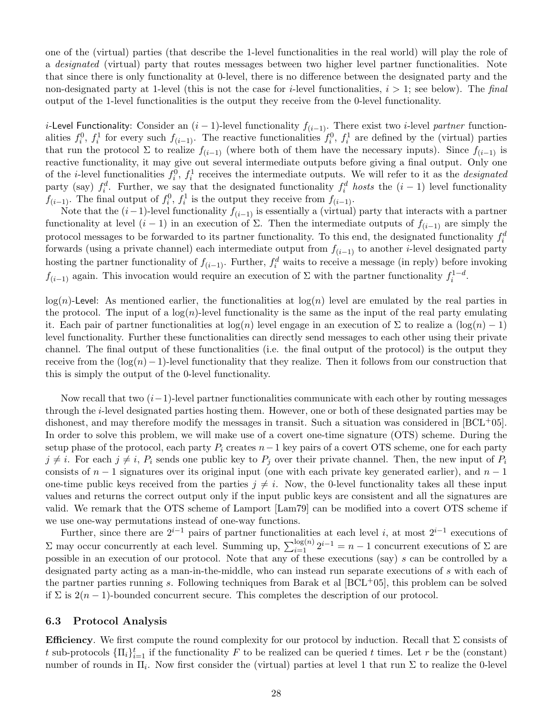one of the (virtual) parties (that describe the 1-level functionalities in the real world) will play the role of a designated (virtual) party that routes messages between two higher level partner functionalities. Note that since there is only functionality at 0-level, there is no difference between the designated party and the non-designated party at 1-level (this is not the case for *i*-level functionalities,  $i > 1$ ; see below). The *final* output of the 1-level functionalities is the output they receive from the 0-level functionality.

*i*-Level Functionality: Consider an  $(i - 1)$ -level functionality  $f_{(i-1)}$ . There exist two *i*-level partner functionalities  $f_i^0$ ,  $f_i^1$  for every such  $f_{(i-1)}$ . The reactive functionalities  $f_i^0$ ,  $f_i^1$  are defined by the (virtual) parties that run the protocol  $\Sigma$  to realize  $f_{(i-1)}$  (where both of them have the necessary inputs). Since  $f_{(i-1)}$  is reactive functionality, it may give out several intermediate outputs before giving a final output. Only one of the *i*-level functionalities  $f_i^0$ ,  $f_i^1$  receives the intermediate outputs. We will refer to it as the *designated* party (say)  $f_i^d$ . Further, we say that the designated functionality  $f_i^d$  hosts the  $(i-1)$  level functionality  $f_{(i-1)}$ . The final output of  $f_i^0$ ,  $f_i^1$  is the output they receive from  $f_{(i-1)}$ .

Note that the  $(i-1)$ -level functionality  $f(i-1)$  is essentially a (virtual) party that interacts with a partner functionality at level  $(i - 1)$  in an execution of  $\Sigma$ . Then the intermediate outputs of  $f_{(i-1)}$  are simply the protocol messages to be forwarded to its partner functionality. To this end, the designated functionality  $f_i^d$ forwards (using a private channel) each intermediate output from  $f_{(i-1)}$  to another *i*-level designated party hosting the partner functionality of  $f_{(i-1)}$ . Further,  $f_i^d$  waits to receive a message (in reply) before invoking  $f_{(i-1)}$  again. This invocation would require an execution of  $\Sigma$  with the partner functionality  $f_i^{1-d}$ .

 $log(n)$ -Level: As mentioned earlier, the functionalities at  $log(n)$  level are emulated by the real parties in the protocol. The input of a  $log(n)$ -level functionality is the same as the input of the real party emulating it. Each pair of partner functionalities at  $log(n)$  level engage in an execution of  $\Sigma$  to realize a  $(log(n) - 1)$ level functionality. Further these functionalities can directly send messages to each other using their private channel. The final output of these functionalities (i.e. the final output of the protocol) is the output they receive from the  $(\log(n)-1)$ -level functionality that they realize. Then it follows from our construction that this is simply the output of the 0-level functionality.

Now recall that two  $(i-1)$ -level partner functionalities communicate with each other by routing messages through the i-level designated parties hosting them. However, one or both of these designated parties may be dishonest, and may therefore modify the messages in transit. Such a situation was considered in  $[BCL+05]$ . In order to solve this problem, we will make use of a covert one-time signature (OTS) scheme. During the setup phase of the protocol, each party  $P_i$  creates  $n-1$  key pairs of a covert OTS scheme, one for each party  $j \neq i$ . For each  $j \neq i$ ,  $P_i$  sends one public key to  $P_j$  over their private channel. Then, the new input of  $P_i$ consists of  $n-1$  signatures over its original input (one with each private key generated earlier), and  $n-1$ one-time public keys received from the parties  $j \neq i$ . Now, the 0-level functionality takes all these input values and returns the correct output only if the input public keys are consistent and all the signatures are valid. We remark that the OTS scheme of Lamport [Lam79] can be modified into a covert OTS scheme if we use one-way permutations instead of one-way functions.

Further, since there are  $2^{i-1}$  pairs of partner functionalities at each level i, at most  $2^{i-1}$  executions of Σ may occur concurrently at each level. Summing up,  $\sum_{i=1}^{\log(n)} 2^{i-1} = n-1$  concurrent executions of Σ are possible in an execution of our protocol. Note that any of these executions (say) s can be controlled by a designated party acting as a man-in-the-middle, who can instead run separate executions of s with each of the partner parties running s. Following techniques from Barak et al  $[BCL<sup>+</sup>05]$ , this problem can be solved if  $\Sigma$  is  $2(n-1)$ -bounded concurrent secure. This completes the description of our protocol.

#### 6.3 Protocol Analysis

**Efficiency.** We first compute the round complexity for our protocol by induction. Recall that  $\Sigma$  consists of t sub-protocols  ${\{\Pi_i\}}_{i=1}^t$  if the functionality F to be realized can be queried t times. Let r be the (constant) number of rounds in  $\Pi_i$ . Now first consider the (virtual) parties at level 1 that run  $\Sigma$  to realize the 0-level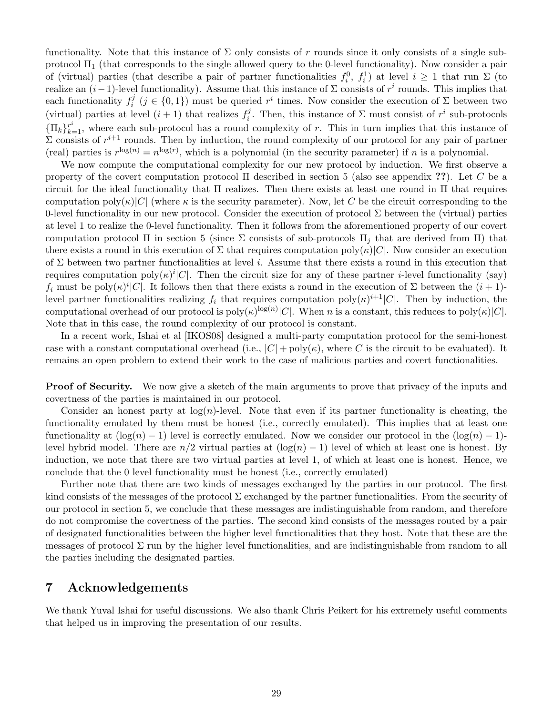functionality. Note that this instance of  $\Sigma$  only consists of r rounds since it only consists of a single subprotocol  $\Pi_1$  (that corresponds to the single allowed query to the 0-level functionality). Now consider a pair of (virtual) parties (that describe a pair of partner functionalities  $f_i^0, f_i^1$ ) at level  $i \geq 1$  that run  $\Sigma$  (to realize an  $(i-1)$ -level functionality). Assume that this instance of  $\Sigma$  consists of  $r^i$  rounds. This implies that each functionality  $f_i^j$  $i \in \{0,1\}$  must be queried  $r^i$  times. Now consider the execution of  $\Sigma$  between two (virtual) parties at level  $(i + 1)$  that realizes  $f_i^j$  $i$ . Then, this instance of  $\Sigma$  must consist of  $r^i$  sub-protocols  ${\{\Pi_k\}}_{k=1}^{r^i}$ , where each sub-protocol has a round complexity of r. This in turn implies that this instance of  $\Sigma$  consists of  $r^{i+1}$  rounds. Then by induction, the round complexity of our protocol for any pair of partner (real) parties is  $r^{\log(n)} = n^{\log(r)}$ , which is a polynomial (in the security parameter) if n is a polynomial.

We now compute the computational complexity for our new protocol by induction. We first observe a property of the covert computation protocol  $\Pi$  described in section 5 (also see appendix ??). Let C be a circuit for the ideal functionality that  $\Pi$  realizes. Then there exists at least one round in  $\Pi$  that requires computation poly $(\kappa)|C|$  (where  $\kappa$  is the security parameter). Now, let C be the circuit corresponding to the 0-level functionality in our new protocol. Consider the execution of protocol  $\Sigma$  between the (virtual) parties at level 1 to realize the 0-level functionality. Then it follows from the aforementioned property of our covert computation protocol Π in section 5 (since  $\Sigma$  consists of sub-protocols  $\Pi_i$  that are derived from  $\Pi$ ) that there exists a round in this execution of  $\Sigma$  that requires computation poly $(\kappa)|C|$ . Now consider an execution of  $\Sigma$  between two partner functionalities at level *i*. Assume that there exists a round in this execution that requires computation poly $(\kappa)^i$ |C|. Then the circuit size for any of these partner *i*-level functionality (say)  $f_i$  must be poly $(\kappa)^i$ |C|. It follows then that there exists a round in the execution of  $\Sigma$  between the  $(i + 1)$ level partner functionalities realizing  $f_i$  that requires computation poly $(\kappa)^{i+1}|C|$ . Then by induction, the computational overhead of our protocol is  $poly(\kappa)^{\log(n)}|C|$ . When n is a constant, this reduces to  $poly(\kappa)|C|$ . Note that in this case, the round complexity of our protocol is constant.

In a recent work, Ishai et al [IKOS08] designed a multi-party computation protocol for the semi-honest case with a constant computational overhead (i.e.,  $|C| + \text{poly}(\kappa)$ , where C is the circuit to be evaluated). It remains an open problem to extend their work to the case of malicious parties and covert functionalities.

**Proof of Security.** We now give a sketch of the main arguments to prove that privacy of the inputs and covertness of the parties is maintained in our protocol.

Consider an honest party at  $log(n)$ -level. Note that even if its partner functionality is cheating, the functionality emulated by them must be honest (i.e., correctly emulated). This implies that at least one functionality at  $(\log(n) - 1)$  level is correctly emulated. Now we consider our protocol in the  $(\log(n) - 1)$ level hybrid model. There are  $n/2$  virtual parties at  $(\log(n) - 1)$  level of which at least one is honest. By induction, we note that there are two virtual parties at level 1, of which at least one is honest. Hence, we conclude that the 0 level functionality must be honest (i.e., correctly emulated)

Further note that there are two kinds of messages exchanged by the parties in our protocol. The first kind consists of the messages of the protocol  $\Sigma$  exchanged by the partner functionalities. From the security of our protocol in section 5, we conclude that these messages are indistinguishable from random, and therefore do not compromise the covertness of the parties. The second kind consists of the messages routed by a pair of designated functionalities between the higher level functionalities that they host. Note that these are the messages of protocol  $\Sigma$  run by the higher level functionalities, and are indistinguishable from random to all the parties including the designated parties.

# 7 Acknowledgements

We thank Yuval Ishai for useful discussions. We also thank Chris Peikert for his extremely useful comments that helped us in improving the presentation of our results.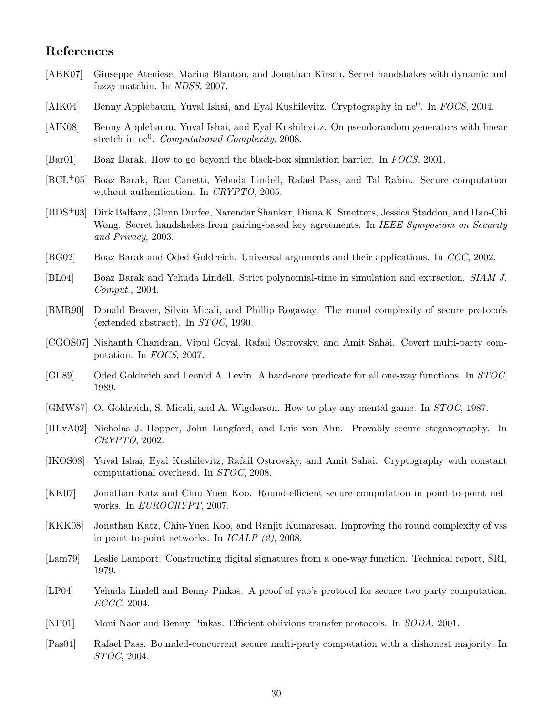# References

- [ABK07] Giuseppe Ateniese, Marina Blanton, and Jonathan Kirsch. Secret handshakes with dynamic and fuzzy matchin. In NDSS, 2007.
- [AIK04] Benny Applebaum, Yuval Ishai, and Eyal Kushilevitz. Cryptography in nc<sup>0</sup>. In FOCS, 2004.
- [AIK08] Benny Applebaum, Yuval Ishai, and Eyal Kushilevitz. On pseudorandom generators with linear stretch in  $\mathrm{nc}^0$ . Computational Complexity, 2008.
- [Bar01] Boaz Barak. How to go beyond the black-box simulation barrier. In FOCS, 2001.
- [BCL+05] Boaz Barak, Ran Canetti, Yehuda Lindell, Rafael Pass, and Tal Rabin. Secure computation without authentication. In *CRYPTO*, 2005.
- [BDS+03] Dirk Balfanz, Glenn Durfee, Narendar Shankar, Diana K. Smetters, Jessica Staddon, and Hao-Chi Wong. Secret handshakes from pairing-based key agreements. In IEEE Symposium on Security and Privacy, 2003.
- [BG02] Boaz Barak and Oded Goldreich. Universal arguments and their applications. In CCC, 2002.
- [BL04] Boaz Barak and Yehuda Lindell. Strict polynomial-time in simulation and extraction. SIAM J. Comput., 2004.
- [BMR90] Donald Beaver, Silvio Micali, and Phillip Rogaway. The round complexity of secure protocols (extended abstract). In STOC, 1990.
- [CGOS07] Nishanth Chandran, Vipul Goyal, Rafail Ostrovsky, and Amit Sahai. Covert multi-party computation. In FOCS, 2007.
- [GL89] Oded Goldreich and Leonid A. Levin. A hard-core predicate for all one-way functions. In STOC, 1989.
- [GMW87] O. Goldreich, S. Micali, and A. Wigderson. How to play any mental game. In STOC, 1987.
- [HLvA02] Nicholas J. Hopper, John Langford, and Luis von Ahn. Provably secure steganography. In CRYPTO, 2002.
- [IKOS08] Yuval Ishai, Eyal Kushilevitz, Rafail Ostrovsky, and Amit Sahai. Cryptography with constant computational overhead. In STOC, 2008.
- [KK07] Jonathan Katz and Chiu-Yuen Koo. Round-efficient secure computation in point-to-point networks. In EUROCRYPT, 2007.
- [KKK08] Jonathan Katz, Chiu-Yuen Koo, and Ranjit Kumaresan. Improving the round complexity of vss in point-to-point networks. In ICALP (2), 2008.
- [Lam79] Leslie Lamport. Constructing digital signatures from a one-way function. Technical report, SRI, 1979.
- [LP04] Yehuda Lindell and Benny Pinkas. A proof of yao's protocol for secure two-party computation. ECCC, 2004.
- [NP01] Moni Naor and Benny Pinkas. Efficient oblivious transfer protocols. In SODA, 2001.
- [Pas04] Rafael Pass. Bounded-concurrent secure multi-party computation with a dishonest majority. In STOC, 2004.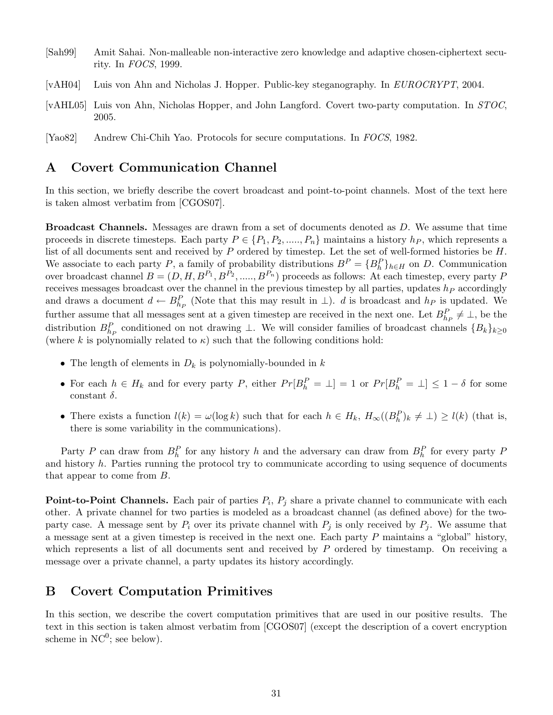- [Sah99] Amit Sahai. Non-malleable non-interactive zero knowledge and adaptive chosen-ciphertext security. In FOCS, 1999.
- [vAH04] Luis von Ahn and Nicholas J. Hopper. Public-key steganography. In EUROCRYPT, 2004.
- [vAHL05] Luis von Ahn, Nicholas Hopper, and John Langford. Covert two-party computation. In STOC, 2005.
- [Yao82] Andrew Chi-Chih Yao. Protocols for secure computations. In FOCS, 1982.

# A Covert Communication Channel

In this section, we briefly describe the covert broadcast and point-to-point channels. Most of the text here is taken almost verbatim from [CGOS07].

Broadcast Channels. Messages are drawn from a set of documents denoted as D. We assume that time proceeds in discrete timesteps. Each party  $P \in \{P_1, P_2, \ldots, P_n\}$  maintains a history  $h_P$ , which represents a list of all documents sent and received by P ordered by timestep. Let the set of well-formed histories be H. We associate to each party P, a family of probability distributions  $B^P = \{B^P_h\}_{h\in H}$  on D. Communication over broadcast channel  $B = (D, H, B^{P_1}, B^{P_2}, \dots, B^{P_n})$  proceeds as follows: At each timestep, every party P receives messages broadcast over the channel in the previous timestep by all parties, updates  $h<sub>P</sub>$  accordingly and draws a document  $d \leftarrow B_{hp}^P$  (Note that this may result in  $\perp$ ). d is broadcast and  $hp$  is updated. We further assume that all messages sent at a given timestep are received in the next one. Let  $B_{h_P}^P \neq \bot$ , be the distribution  $B_{h_P}^P$  conditioned on not drawing  $\perp$ . We will consider families of broadcast channels  $\{B_k\}_{k\geq 0}$ (where k is polynomially related to  $\kappa$ ) such that the following conditions hold:

- The length of elements in  $D_k$  is polynomially-bounded in  $k$
- For each  $h \in H_k$  and for every party P, either  $Pr[B_h^P = \perp] = 1$  or  $Pr[B_h^P = \perp] \leq 1 \delta$  for some constant  $\delta$ .
- There exists a function  $l(k) = \omega(\log k)$  such that for each  $h \in H_k$ ,  $H_\infty((B_h^P)_k \neq \bot) \geq l(k)$  (that is, there is some variability in the communications).

Party P can draw from  $B_h^P$  for any history h and the adversary can draw from  $B_h^P$  for every party P and history h. Parties running the protocol try to communicate according to using sequence of documents that appear to come from B.

**Point-to-Point Channels.** Each pair of parties  $P_i$ ,  $P_j$  share a private channel to communicate with each other. A private channel for two parties is modeled as a broadcast channel (as defined above) for the twoparty case. A message sent by  $P_i$  over its private channel with  $P_j$  is only received by  $P_j$ . We assume that a message sent at a given timestep is received in the next one. Each party P maintains a "global" history, which represents a list of all documents sent and received by P ordered by timestamp. On receiving a message over a private channel, a party updates its history accordingly.

# B Covert Computation Primitives

In this section, we describe the covert computation primitives that are used in our positive results. The text in this section is taken almost verbatim from [CGOS07] (except the description of a covert encryption scheme in  $NC^0$ ; see below).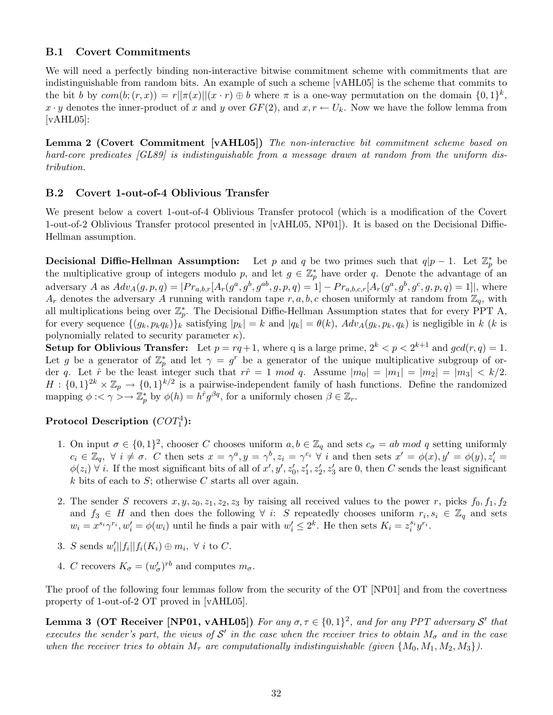## B.1 Covert Commitments

We will need a perfectly binding non-interactive bitwise commitment scheme with commitments that are indistinguishable from random bits. An example of such a scheme [vAHL05] is the scheme that commits to the bit b by  $com(b; (r, x)) = r||\pi(x)||(x \cdot r) \oplus b$  where  $\pi$  is a one-way permutation on the domain  $\{0, 1\}^k$ ,  $x \cdot y$  denotes the inner-product of x and y over  $GF(2)$ , and  $x, r \leftarrow U_k$ . Now we have the follow lemma from  $[**v**AHL05]:$ 

Lemma 2 (Covert Commitment [vAHL05]) The non-interactive bit commitment scheme based on hard-core predicates (GL89) is indistinguishable from a message drawn at random from the uniform distribution.

## B.2 Covert 1-out-of-4 Oblivious Transfer

We present below a covert 1-out-of-4 Oblivious Transfer protocol (which is a modification of the Covert 1-out-of-2 Oblivious Transfer protocol presented in [vAHL05, NP01]). It is based on the Decisional Diffie-Hellman assumption.

**Decisional Diffie-Hellman Assumption:** Let p and q be two primes such that  $q|p-1$ . Let  $\mathbb{Z}_p^*$  be the multiplicative group of integers modulo p, and let  $g \in \mathbb{Z}_p^*$  have order q. Denote the advantage of an adversary A as  $Adv_A(g, p, q) = |Pr_{a,b,r}[A_r(g^a, g^b, g^{ab}, g, p, q) = 1] - Pr_{a,b,c,r}[A_r(g^a, g^b, g^c, g, p, q) = 1]|$ , where  $A_r$  denotes the adversary A running with random tape r, a, b, c chosen uniformly at random from  $\mathbb{Z}_q$ , with all multiplications being over  $\mathbb{Z}_p^*$ . The Decisional Diffie-Hellman Assumption states that for every PPT A, for every sequence  $\{(g_k, p_kq_k)\}_k$  satisfying  $|p_k| = k$  and  $|q_k| = \theta(k)$ ,  $Adv_A(g_k, p_k, q_k)$  is negligible in k (k is polynomially related to security parameter  $\kappa$ ).

**Setup for Oblivious Transfer:** Let  $p = rq + 1$ , where q is a large prime,  $2^k < p < 2^{k+1}$  and  $gcd(r, q) = 1$ . Let g be a generator of  $\mathbb{Z}_p^*$  and let  $\gamma = g^r$  be a generator of the unique multiplicative subgroup of order q. Let  $\hat{r}$  be the least integer such that  $r\hat{r} = 1 \mod q$ . Assume  $|m_0| = |m_1| = |m_2| = |m_3| < k/2$ .  $H: \{0,1\}^{2k} \times \mathbb{Z}_p \to \{0,1\}^{k/2}$  is a pairwise-independent family of hash functions. Define the randomized mapping  $\phi: \langle \gamma \rangle \to \mathbb{Z}_p^*$  by  $\phi(h) = h^{\hat{r}} g^{\beta q}$ , for a uniformly chosen  $\beta \in \mathbb{Z}_r$ .

# $\operatorname{Protocol}$  Description  $(COT_1^4)$ :

- 1. On input  $\sigma \in \{0,1\}^2$ , chooser C chooses uniform  $a, b \in \mathbb{Z}_q$  and sets  $c_{\sigma} = ab \mod q$  setting uniformly  $c_i \in \mathbb{Z}_q$ ,  $\forall i \neq \sigma$ . C then sets  $x = \gamma^a$ ,  $y = \gamma^b$ ,  $z_i = \gamma^{c_i}$   $\forall i$  and then sets  $x' = \phi(x)$ ,  $y' = \phi(y)$ ,  $z'_i =$  $\phi(z_i)$   $\forall$  *i*. If the most significant bits of all of  $x', y', z'_0, z'_1, z'_2, z'_3$  are 0, then C sends the least significant  $k$  bits of each to  $S$ ; otherwise  $C$  starts all over again.
- 2. The sender S recovers  $x, y, z_0, z_1, z_2, z_3$  by raising all received values to the power r, picks  $f_0, f_1, f_2$ and  $f_3 \in H$  and then does the following  $\forall i: S$  repeatedly chooses uniform  $r_i, s_i \in \mathbb{Z}_q$  and sets  $w_i = x^{s_i} \gamma^{r_i}, w'_i = \phi(w_i)$  until he finds a pair with  $w'_i \leq 2^k$ . He then sets  $K_i = z_i^{s_i} y^{r_i}$ .
- 3. S sends  $w_i'||f_i||f_i(K_i) \oplus m_i, \ \forall \ i \text{ to } C.$
- 4. C recovers  $K_{\sigma} = (w_{\sigma}')^{rb}$  and computes  $m_{\sigma}$ .

The proof of the following four lemmas follow from the security of the OT [NP01] and from the covertness property of 1-out-of-2 OT proved in [vAHL05].

**Lemma 3 (OT Receiver [NP01, vAHL05])** For any  $\sigma, \tau \in \{0, 1\}^2$ , and for any PPT adversary S' that executes the sender's part, the views of S' in the case when the receiver tries to obtain  $M_{\sigma}$  and in the case when the receiver tries to obtain  $M_{\tau}$  are computationally indistinguishable (given  $\{M_0, M_1, M_2, M_3\}$ ).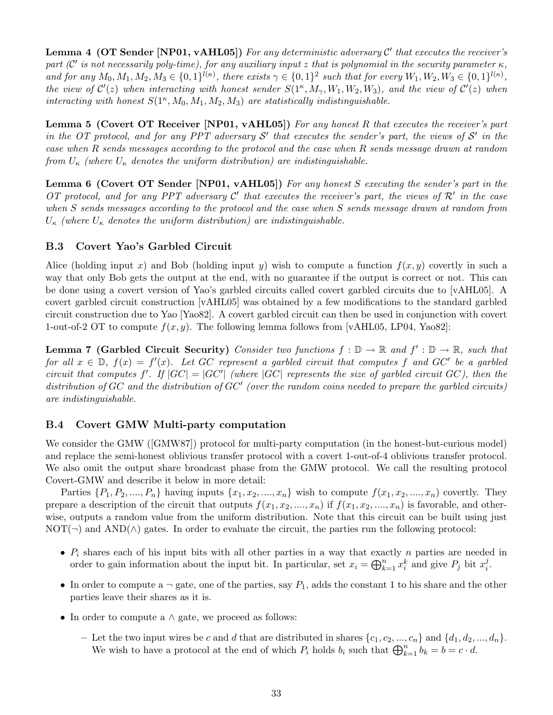**Lemma 4 (OT Sender [NP01, vAHL05])** For any deterministic adversary  $\mathcal{C}'$  that executes the receiver's part (C' is not necessarily poly-time), for any auxiliary input z that is polynomial in the security parameter  $\kappa$ , and for any  $M_0, M_1, M_2, M_3 \in \{0, 1\}^{l(\kappa)}$ , there exists  $\gamma \in \{0, 1\}^2$  such that for every  $W_1, W_2, W_3 \in \{0, 1\}^{l(\kappa)}$ , the view of  $\mathcal{C}'(z)$  when interacting with honest sender  $S(1^{\kappa}, M_{\gamma}, W_1, W_2, W_3)$ , and the view of  $\mathcal{C}'(z)$  when interacting with honest  $S(1^{\kappa}, M_0, M_1, M_2, M_3)$  are statistically indistinguishable.

Lemma 5 (Covert OT Receiver [NP01, vAHL05]) For any honest R that executes the receiver's part in the OT protocol, and for any PPT adversary  $S'$  that executes the sender's part, the views of  $S'$  in the case when R sends messages according to the protocol and the case when R sends message drawn at random from  $U_{\kappa}$  (where  $U_{\kappa}$  denotes the uniform distribution) are indistinguishable.

**Lemma 6 (Covert OT Sender [NP01, vAHL05])** For any honest S executing the sender's part in the OT protocol, and for any PPT adversary  $\mathcal{C}'$  that executes the receiver's part, the views of  $\mathcal{R}'$  in the case when S sends messages according to the protocol and the case when S sends message drawn at random from  $U_{\kappa}$  (where  $U_{\kappa}$  denotes the uniform distribution) are indistinguishable.

# B.3 Covert Yao's Garbled Circuit

Alice (holding input x) and Bob (holding input y) wish to compute a function  $f(x, y)$  covertly in such a way that only Bob gets the output at the end, with no guarantee if the output is correct or not. This can be done using a covert version of Yao's garbled circuits called covert garbled circuits due to [vAHL05]. A covert garbled circuit construction [vAHL05] was obtained by a few modifications to the standard garbled circuit construction due to Yao [Yao82]. A covert garbled circuit can then be used in conjunction with covert 1-out-of-2 OT to compute  $f(x, y)$ . The following lemma follows from [vAHL05, LP04, Yao82]:

**Lemma 7 (Garbled Circuit Security)** Consider two functions  $f : \mathbb{D} \to \mathbb{R}$  and  $f' : \mathbb{D} \to \mathbb{R}$ , such that for all  $x \in \mathbb{D}$ ,  $f(x) = f'(x)$ . Let GC represent a garbled circuit that computes f and GC' be a garbled circuit that computes f'. If  $|GC| = |GC'|$  (where  $|GC|$  represents the size of garbled circuit GC), then the distribution of  $GC$  and the distribution of  $GC'$  (over the random coins needed to prepare the garbled circuits) are indistinguishable.

## B.4 Covert GMW Multi-party computation

We consider the GMW ([GMW87]) protocol for multi-party computation (in the honest-but-curious model) and replace the semi-honest oblivious transfer protocol with a covert 1-out-of-4 oblivious transfer protocol. We also omit the output share broadcast phase from the GMW protocol. We call the resulting protocol Covert-GMW and describe it below in more detail:

Parties  $\{P_1, P_2, \ldots, P_n\}$  having inputs  $\{x_1, x_2, \ldots, x_n\}$  wish to compute  $f(x_1, x_2, \ldots, x_n)$  covertly. They prepare a description of the circuit that outputs  $f(x_1, x_2, \ldots, x_n)$  if  $f(x_1, x_2, \ldots, x_n)$  is favorable, and otherwise, outputs a random value from the uniform distribution. Note that this circuit can be built using just  $NOT(\neg)$  and  $AND(\wedge)$  gates. In order to evaluate the circuit, the parties run the following protocol:

- $P_i$  shares each of his input bits with all other parties in a way that exactly n parties are needed in order to gain information about the input bit. In particular, set  $x_i = \bigoplus_{k=1}^n x_i^k$  and give  $P_j$  bit  $x_i^j$  $\frac{j}{i}$ .
- In order to compute a  $\neg$  gate, one of the parties, say  $P_1$ , adds the constant 1 to his share and the other parties leave their shares as it is.
- In order to compute a ∧ gate, we proceed as follows:
	- Let the two input wires be c and d that are distributed in shares  $\{c_1, c_2, ..., c_n\}$  and  $\{d_1, d_2, ..., d_n\}$ . We wish to have a protocol at the end of which  $P_i$  holds  $b_i$  such that  $\bigoplus_{k=1}^n b_k = b = c \cdot d$ .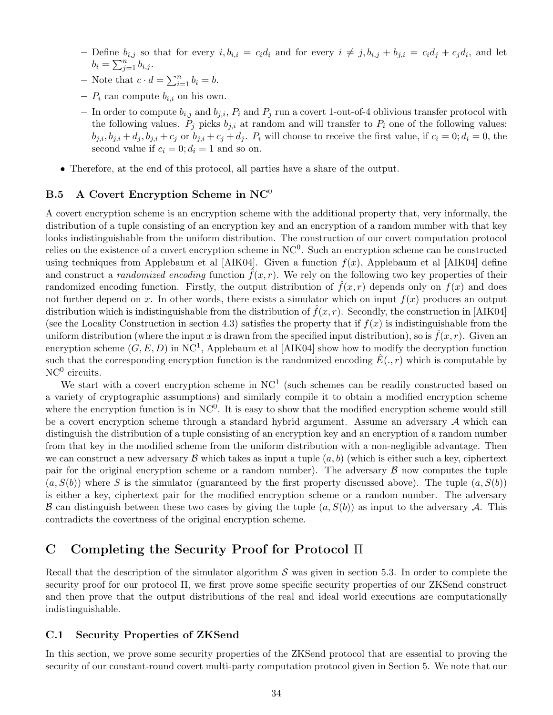- Define  $b_{i,j}$  so that for every  $i, b_{i,i} = c_i d_i$  and for every  $i \neq j, b_{i,j} + b_{j,i} = c_i d_j + c_j d_i$ , and let  $b_i = \sum_{j=1}^n b_{i,j}.$
- Note that  $c \cdot d = \sum_{i=1}^{n} b_i = b$ .
- $P_i$  can compute  $b_{i,i}$  on his own.
- In order to compute  $b_{i,j}$  and  $b_{j,i}$ ,  $P_i$  and  $P_j$  run a covert 1-out-of-4 oblivious transfer protocol with the following values.  $P_j$  picks  $b_{j,i}$  at random and will transfer to  $P_i$  one of the following values:  $b_{j,i}, b_{j,i} + d_j, b_{j,i} + c_j$  or  $b_{j,i} + c_j + d_j$ .  $P_i$  will choose to receive the first value, if  $c_i = 0; d_i = 0$ , the second value if  $c_i = 0; d_i = 1$  and so on.
- Therefore, at the end of this protocol, all parties have a share of the output.

# $B.5$  A Covert Encryption Scheme in NC<sup>0</sup>

A covert encryption scheme is an encryption scheme with the additional property that, very informally, the distribution of a tuple consisting of an encryption key and an encryption of a random number with that key looks indistinguishable from the uniform distribution. The construction of our covert computation protocol relies on the existence of a covert encryption scheme in  $NC<sup>0</sup>$ . Such an encryption scheme can be constructed using techniques from Applebaum et al [AIK04]. Given a function  $f(x)$ , Applebaum et al [AIK04] define and construct a *randomized encoding* function  $f(x, r)$ . We rely on the following two key properties of their randomized encoding function. Firstly, the output distribution of  $f(x, r)$  depends only on  $f(x)$  and does not further depend on x. In other words, there exists a simulator which on input  $f(x)$  produces an output distribution which is indistinguishable from the distribution of  $\hat{f}(x, r)$ . Secondly, the construction in [AIK04] (see the Locality Construction in section 4.3) satisfies the property that if  $f(x)$  is indistinguishable from the uniform distribution (where the input x is drawn from the specified input distribution), so is  $f(x, r)$ . Given an encryption scheme  $(G, E, D)$  in NC<sup>1</sup>, Applebaum et al [AIK04] show how to modify the decryption function such that the corresponding encryption function is the randomized encoding  $\hat{E}(.,r)$  which is computable by NC<sup>0</sup> circuits.

We start with a covert encryption scheme in  $NC<sup>1</sup>$  (such schemes can be readily constructed based on a variety of cryptographic assumptions) and similarly compile it to obtain a modified encryption scheme where the encryption function is in  $NC^0$ . It is easy to show that the modified encryption scheme would still be a covert encryption scheme through a standard hybrid argument. Assume an adversary  $A$  which can distinguish the distribution of a tuple consisting of an encryption key and an encryption of a random number from that key in the modified scheme from the uniform distribution with a non-negligible advantage. Then we can construct a new adversary  $\mathcal B$  which takes as input a tuple  $(a, b)$  (which is either such a key, ciphertext pair for the original encryption scheme or a random number). The adversary  $\beta$  now computes the tuple  $(a, S(b))$  where S is the simulator (guaranteed by the first property discussed above). The tuple  $(a, S(b))$ is either a key, ciphertext pair for the modified encryption scheme or a random number. The adversary  $\mathcal B$  can distinguish between these two cases by giving the tuple  $(a, S(b))$  as input to the adversary  $\mathcal A$ . This contradicts the covertness of the original encryption scheme.

# C Completing the Security Proof for Protocol Π

Recall that the description of the simulator algorithm  $S$  was given in section 5.3. In order to complete the security proof for our protocol Π, we first prove some specific security properties of our ZKSend construct and then prove that the output distributions of the real and ideal world executions are computationally indistinguishable.

## C.1 Security Properties of ZKSend

In this section, we prove some security properties of the ZKSend protocol that are essential to proving the security of our constant-round covert multi-party computation protocol given in Section 5. We note that our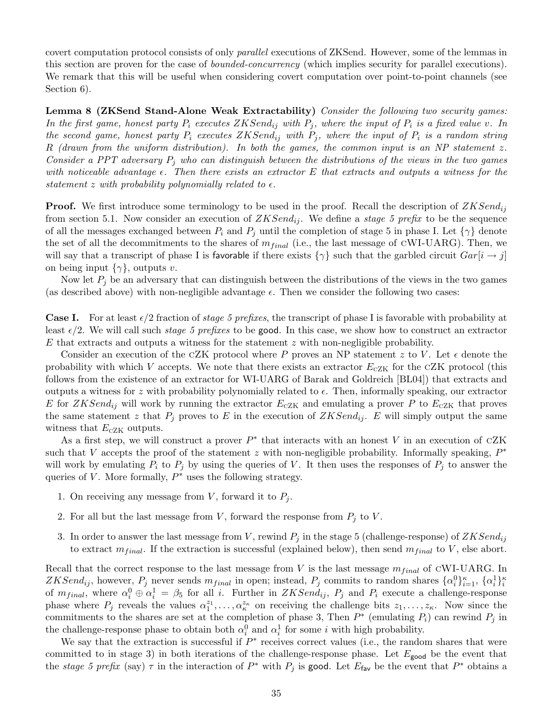covert computation protocol consists of only parallel executions of ZKSend. However, some of the lemmas in this section are proven for the case of *bounded-concurrency* (which implies security for parallel executions). We remark that this will be useful when considering covert computation over point-to-point channels (see Section 6).

Lemma 8 (ZKSend Stand-Alone Weak Extractability) Consider the following two security games: In the first game, honest party  $P_i$  executes  $ZKSend_{ij}$  with  $P_j$ , where the input of  $P_i$  is a fixed value v. In the second game, honest party  $P_i$  executes  $ZKSend_{ij}$  with  $P_j$ , where the input of  $P_i$  is a random string R (drawn from the uniform distribution). In both the games, the common input is an NP statement z. Consider a PPT adversary  $P_i$  who can distinguish between the distributions of the views in the two games with noticeable advantage  $\epsilon$ . Then there exists an extractor E that extracts and outputs a witness for the statement z with probability polynomially related to  $\epsilon$ .

**Proof.** We first introduce some terminology to be used in the proof. Recall the description of  $ZKSend_{ij}$ from section 5.1. Now consider an execution of  $ZKSend_{ij}$ . We define a stage 5 prefix to be the sequence of all the messages exchanged between  $P_i$  and  $P_j$  until the completion of stage 5 in phase I. Let  $\{\gamma\}$  denote the set of all the decommitments to the shares of  $m_{final}$  (i.e., the last message of CWI-UARG). Then, we will say that a transcript of phase I is favorable if there exists  $\{\gamma\}$  such that the garbled circuit  $Gar[i \rightarrow j]$ on being input  $\{\gamma\}$ , outputs v.

Now let  $P_i$  be an adversary that can distinguish between the distributions of the views in the two games (as described above) with non-negligible advantage  $\epsilon$ . Then we consider the following two cases:

**Case I.** For at least  $\epsilon/2$  fraction of *stage 5 prefixes*, the transcript of phase I is favorable with probability at least  $\epsilon/2$ . We will call such *stage 5 prefixes* to be good. In this case, we show how to construct an extractor  $E$  that extracts and outputs a witness for the statement  $z$  with non-negligible probability.

Consider an execution of the CZK protocol where P proves an NP statement z to V. Let  $\epsilon$  denote the probability with which V accepts. We note that there exists an extractor  $E_{CZK}$  for the CZK protocol (this follows from the existence of an extractor for WI-UARG of Barak and Goldreich [BL04]) that extracts and outputs a witness for z with probability polynomially related to  $\epsilon$ . Then, informally speaking, our extractor E for ZKSend<sub>ij</sub> will work by running the extractor  $E_{\text{cZK}}$  and emulating a prover P to  $E_{\text{cZK}}$  that proves the same statement z that  $P_j$  proves to E in the execution of  $ZKSend_{ij}$ . E will simply output the same witness that  $E_{\rm cZK}$  outputs.

As a first step, we will construct a prover  $P^*$  that interacts with an honest V in an execution of CZK such that V accepts the proof of the statement z with non-negligible probability. Informally speaking,  $P^*$ will work by emulating  $P_i$  to  $P_j$  by using the queries of V. It then uses the responses of  $P_j$  to answer the queries of V. More formally,  $P^*$  uses the following strategy.

- 1. On receiving any message from V, forward it to  $P_i$ .
- 2. For all but the last message from V, forward the response from  $P_i$  to V.
- 3. In order to answer the last message from V, rewind  $P_i$  in the stage 5 (challenge-response) of  $ZKSend_{ij}$ to extract  $m_{final}$ . If the extraction is successful (explained below), then send  $m_{final}$  to V, else abort.

Recall that the correct response to the last message from  $V$  is the last message  $m_{final}$  of CWI-UARG. In  $ZKSend_{ij}$ , however,  $P_j$  never sends  $m_{final}$  in open; instead,  $P_j$  commits to random shares  $\{\alpha_i^0\}_{i=1}^{\kappa}$ ,  $\{\alpha_i^1\}_{i=1}^{\kappa}$ of  $m_{final}$ , where  $\alpha_i^0 \oplus \alpha_i^1 = \beta_5$  for all i. Further in  $ZKSend_{ij}$ ,  $P_j$  and  $P_i$  execute a challenge-response phase where  $P_j$  reveals the values  $\alpha_1^{z_1}, \ldots, \alpha_k^{z_k}$  on receiving the challenge bits  $z_1, \ldots, z_k$ . Now since the commitments to the shares are set at the completion of phase 3, Then  $P^*$  (emulating  $P_i$ ) can rewind  $P_j$  in the challenge-response phase to obtain both  $\alpha_i^0$  and  $\alpha_i^1$  for some *i* with high probability.

We say that the extraction is successful if  $P^*$  receives correct values (i.e., the random shares that were committed to in stage 3) in both iterations of the challenge-response phase. Let  $E_{\text{good}}$  be the event that the *stage 5 prefix* (say)  $\tau$  in the interaction of  $P^*$  with  $P_j$  is **good**. Let  $E_{\text{fav}}$  be the event that  $P^*$  obtains a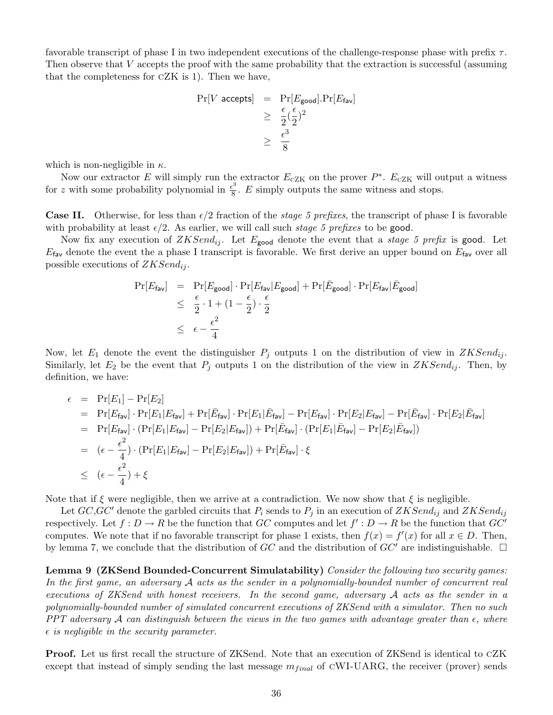favorable transcript of phase I in two independent executions of the challenge-response phase with prefix  $\tau$ . Then observe that V accepts the proof with the same probability that the extraction is successful (assuming that the completeness for cZK is 1). Then we have,

$$
\Pr[V \text{ accepts}] = \Pr[E_{\text{good}}] \cdot \Pr[E_{\text{fav}}]
$$

$$
\geq \frac{\epsilon}{2} (\frac{\epsilon}{2})^2
$$

$$
\geq \frac{\epsilon^3}{8}
$$

which is non-negligible in  $\kappa$ .

Now our extractor E will simply run the extractor  $E_{\text{cZK}}$  on the prover  $P^*$ .  $E_{\text{cZK}}$  will output a witness for z with some probability polynomial in  $\frac{\epsilon^3}{8}$  $\frac{e^2}{8}$ . *E* simply outputs the same witness and stops.

**Case II.** Otherwise, for less than  $\epsilon/2$  fraction of the *stage 5 prefixes*, the transcript of phase I is favorable with probability at least  $\epsilon/2$ . As earlier, we will call such stage 5 prefixes to be good.

Now fix any execution of  $ZKSend_{ij}$ . Let  $E_{good}$  denote the event that a *stage 5 prefix* is good. Let  $E_{\text{fav}}$  denote the event the a phase I transcript is favorable. We first derive an upper bound on  $E_{\text{fav}}$  over all possible executions of  $ZKSend_{ij}$ .

$$
Pr[E_{\text{fav}}] = Pr[E_{\text{good}}] \cdot Pr[E_{\text{fav}}|E_{\text{good}}] + Pr[\bar{E}_{\text{good}}] \cdot Pr[E_{\text{fav}}|\bar{E}_{\text{good}}]
$$
  
\n
$$
\leq \frac{\epsilon}{2} \cdot 1 + (1 - \frac{\epsilon}{2}) \cdot \frac{\epsilon}{2}
$$
  
\n
$$
\leq \epsilon - \frac{\epsilon^2}{4}
$$

Now, let  $E_1$  denote the event the distinguisher  $P_j$  outputs 1 on the distribution of view in ZKSend<sub>ij</sub>. Similarly, let  $E_2$  be the event that  $P_j$  outputs 1 on the distribution of the view in  $ZKSend_{ij}$ . Then, by definition, we have:

$$
\epsilon = \Pr[E_1] - \Pr[E_2]
$$
\n
$$
= \Pr[E_{\text{fav}}] \cdot \Pr[E_1 | E_{\text{fav}}] + \Pr[\bar{E}_{\text{fav}}] \cdot \Pr[E_1 | \bar{E}_{\text{fav}}] - \Pr[E_{\text{fav}}] \cdot \Pr[E_2 | E_{\text{fav}}] - \Pr[\bar{E}_{\text{fav}}] \cdot \Pr[E_2 | \bar{E}_{\text{fav}}]
$$
\n
$$
= \Pr[E_{\text{fav}}] \cdot (\Pr[E_1 | E_{\text{fav}}] - \Pr[E_2 | E_{\text{fav}}]) + \Pr[\bar{E}_{\text{fav}}] \cdot (\Pr[E_1 | \bar{E}_{\text{fav}}] - \Pr[E_2 | \bar{E}_{\text{fav}}])
$$
\n
$$
= (\epsilon - \frac{\epsilon^2}{4}) \cdot (\Pr[E_1 | E_{\text{fav}}] - \Pr[E_2 | E_{\text{fav}}]) + \Pr[\bar{E}_{\text{fav}}] \cdot \xi
$$
\n
$$
\leq (\epsilon - \frac{\epsilon^2}{4}) + \xi
$$

Note that if  $\xi$  were negligible, then we arrive at a contradiction. We now show that  $\xi$  is negligible.

Let  $GC,GC'$  denote the garbled circuits that  $P_i$  sends to  $P_j$  in an execution of  $ZKSend_{ij}$  and  $ZKSend_{ij}$ respectively. Let  $f: D \to R$  be the function that  $GC$  computes and let  $f': D \to R$  be the function that  $GC'$ computes. We note that if no favorable transcript for phase 1 exists, then  $f(x) = f'(x)$  for all  $x \in D$ . Then, by lemma 7, we conclude that the distribution of  $GC$  and the distribution of  $GC'$  are indistinguishable.  $\Box$ 

Lemma 9 (ZKSend Bounded-Concurrent Simulatability) Consider the following two security games: In the first game, an adversary A acts as the sender in a polynomially-bounded number of concurrent real executions of ZKSend with honest receivers. In the second game, adversary A acts as the sender in a polynomially-bounded number of simulated concurrent executions of ZKSend with a simulator. Then no such PPT adversary A can distinguish between the views in the two games with advantage greater than  $\epsilon$ , where  $\epsilon$  is negligible in the security parameter.

Proof. Let us first recall the structure of ZKSend. Note that an execution of ZKSend is identical to cZK except that instead of simply sending the last message  $m_{final}$  of CWI-UARG, the receiver (prover) sends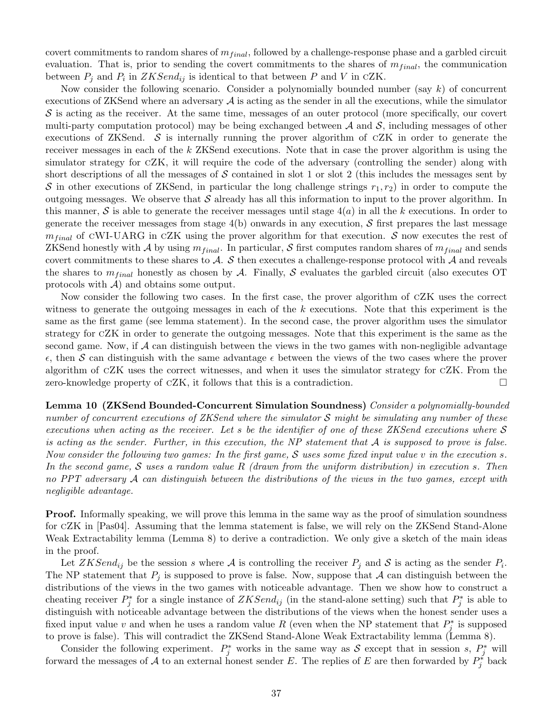covert commitments to random shares of  $m_{final}$ , followed by a challenge-response phase and a garbled circuit evaluation. That is, prior to sending the covert commitments to the shares of  $m_{final}$ , the communication between  $P_j$  and  $P_i$  in  $ZKSend_{ij}$  is identical to that between  $P$  and  $V$  in CZK.

Now consider the following scenario. Consider a polynomially bounded number (say  $k$ ) of concurrent executions of ZKSend where an adversary  $A$  is acting as the sender in all the executions, while the simulator  $S$  is acting as the receiver. At the same time, messages of an outer protocol (more specifically, our covert multi-party computation protocol) may be being exchanged between  $A$  and  $S$ , including messages of other executions of ZKSend.  $\mathcal{S}$  is internally running the prover algorithm of CZK in order to generate the receiver messages in each of the k ZKSend executions. Note that in case the prover algorithm is using the simulator strategy for cZK, it will require the code of the adversary (controlling the sender) along with short descriptions of all the messages of  $S$  contained in slot 1 or slot 2 (this includes the messages sent by S in other executions of ZKSend, in particular the long challenge strings  $r_1, r_2$ ) in order to compute the outgoing messages. We observe that  $\mathcal S$  already has all this information to input to the prover algorithm. In this manner, S is able to generate the receiver messages until stage  $4(a)$  in all the k executions. In order to generate the receiver messages from stage  $4(b)$  onwards in any execution, S first prepares the last message  $m_{final}$  of CWI-UARG in CZK using the prover algorithm for that execution. S now executes the rest of ZKSend honestly with A by using  $m_{final}$ . In particular, S first computes random shares of  $m_{final}$  and sends covert commitments to these shares to  $A$ . S then executes a challenge-response protocol with  $A$  and reveals the shares to  $m_{final}$  honestly as chosen by A. Finally, S evaluates the garbled circuit (also executes OT protocols with  $\mathcal{A}$  and obtains some output.

Now consider the following two cases. In the first case, the prover algorithm of cZK uses the correct witness to generate the outgoing messages in each of the  $k$  executions. Note that this experiment is the same as the first game (see lemma statement). In the second case, the prover algorithm uses the simulator strategy for cZK in order to generate the outgoing messages. Note that this experiment is the same as the second game. Now, if  $\mathcal A$  can distinguish between the views in the two games with non-negligible advantage  $\epsilon$ , then S can distinguish with the same advantage  $\epsilon$  between the views of the two cases where the prover algorithm of cZK uses the correct witnesses, and when it uses the simulator strategy for cZK. From the zero-knowledge property of  $CZK$ , it follows that this is a contradiction.

Lemma 10 (ZKSend Bounded-Concurrent Simulation Soundness) Consider a polynomially-bounded number of concurrent executions of ZKSend where the simulator  $\mathcal S$  might be simulating any number of these executions when acting as the receiver. Let s be the identifier of one of these ZKSend executions where S is acting as the sender. Further, in this execution, the NP statement that  $A$  is supposed to prove is false. Now consider the following two games: In the first game, S uses some fixed input value v in the execution s. In the second game, S uses a random value R (drawn from the uniform distribution) in execution s. Then no PPT adversary A can distinguish between the distributions of the views in the two games, except with negligible advantage.

**Proof.** Informally speaking, we will prove this lemma in the same way as the proof of simulation soundness for cZK in [Pas04]. Assuming that the lemma statement is false, we will rely on the ZKSend Stand-Alone Weak Extractability lemma (Lemma 8) to derive a contradiction. We only give a sketch of the main ideas in the proof.

Let ZKSend<sub>ij</sub> be the session s where A is controlling the receiver  $P_j$  and S is acting as the sender  $P_i$ . The NP statement that  $P_j$  is supposed to prove is false. Now, suppose that A can distinguish between the distributions of the views in the two games with noticeable advantage. Then we show how to construct a cheating receiver  $P_j^*$  for a single instance of  $ZKSend_{ij}$  (in the stand-alone setting) such that  $P_j^*$  is able to distinguish with noticeable advantage between the distributions of the views when the honest sender uses a fixed input value v and when he uses a random value R (even when the NP statement that  $P_j^*$  is supposed to prove is false). This will contradict the ZKSend Stand-Alone Weak Extractability lemma (Lemma 8).

Consider the following experiment.  $P_j^*$  works in the same way as S except that in session s,  $P_j^*$  will forward the messages of A to an external honest sender E. The replies of E are then forwarded by  $P_j^*$  back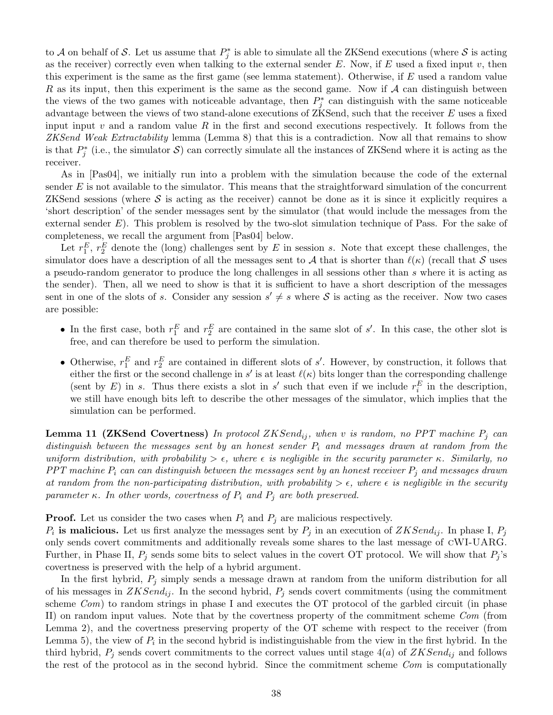to A on behalf of S. Let us assume that  $P_j^*$  is able to simulate all the ZKSend executions (where S is acting as the receiver) correctly even when talking to the external sender  $E$ . Now, if  $E$  used a fixed input  $v$ , then this experiment is the same as the first game (see lemma statement). Otherwise, if E used a random value R as its input, then this experiment is the same as the second game. Now if  $\mathcal A$  can distinguish between the views of the two games with noticeable advantage, then  $P_j^*$  can distinguish with the same noticeable advantage between the views of two stand-alone executions of ZKSend, such that the receiver E uses a fixed input input v and a random value R in the first and second executions respectively. It follows from the ZKSend Weak Extractability lemma (Lemma 8) that this is a contradiction. Now all that remains to show is that  $P_j^*$  (i.e., the simulator S) can correctly simulate all the instances of ZKSend where it is acting as the receiver.

As in [Pas04], we initially run into a problem with the simulation because the code of the external sender E is not available to the simulator. This means that the straightforward simulation of the concurrent ZKSend sessions (where  $\mathcal S$  is acting as the receiver) cannot be done as it is since it explicitly requires a 'short description' of the sender messages sent by the simulator (that would include the messages from the external sender  $E$ ). This problem is resolved by the two-slot simulation technique of Pass. For the sake of completeness, we recall the argument from [Pas04] below.

Let  $r_1^E$ ,  $r_2^E$  denote the (long) challenges sent by E in session s. Note that except these challenges, the simulator does have a description of all the messages sent to A that is shorter than  $\ell(\kappa)$  (recall that S uses a pseudo-random generator to produce the long challenges in all sessions other than s where it is acting as the sender). Then, all we need to show is that it is sufficient to have a short description of the messages sent in one of the slots of s. Consider any session  $s' \neq s$  where S is acting as the receiver. Now two cases are possible:

- In the first case, both  $r_1^E$  and  $r_2^E$  are contained in the same slot of s'. In this case, the other slot is free, and can therefore be used to perform the simulation.
- Otherwise,  $r_1^E$  and  $r_2^E$  are contained in different slots of s'. However, by construction, it follows that either the first or the second challenge in s' is at least  $\ell(\kappa)$  bits longer than the corresponding challenge (sent by E) in s. Thus there exists a slot in s' such that even if we include  $r_i^E$  in the description, we still have enough bits left to describe the other messages of the simulator, which implies that the simulation can be performed.

**Lemma 11 (ZKSend Covertness)** In protocol ZKSend<sub>ij</sub>, when v is random, no PPT machine  $P_j$  can distinguish between the messages sent by an honest sender  $P_i$  and messages drawn at random from the uniform distribution, with probability  $>\epsilon$ , where  $\epsilon$  is negligible in the security parameter κ. Similarly, no PPT machine  $P_i$  can can distinguish between the messages sent by an honest receiver  $P_j$  and messages drawn at random from the non-participating distribution, with probability  $> \epsilon$ , where  $\epsilon$  is negligible in the security parameter κ. In other words, covertness of  $P_i$  and  $P_j$  are both preserved.

**Proof.** Let us consider the two cases when  $P_i$  and  $P_j$  are malicious respectively.

 $P_i$  is malicious. Let us first analyze the messages sent by  $P_j$  in an execution of  $ZKSend_{ij}$ . In phase I,  $P_j$ only sends covert commitments and additionally reveals some shares to the last message of cWI-UARG. Further, in Phase II,  $P_j$  sends some bits to select values in the covert OT protocol. We will show that  $P_j$ 's covertness is preserved with the help of a hybrid argument.

In the first hybrid,  $P_i$  simply sends a message drawn at random from the uniform distribution for all of his messages in  $ZKSend_{ij}$ . In the second hybrid,  $P_j$  sends covert commitments (using the commitment scheme Com) to random strings in phase I and executes the OT protocol of the garbled circuit (in phase II) on random input values. Note that by the covertness property of the commitment scheme Com (from Lemma 2), and the covertness preserving property of the OT scheme with respect to the receiver (from Lemma 5), the view of  $P_i$  in the second hybrid is indistinguishable from the view in the first hybrid. In the third hybrid,  $P_j$  sends covert commitments to the correct values until stage  $4(a)$  of  $ZKSend_{ij}$  and follows the rest of the protocol as in the second hybrid. Since the commitment scheme Com is computationally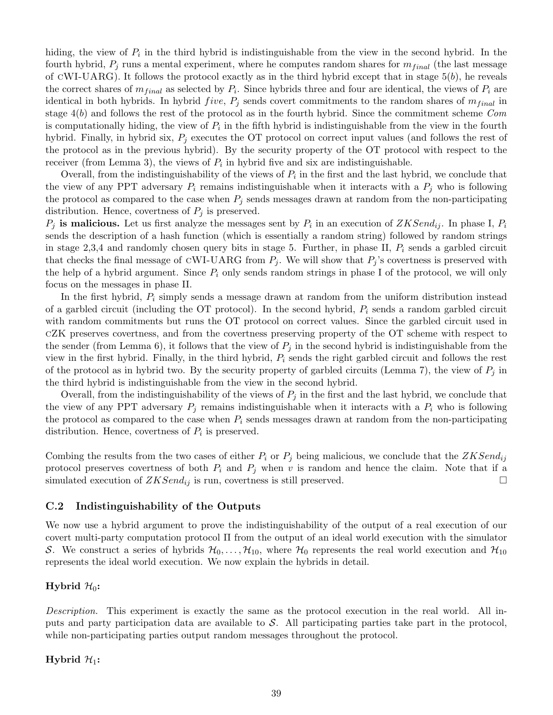hiding, the view of  $P_i$  in the third hybrid is indistinguishable from the view in the second hybrid. In the fourth hybrid,  $P_i$  runs a mental experiment, where he computes random shares for  $m_{final}$  (the last message of CWI-UARG). It follows the protocol exactly as in the third hybrid except that in stage  $5(b)$ , he reveals the correct shares of  $m_{final}$  as selected by  $P_i$ . Since hybrids three and four are identical, the views of  $P_i$  are identical in both hybrids. In hybrid *five,*  $P_j$  sends covert commitments to the random shares of  $m_{final}$  in stage  $4(b)$  and follows the rest of the protocol as in the fourth hybrid. Since the commitment scheme Com is computationally hiding, the view of  $P_i$  in the fifth hybrid is indistinguishable from the view in the fourth hybrid. Finally, in hybrid six,  $P_j$  executes the OT protocol on correct input values (and follows the rest of the protocol as in the previous hybrid). By the security property of the OT protocol with respect to the receiver (from Lemma 3), the views of  $P_i$  in hybrid five and six are indistinguishable.

Overall, from the indistinguishability of the views of  $P_i$  in the first and the last hybrid, we conclude that the view of any PPT adversary  $P_i$  remains indistinguishable when it interacts with a  $P_j$  who is following the protocol as compared to the case when  $P_j$  sends messages drawn at random from the non-participating distribution. Hence, covertness of  $P_j$  is preserved.

 $P_j$  is malicious. Let us first analyze the messages sent by  $P_i$  in an execution of  $ZKSend_{ij}$ . In phase I,  $P_i$ sends the description of a hash function (which is essentially a random string) followed by random strings in stage 2,3,4 and randomly chosen query bits in stage 5. Further, in phase II,  $P_i$  sends a garbled circuit that checks the final message of CWI-UARG from  $P_i$ . We will show that  $P_i$ 's covertness is preserved with the help of a hybrid argument. Since  $P_i$  only sends random strings in phase I of the protocol, we will only focus on the messages in phase II.

In the first hybrid,  $P_i$  simply sends a message drawn at random from the uniform distribution instead of a garbled circuit (including the OT protocol). In the second hybrid,  $P_i$  sends a random garbled circuit with random commitments but runs the OT protocol on correct values. Since the garbled circuit used in cZK preserves covertness, and from the covertness preserving property of the OT scheme with respect to the sender (from Lemma 6), it follows that the view of  $P_j$  in the second hybrid is indistinguishable from the view in the first hybrid. Finally, in the third hybrid,  $P_i$  sends the right garbled circuit and follows the rest of the protocol as in hybrid two. By the security property of garbled circuits (Lemma 7), the view of  $P_j$  in the third hybrid is indistinguishable from the view in the second hybrid.

Overall, from the indistinguishability of the views of  $P_j$  in the first and the last hybrid, we conclude that the view of any PPT adversary  $P_i$  remains indistinguishable when it interacts with a  $P_i$  who is following the protocol as compared to the case when  $P_i$  sends messages drawn at random from the non-participating distribution. Hence, covertness of  $P_i$  is preserved.

Combing the results from the two cases of either  $P_i$  or  $P_j$  being malicious, we conclude that the  $ZKSend_{ij}$ protocol preserves covertness of both  $P_i$  and  $P_j$  when v is random and hence the claim. Note that if a simulated execution of  $ZKSend_{ij}$  is run, covertness is still preserved.

## C.2 Indistinguishability of the Outputs

We now use a hybrid argument to prove the indistinguishability of the output of a real execution of our covert multi-party computation protocol Π from the output of an ideal world execution with the simulator S. We construct a series of hybrids  $\mathcal{H}_0, \ldots, \mathcal{H}_{10}$ , where  $\mathcal{H}_0$  represents the real world execution and  $\mathcal{H}_{10}$ represents the ideal world execution. We now explain the hybrids in detail.

#### Hybrid  $\mathcal{H}_0$ :

Description. This experiment is exactly the same as the protocol execution in the real world. All inputs and party participation data are available to S. All participating parties take part in the protocol, while non-participating parties output random messages throughout the protocol.

#### Hybrid  $\mathcal{H}_1$ :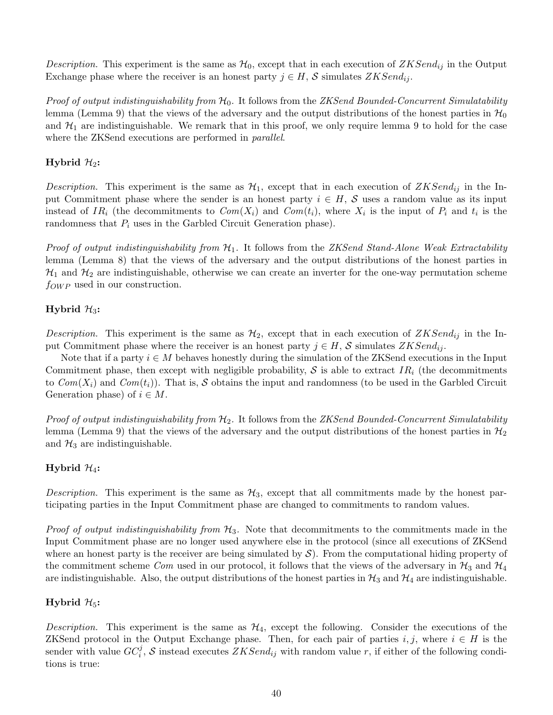Description. This experiment is the same as  $\mathcal{H}_0$ , except that in each execution of ZKSend<sub>ij</sub> in the Output Exchange phase where the receiver is an honest party  $j \in H$ , S simulates ZKSend<sub>ij</sub>.

Proof of output indistinguishability from  $\mathcal{H}_0$ . It follows from the ZKSend Bounded-Concurrent Simulatability lemma (Lemma 9) that the views of the adversary and the output distributions of the honest parties in  $\mathcal{H}_0$ and  $\mathcal{H}_1$  are indistinguishable. We remark that in this proof, we only require lemma 9 to hold for the case where the ZKSend executions are performed in *parallel*.

# Hybrid  $\mathcal{H}_2$ :

Description. This experiment is the same as  $\mathcal{H}_1$ , except that in each execution of ZKSend<sub>ij</sub> in the Input Commitment phase where the sender is an honest party  $i \in H$ , S uses a random value as its input instead of  $IR_i$  (the decommitments to  $Com(X_i)$  and  $Com(t_i)$ , where  $X_i$  is the input of  $P_i$  and  $t_i$  is the randomness that  $P_i$  uses in the Garbled Circuit Generation phase).

Proof of output indistinguishability from  $H_1$ . It follows from the ZKSend Stand-Alone Weak Extractability lemma (Lemma 8) that the views of the adversary and the output distributions of the honest parties in  $\mathcal{H}_1$  and  $\mathcal{H}_2$  are indistinguishable, otherwise we can create an inverter for the one-way permutation scheme  $f_{OWP}$  used in our construction.

# Hybrid  $\mathcal{H}_3$ :

Description. This experiment is the same as  $\mathcal{H}_2$ , except that in each execution of ZKSend<sub>ij</sub> in the Input Commitment phase where the receiver is an honest party  $j \in H$ , S simulates ZKSend<sub>ij</sub>.

Note that if a party  $i \in M$  behaves honestly during the simulation of the ZKSend executions in the Input Commitment phase, then except with negligible probability,  $S$  is able to extract  $IR_i$  (the decommitments to  $Com(X_i)$  and  $Com(t_i)$ ). That is, S obtains the input and randomness (to be used in the Garbled Circuit Generation phase) of  $i \in M$ .

*Proof of output indistinguishability from*  $H_2$ . It follows from the *ZKSend Bounded-Concurrent Simulatability* lemma (Lemma 9) that the views of the adversary and the output distributions of the honest parties in  $\mathcal{H}_2$ and  $H_3$  are indistinguishable.

## Hybrid  $\mathcal{H}_4$ :

Description. This experiment is the same as  $H_3$ , except that all commitments made by the honest participating parties in the Input Commitment phase are changed to commitments to random values.

*Proof of output indistinguishability from*  $H_3$ . Note that decommitments to the commitments made in the Input Commitment phase are no longer used anywhere else in the protocol (since all executions of ZKSend where an honest party is the receiver are being simulated by  $\mathcal{S}$ ). From the computational hiding property of the commitment scheme Com used in our protocol, it follows that the views of the adversary in  $\mathcal{H}_3$  and  $\mathcal{H}_4$ are indistinguishable. Also, the output distributions of the honest parties in  $\mathcal{H}_3$  and  $\mathcal{H}_4$  are indistinguishable.

## Hybrid  $\mathcal{H}_5$ :

Description. This experiment is the same as  $H_4$ , except the following. Consider the executions of the ZKSend protocol in the Output Exchange phase. Then, for each pair of parties  $i, j$ , where  $i \in H$  is the sender with value  $GC_i^j$ , S instead executes  $ZKSend_{ij}$  with random value r, if either of the following conditions is true: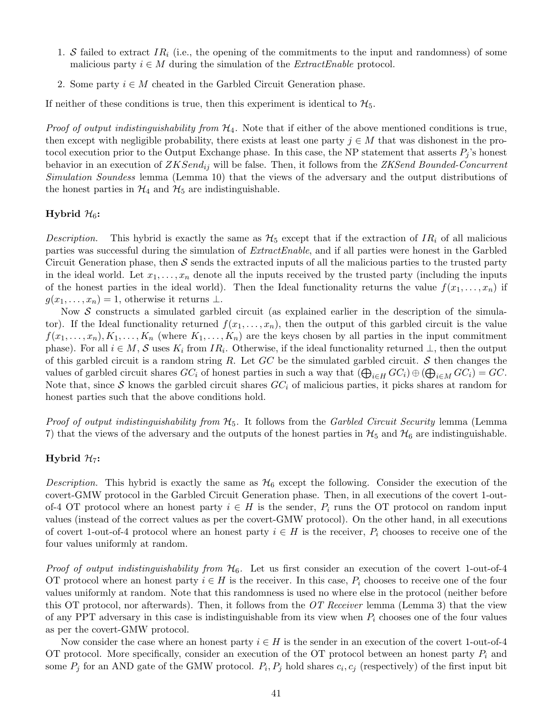- 1. S failed to extract  $IR_i$  (i.e., the opening of the commitments to the input and randomness) of some malicious party  $i \in M$  during the simulation of the *ExtractEnable* protocol.
- 2. Some party  $i \in M$  cheated in the Garbled Circuit Generation phase.

If neither of these conditions is true, then this experiment is identical to  $\mathcal{H}_5$ .

*Proof of output indistinguishability from*  $H_4$ . Note that if either of the above mentioned conditions is true, then except with negligible probability, there exists at least one party  $j \in M$  that was dishonest in the protocol execution prior to the Output Exchange phase. In this case, the NP statement that asserts  $P_i$ 's honest behavior in an execution of  $ZKSend_{ij}$  will be false. Then, it follows from the  $ZKSend$  Bounded-Concurrent Simulation Soundess lemma (Lemma 10) that the views of the adversary and the output distributions of the honest parties in  $\mathcal{H}_4$  and  $\mathcal{H}_5$  are indistinguishable.

## Hybrid  $\mathcal{H}_6$ :

Description. This hybrid is exactly the same as  $\mathcal{H}_5$  except that if the extraction of  $IR_i$  of all malicious parties was successful during the simulation of ExtractEnable, and if all parties were honest in the Garbled Circuit Generation phase, then  $S$  sends the extracted inputs of all the malicious parties to the trusted party in the ideal world. Let  $x_1, \ldots, x_n$  denote all the inputs received by the trusted party (including the inputs of the honest parties in the ideal world). Then the Ideal functionality returns the value  $f(x_1, \ldots, x_n)$  if  $g(x_1, \ldots, x_n) = 1$ , otherwise it returns  $\perp$ .

Now  $S$  constructs a simulated garbled circuit (as explained earlier in the description of the simulator). If the Ideal functionality returned  $f(x_1, \ldots, x_n)$ , then the output of this garbled circuit is the value  $f(x_1, \ldots, x_n), K_1, \ldots, K_n$  (where  $K_1, \ldots, K_n$ ) are the keys chosen by all parties in the input commitment phase). For all  $i \in M$ , S uses  $K_i$  from  $IR_i$ . Otherwise, if the ideal functionality returned  $\perp$ , then the output of this garbled circuit is a random string R. Let  $GC$  be the simulated garbled circuit. S then changes the values of garbled circuit shares  $GC_i$  of honest parties in such a way that  $(\bigoplus_{i\in H} GC_i) \oplus (\bigoplus_{i\in M} GC_i) = GC$ . Note that, since  $S$  knows the garbled circuit shares  $GC_i$  of malicious parties, it picks shares at random for honest parties such that the above conditions hold.

*Proof of output indistinguishability from*  $H_5$ . It follows from the *Garbled Circuit Security* lemma (Lemma) 7) that the views of the adversary and the outputs of the honest parties in  $H_5$  and  $H_6$  are indistinguishable.

#### Hybrid  $\mathcal{H}_7$ :

Description. This hybrid is exactly the same as  $H_6$  except the following. Consider the execution of the covert-GMW protocol in the Garbled Circuit Generation phase. Then, in all executions of the covert 1-outof-4 OT protocol where an honest party  $i \in H$  is the sender,  $P_i$  runs the OT protocol on random input values (instead of the correct values as per the covert-GMW protocol). On the other hand, in all executions of covert 1-out-of-4 protocol where an honest party  $i \in H$  is the receiver,  $P_i$  chooses to receive one of the four values uniformly at random.

*Proof of output indistinguishability from*  $H_6$ . Let us first consider an execution of the covert 1-out-of-4 OT protocol where an honest party  $i \in H$  is the receiver. In this case,  $P_i$  chooses to receive one of the four values uniformly at random. Note that this randomness is used no where else in the protocol (neither before this OT protocol, nor afterwards). Then, it follows from the  $OT$  Receiver lemma (Lemma 3) that the view of any PPT adversary in this case is indistinguishable from its view when  $P_i$  chooses one of the four values as per the covert-GMW protocol.

Now consider the case where an honest party  $i \in H$  is the sender in an execution of the covert 1-out-of-4 OT protocol. More specifically, consider an execution of the OT protocol between an honest party  $P_i$  and some  $P_j$  for an AND gate of the GMW protocol.  $P_i, P_j$  hold shares  $c_i, c_j$  (respectively) of the first input bit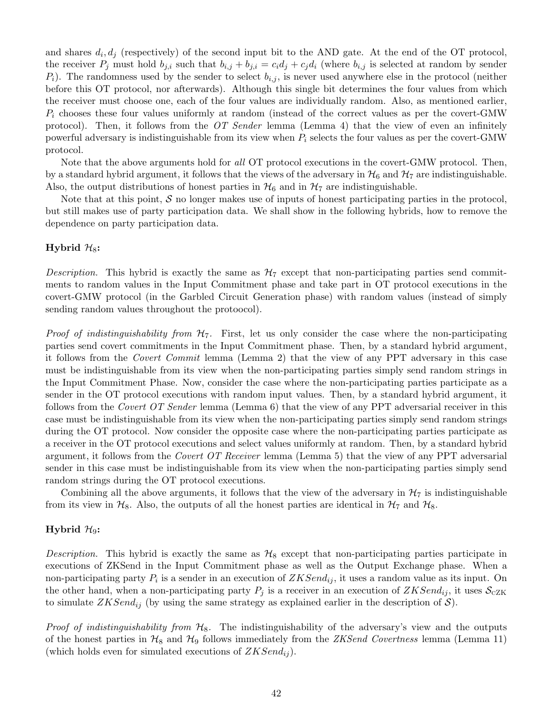and shares  $d_i, d_j$  (respectively) of the second input bit to the AND gate. At the end of the OT protocol, the receiver  $P_j$  must hold  $b_{j,i}$  such that  $b_{i,j} + b_{j,i} = c_i d_j + c_j d_i$  (where  $b_{i,j}$  is selected at random by sender  $P_i$ ). The randomness used by the sender to select  $b_{i,j}$ , is never used anywhere else in the protocol (neither before this OT protocol, nor afterwards). Although this single bit determines the four values from which the receiver must choose one, each of the four values are individually random. Also, as mentioned earlier,  $P_i$  chooses these four values uniformly at random (instead of the correct values as per the covert-GMW protocol). Then, it follows from the  $OT$  Sender lemma (Lemma 4) that the view of even an infinitely powerful adversary is indistinguishable from its view when  $P_i$  selects the four values as per the covert-GMW protocol.

Note that the above arguments hold for all OT protocol executions in the covert-GMW protocol. Then, by a standard hybrid argument, it follows that the views of the adversary in  $H_6$  and  $H_7$  are indistinguishable. Also, the output distributions of honest parties in  $\mathcal{H}_6$  and in  $\mathcal{H}_7$  are indistinguishable.

Note that at this point,  $\mathcal S$  no longer makes use of inputs of honest participating parties in the protocol, but still makes use of party participation data. We shall show in the following hybrids, how to remove the dependence on party participation data.

### Hybrid  $\mathcal{H}_8$ :

Description. This hybrid is exactly the same as  $H_7$  except that non-participating parties send commitments to random values in the Input Commitment phase and take part in OT protocol executions in the covert-GMW protocol (in the Garbled Circuit Generation phase) with random values (instead of simply sending random values throughout the protoocol).

*Proof of indistinguishability from*  $H_7$ . First, let us only consider the case where the non-participating parties send covert commitments in the Input Commitment phase. Then, by a standard hybrid argument, it follows from the Covert Commit lemma (Lemma 2) that the view of any PPT adversary in this case must be indistinguishable from its view when the non-participating parties simply send random strings in the Input Commitment Phase. Now, consider the case where the non-participating parties participate as a sender in the OT protocol executions with random input values. Then, by a standard hybrid argument, it follows from the Covert OT Sender lemma (Lemma 6) that the view of any PPT adversarial receiver in this case must be indistinguishable from its view when the non-participating parties simply send random strings during the OT protocol. Now consider the opposite case where the non-participating parties participate as a receiver in the OT protocol executions and select values uniformly at random. Then, by a standard hybrid argument, it follows from the Covert OT Receiver lemma (Lemma 5) that the view of any PPT adversarial sender in this case must be indistinguishable from its view when the non-participating parties simply send random strings during the OT protocol executions.

Combining all the above arguments, it follows that the view of the adversary in  $\mathcal{H}_7$  is indistinguishable from its view in  $H_8$ . Also, the outputs of all the honest parties are identical in  $H_7$  and  $H_8$ .

#### Hybrid  $\mathcal{H}_9$ :

Description. This hybrid is exactly the same as  $H_8$  except that non-participating parties participate in executions of ZKSend in the Input Commitment phase as well as the Output Exchange phase. When a non-participating party  $P_i$  is a sender in an execution of  $ZKSend_{ij}$ , it uses a random value as its input. On the other hand, when a non-participating party  $P_j$  is a receiver in an execution of  $ZKSend_{ij}$ , it uses  $\mathcal{S}_{CZK}$ to simulate  $ZKSend_{ij}$  (by using the same strategy as explained earlier in the description of  $\mathcal{S}$ ).

*Proof of indistinguishability from*  $H_8$ . The indistinguishability of the adversary's view and the outputs of the honest parties in  $H_8$  and  $H_9$  follows immediately from the *ZKSend Covertness* lemma (Lemma 11) (which holds even for simulated executions of  $ZKSend_{ij}$ ).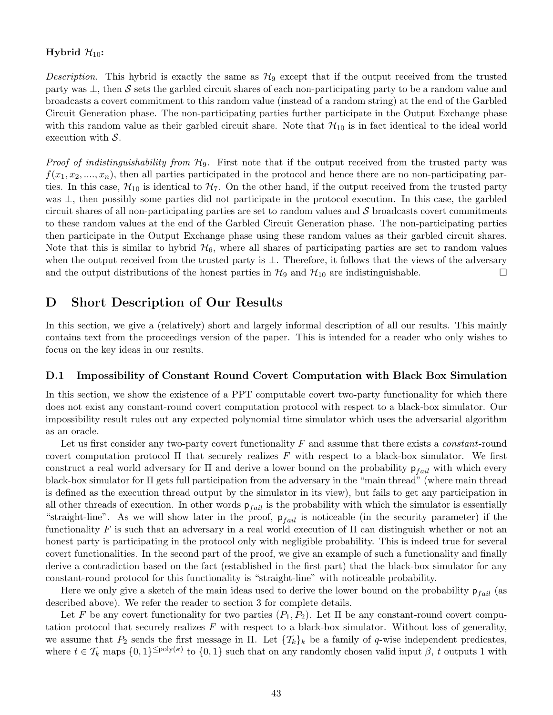## Hybrid  $\mathcal{H}_{10}$ :

Description. This hybrid is exactly the same as  $H_9$  except that if the output received from the trusted party was  $\perp$ , then S sets the garbled circuit shares of each non-participating party to be a random value and broadcasts a covert commitment to this random value (instead of a random string) at the end of the Garbled Circuit Generation phase. The non-participating parties further participate in the Output Exchange phase with this random value as their garbled circuit share. Note that  $\mathcal{H}_{10}$  is in fact identical to the ideal world execution with  $S$ .

*Proof of indistinguishability from*  $H_9$ . First note that if the output received from the trusted party was  $f(x_1, x_2, \ldots, x_n)$ , then all parties participated in the protocol and hence there are no non-participating parties. In this case,  $\mathcal{H}_{10}$  is identical to  $\mathcal{H}_7$ . On the other hand, if the output received from the trusted party was ⊥, then possibly some parties did not participate in the protocol execution. In this case, the garbled circuit shares of all non-participating parties are set to random values and  $\mathcal S$  broadcasts covert commitments to these random values at the end of the Garbled Circuit Generation phase. The non-participating parties then participate in the Output Exchange phase using these random values as their garbled circuit shares. Note that this is similar to hybrid  $H_6$ , where all shares of participating parties are set to random values when the output received from the trusted party is ⊥. Therefore, it follows that the views of the adversary and the output distributions of the honest parties in  $\mathcal{H}_9$  and  $\mathcal{H}_{10}$  are indistinguishable.

# D Short Description of Our Results

In this section, we give a (relatively) short and largely informal description of all our results. This mainly contains text from the proceedings version of the paper. This is intended for a reader who only wishes to focus on the key ideas in our results.

## D.1 Impossibility of Constant Round Covert Computation with Black Box Simulation

In this section, we show the existence of a PPT computable covert two-party functionality for which there does not exist any constant-round covert computation protocol with respect to a black-box simulator. Our impossibility result rules out any expected polynomial time simulator which uses the adversarial algorithm as an oracle.

Let us first consider any two-party covert functionality  $F$  and assume that there exists a *constant*-round covert computation protocol  $\Pi$  that securely realizes  $F$  with respect to a black-box simulator. We first construct a real world adversary for  $\Pi$  and derive a lower bound on the probability  $p_{fail}$  with which every black-box simulator for Π gets full participation from the adversary in the "main thread" (where main thread is defined as the execution thread output by the simulator in its view), but fails to get any participation in all other threads of execution. In other words  $p_{fail}$  is the probability with which the simulator is essentially "straight-line". As we will show later in the proof,  $p_{fail}$  is noticeable (in the security parameter) if the functionality F is such that an adversary in a real world execution of  $\Pi$  can distinguish whether or not an honest party is participating in the protocol only with negligible probability. This is indeed true for several covert functionalities. In the second part of the proof, we give an example of such a functionality and finally derive a contradiction based on the fact (established in the first part) that the black-box simulator for any constant-round protocol for this functionality is "straight-line" with noticeable probability.

Here we only give a sketch of the main ideas used to derive the lower bound on the probability  $p_{fail}$  (as described above). We refer the reader to section 3 for complete details.

Let F be any covert functionality for two parties  $(P_1, P_2)$ . Let  $\Pi$  be any constant-round covert computation protocol that securely realizes  $F$  with respect to a black-box simulator. Without loss of generality, we assume that  $P_2$  sends the first message in Π. Let  $\{\mathcal{T}_k\}_k$  be a family of q-wise independent predicates, where  $t \in \mathcal{T}_k$  maps  $\{0,1\}^{\leq \text{poly}(\kappa)}$  to  $\{0,1\}$  such that on any randomly chosen valid input  $\beta$ , t outputs 1 with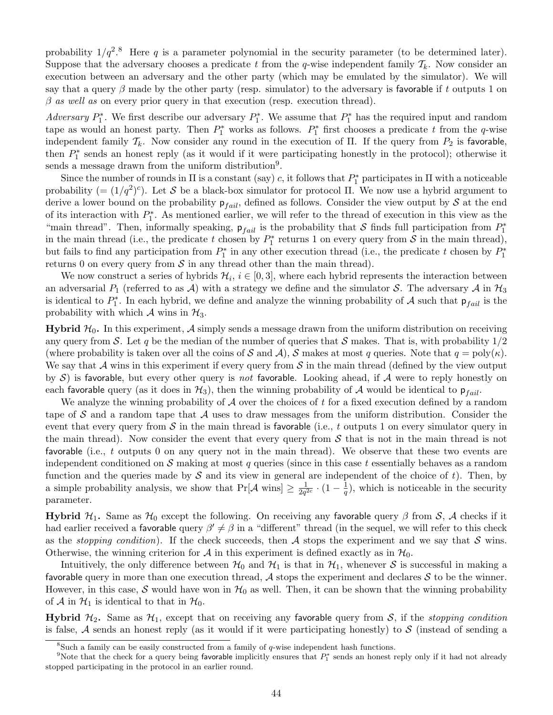probability  $1/q^2$ <sup>8</sup>. Here q is a parameter polynomial in the security parameter (to be determined later). Suppose that the adversary chooses a predicate t from the q-wise independent family  $\mathcal{T}_k$ . Now consider an execution between an adversary and the other party (which may be emulated by the simulator). We will say that a query  $\beta$  made by the other party (resp. simulator) to the adversary is favorable if t outputs 1 on  $\beta$  as well as on every prior query in that execution (resp. execution thread).

Adversary  $P_1^*$ . We first describe our adversary  $P_1^*$ . We assume that  $P_1^*$  has the required input and random tape as would an honest party. Then  $P_1^*$  works as follows.  $P_1^*$  first chooses a predicate t from the q-wise independent family  $\mathcal{T}_k$ . Now consider any round in the execution of Π. If the query from  $P_2$  is favorable, then  $P_1^*$  sends an honest reply (as it would if it were participating honestly in the protocol); otherwise it sends a message drawn from the uniform distribution<sup>9</sup>.

Since the number of rounds in  $\Pi$  is a constant (say) c, it follows that  $P_1^*$  participates in  $\Pi$  with a noticeable probability (=  $(1/q^2)^c$ ). Let S be a black-box simulator for protocol Π. We now use a hybrid argument to derive a lower bound on the probability  $p_{fail}$ , defined as follows. Consider the view output by S at the end of its interaction with  $P_1^*$ . As mentioned earlier, we will refer to the thread of execution in this view as the "main thread". Then, informally speaking,  $p_{fail}$  is the probability that S finds full participation from  $P_1^*$ in the main thread (i.e., the predicate t chosen by  $P_1^*$  returns 1 on every query from S in the main thread), but fails to find any participation from  $P_1^*$  in any other execution thread (i.e., the predicate t chosen by  $P_1^*$ returns 0 on every query from  $\mathcal S$  in any thread other than the main thread).

We now construct a series of hybrids  $\mathcal{H}_i$ ,  $i \in [0,3]$ , where each hybrid represents the interaction between an adversarial  $P_1$  (referred to as A) with a strategy we define and the simulator S. The adversary A in  $\mathcal{H}_3$ is identical to  $P_1^*$ . In each hybrid, we define and analyze the winning probability of A such that  $p_{fail}$  is the probability with which  $\mathcal A$  wins in  $\mathcal H_3$ .

**Hybrid**  $\mathcal{H}_0$ . In this experiment,  $\mathcal{A}$  simply sends a message drawn from the uniform distribution on receiving any query from S. Let q be the median of the number of queries that S makes. That is, with probability  $1/2$ (where probability is taken over all the coins of S and A), S makes at most q queries. Note that  $q = poly(\kappa)$ . We say that A wins in this experiment if every query from  $\mathcal S$  in the main thread (defined by the view output by S) is favorable, but every other query is not favorable. Looking ahead, if A were to reply honestly on each favorable query (as it does in  $\mathcal{H}_3$ ), then the winning probability of A would be identical to  $p_{fail}$ .

We analyze the winning probability of  $A$  over the choices of t for a fixed execution defined by a random tape of S and a random tape that A uses to draw messages from the uniform distribution. Consider the event that every query from  $S$  in the main thread is favorable (i.e., t outputs 1 on every simulator query in the main thread). Now consider the event that every query from  $S$  that is not in the main thread is not favorable (i.e., t outputs 0 on any query not in the main thread). We observe that these two events are independent conditioned on S making at most q queries (since in this case t essentially behaves as a random function and the queries made by  $S$  and its view in general are independent of the choice of t). Then, by a simple probability analysis, we show that  $Pr[\mathcal{A} \text{ wins}] \geq \frac{1}{2a}$  $\frac{1}{2q^{2c}}\cdot (1-\frac{1}{q}$  $(\frac{1}{q})$ , which is noticeable in the security parameter.

**Hybrid**  $\mathcal{H}_1$ . Same as  $\mathcal{H}_0$  except the following. On receiving any favorable query  $\beta$  from  $\mathcal{S}, \mathcal{A}$  checks if it had earlier received a favorable query  $\beta' \neq \beta$  in a "different" thread (in the sequel, we will refer to this check as the *stopping condition*). If the check succeeds, then A stops the experiment and we say that S wins. Otherwise, the winning criterion for A in this experiment is defined exactly as in  $\mathcal{H}_0$ .

Intuitively, the only difference between  $\mathcal{H}_0$  and  $\mathcal{H}_1$  is that in  $\mathcal{H}_1$ , whenever S is successful in making a favorable query in more than one execution thread,  $\mathcal A$  stops the experiment and declares  $\mathcal S$  to be the winner. However, in this case, S would have won in  $\mathcal{H}_0$  as well. Then, it can be shown that the winning probability of A in  $\mathcal{H}_1$  is identical to that in  $\mathcal{H}_0$ .

Hybrid  $H_2$ . Same as  $H_1$ , except that on receiving any favorable query from S, if the stopping condition is false,  $A$  sends an honest reply (as it would if it were participating honestly) to  $S$  (instead of sending a

 $8$ Such a family can be easily constructed from a family of  $q$ -wise independent hash functions.

<sup>&</sup>lt;sup>9</sup>Note that the check for a query being favorable implicitly ensures that  $P_1^*$  sends an honest reply only if it had not already stopped participating in the protocol in an earlier round.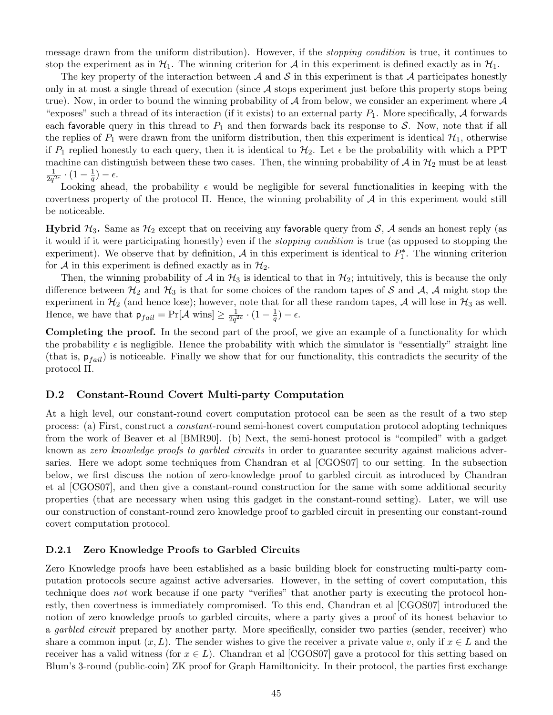message drawn from the uniform distribution). However, if the stopping condition is true, it continues to stop the experiment as in  $\mathcal{H}_1$ . The winning criterion for A in this experiment is defined exactly as in  $\mathcal{H}_1$ .

The key property of the interaction between A and S in this experiment is that A participates honestly only in at most a single thread of execution (since  $A$  stops experiment just before this property stops being true). Now, in order to bound the winning probability of  $A$  from below, we consider an experiment where  $A$ "exposes" such a thread of its interaction (if it exists) to an external party  $P_1$ . More specifically, A forwards each favorable query in this thread to  $P_1$  and then forwards back its response to S. Now, note that if all the replies of  $P_1$  were drawn from the uniform distribution, then this experiment is identical  $\mathcal{H}_1$ , otherwise if  $P_1$  replied honestly to each query, then it is identical to  $H_2$ . Let  $\epsilon$  be the probability with which a PPT machine can distinguish between these two cases. Then, the winning probability of  $\mathcal A$  in  $\mathcal H_2$  must be at least 1  $\frac{1}{2q^{2c}}\cdot (1-\frac{1}{q}$  $\frac{1}{q})-\epsilon.$ 

Looking ahead, the probability  $\epsilon$  would be negligible for several functionalities in keeping with the covertness property of the protocol  $\Pi$ . Hence, the winning probability of  $\mathcal A$  in this experiment would still be noticeable.

**Hybrid**  $\mathcal{H}_3$ . Same as  $\mathcal{H}_2$  except that on receiving any favorable query from  $\mathcal{S}, \mathcal{A}$  sends an honest reply (as it would if it were participating honestly) even if the stopping condition is true (as opposed to stopping the experiment). We observe that by definition,  $A$  in this experiment is identical to  $P_1^*$ . The winning criterion for A in this experiment is defined exactly as in  $\mathcal{H}_2$ .

Then, the winning probability of A in  $H_3$  is identical to that in  $H_2$ ; intuitively, this is because the only difference between  $\mathcal{H}_2$  and  $\mathcal{H}_3$  is that for some choices of the random tapes of S and A, A might stop the experiment in  $\mathcal{H}_2$  (and hence lose); however, note that for all these random tapes, A will lose in  $\mathcal{H}_3$  as well. Hence, we have that  $p_{fail} = Pr[\mathcal{A} \text{ wins}] \geq \frac{1}{2q^2}$  $\frac{1}{2q^{2c}}\cdot (1-\frac{1}{q})$  $\frac{1}{q})-\epsilon.$ 

Completing the proof. In the second part of the proof, we give an example of a functionality for which the probability  $\epsilon$  is negligible. Hence the probability with which the simulator is "essentially" straight line (that is,  $p_{fail}$ ) is noticeable. Finally we show that for our functionality, this contradicts the security of the protocol Π.

## D.2 Constant-Round Covert Multi-party Computation

At a high level, our constant-round covert computation protocol can be seen as the result of a two step process: (a) First, construct a constant-round semi-honest covert computation protocol adopting techniques from the work of Beaver et al [BMR90]. (b) Next, the semi-honest protocol is "compiled" with a gadget known as zero knowledge proofs to garbled circuits in order to guarantee security against malicious adversaries. Here we adopt some techniques from Chandran et al [CGOS07] to our setting. In the subsection below, we first discuss the notion of zero-knowledge proof to garbled circuit as introduced by Chandran et al [CGOS07], and then give a constant-round construction for the same with some additional security properties (that are necessary when using this gadget in the constant-round setting). Later, we will use our construction of constant-round zero knowledge proof to garbled circuit in presenting our constant-round covert computation protocol.

## D.2.1 Zero Knowledge Proofs to Garbled Circuits

Zero Knowledge proofs have been established as a basic building block for constructing multi-party computation protocols secure against active adversaries. However, in the setting of covert computation, this technique does not work because if one party "verifies" that another party is executing the protocol honestly, then covertness is immediately compromised. To this end, Chandran et al [CGOS07] introduced the notion of zero knowledge proofs to garbled circuits, where a party gives a proof of its honest behavior to a garbled circuit prepared by another party. More specifically, consider two parties (sender, receiver) who share a common input  $(x, L)$ . The sender wishes to give the receiver a private value v, only if  $x \in L$  and the receiver has a valid witness (for  $x \in L$ ). Chandran et al [CGOS07] gave a protocol for this setting based on Blum's 3-round (public-coin) ZK proof for Graph Hamiltonicity. In their protocol, the parties first exchange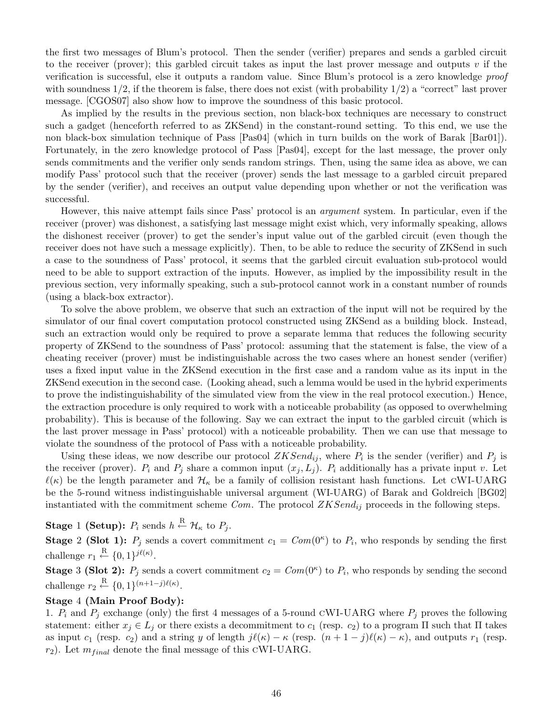the first two messages of Blum's protocol. Then the sender (verifier) prepares and sends a garbled circuit to the receiver (prover); this garbled circuit takes as input the last prover message and outputs  $v$  if the verification is successful, else it outputs a random value. Since Blum's protocol is a zero knowledge proof with soundness  $1/2$ , if the theorem is false, there does not exist (with probability  $1/2$ ) a "correct" last prover message. [CGOS07] also show how to improve the soundness of this basic protocol.

As implied by the results in the previous section, non black-box techniques are necessary to construct such a gadget (henceforth referred to as ZKSend) in the constant-round setting. To this end, we use the non black-box simulation technique of Pass [Pas04] (which in turn builds on the work of Barak [Bar01]). Fortunately, in the zero knowledge protocol of Pass [Pas04], except for the last message, the prover only sends commitments and the verifier only sends random strings. Then, using the same idea as above, we can modify Pass' protocol such that the receiver (prover) sends the last message to a garbled circuit prepared by the sender (verifier), and receives an output value depending upon whether or not the verification was successful.

However, this naive attempt fails since Pass' protocol is an argument system. In particular, even if the receiver (prover) was dishonest, a satisfying last message might exist which, very informally speaking, allows the dishonest receiver (prover) to get the sender's input value out of the garbled circuit (even though the receiver does not have such a message explicitly). Then, to be able to reduce the security of ZKSend in such a case to the soundness of Pass' protocol, it seems that the garbled circuit evaluation sub-protocol would need to be able to support extraction of the inputs. However, as implied by the impossibility result in the previous section, very informally speaking, such a sub-protocol cannot work in a constant number of rounds (using a black-box extractor).

To solve the above problem, we observe that such an extraction of the input will not be required by the simulator of our final covert computation protocol constructed using ZKSend as a building block. Instead, such an extraction would only be required to prove a separate lemma that reduces the following security property of ZKSend to the soundness of Pass' protocol: assuming that the statement is false, the view of a cheating receiver (prover) must be indistinguishable across the two cases where an honest sender (verifier) uses a fixed input value in the ZKSend execution in the first case and a random value as its input in the ZKSend execution in the second case. (Looking ahead, such a lemma would be used in the hybrid experiments to prove the indistinguishability of the simulated view from the view in the real protocol execution.) Hence, the extraction procedure is only required to work with a noticeable probability (as opposed to overwhelming probability). This is because of the following. Say we can extract the input to the garbled circuit (which is the last prover message in Pass' protocol) with a noticeable probability. Then we can use that message to violate the soundness of the protocol of Pass with a noticeable probability.

Using these ideas, we now describe our protocol  $ZKSend_{ij}$ , where  $P_i$  is the sender (verifier) and  $P_j$  is the receiver (prover).  $P_i$  and  $P_j$  share a common input  $(x_i, L_j)$ .  $P_i$  additionally has a private input v. Let  $\ell(\kappa)$  be the length parameter and  $\mathcal{H}_{\kappa}$  be a family of collision resistant hash functions. Let CWI-UARG be the 5-round witness indistinguishable universal argument (WI-UARG) of Barak and Goldreich [BG02] instantiated with the commitment scheme Com. The protocol  $ZKSend_{ij}$  proceeds in the following steps.

**Stage** 1 (**Setup**):  $P_i$  sends  $h \stackrel{\text{R}}{\leftarrow} \mathcal{H}_\kappa$  to  $P_j$ .

**Stage** 2 (Slot 1):  $P_j$  sends a covert commitment  $c_1 = Com(0^{\kappa})$  to  $P_i$ , who responds by sending the first challenge  $r_1 \stackrel{\text{R}}{\leftarrow} \{0,1\}^{j\ell(\kappa)}$ .

**Stage** 3 (Slot 2):  $P_j$  sends a covert commitment  $c_2 = Com(0^{\kappa})$  to  $P_i$ , who responds by sending the second challenge  $r_2 \stackrel{\text{R}}{\leftarrow} \{0,1\}^{(n+1-j)\ell(\kappa)}$ .

## Stage 4 (Main Proof Body):

1.  $P_i$  and  $P_j$  exchange (only) the first 4 messages of a 5-round CWI-UARG where  $P_j$  proves the following statement: either  $x_i \in L_i$  or there exists a decommitment to  $c_1$  (resp.  $c_2$ ) to a program  $\Pi$  such that  $\Pi$  takes as input  $c_1$  (resp.  $c_2$ ) and a string y of length  $j\ell(\kappa) - \kappa$  (resp.  $(n + 1 - j)\ell(\kappa) - \kappa$ ), and outputs  $r_1$  (resp.  $r_2$ ). Let  $m_{final}$  denote the final message of this CWI-UARG.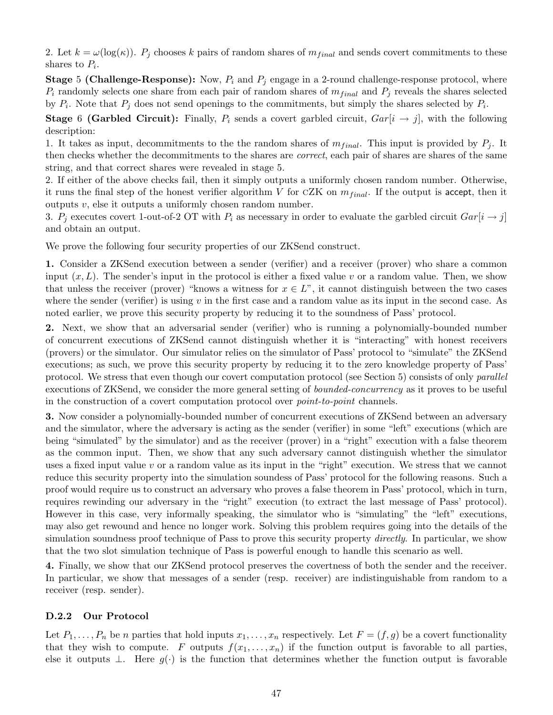2. Let  $k = \omega(\log(\kappa))$ .  $P_j$  chooses k pairs of random shares of  $m_{final}$  and sends covert commitments to these shares to  $P_i$ .

**Stage** 5 (Challenge-Response): Now,  $P_i$  and  $P_j$  engage in a 2-round challenge-response protocol, where  $P_i$  randomly selects one share from each pair of random shares of  $m_{final}$  and  $P_j$  reveals the shares selected by  $P_i$ . Note that  $P_j$  does not send openings to the commitments, but simply the shares selected by  $P_i$ .

**Stage** 6 (Garbled Circuit): Finally,  $P_i$  sends a covert garbled circuit,  $Gar[i \rightarrow j]$ , with the following description:

1. It takes as input, decommitments to the the random shares of  $m_{final}$ . This input is provided by  $P_j$ . It then checks whether the decommitments to the shares are correct, each pair of shares are shares of the same string, and that correct shares were revealed in stage 5.

2. If either of the above checks fail, then it simply outputs a uniformly chosen random number. Otherwise, it runs the final step of the honest verifier algorithm V for cZK on  $m_{final}$ . If the output is accept, then it outputs  $v$ , else it outputs a uniformly chosen random number.

3.  $P_j$  executes covert 1-out-of-2 OT with  $P_i$  as necessary in order to evaluate the garbled circuit  $Gar[i \rightarrow j]$ and obtain an output.

We prove the following four security properties of our ZKSend construct.

1. Consider a ZKSend execution between a sender (verifier) and a receiver (prover) who share a common input  $(x, L)$ . The sender's input in the protocol is either a fixed value v or a random value. Then, we show that unless the receiver (prover) "knows a witness for  $x \in L$ ", it cannot distinguish between the two cases where the sender (verifier) is using  $v$  in the first case and a random value as its input in the second case. As noted earlier, we prove this security property by reducing it to the soundness of Pass' protocol.

2. Next, we show that an adversarial sender (verifier) who is running a polynomially-bounded number of concurrent executions of ZKSend cannot distinguish whether it is "interacting" with honest receivers (provers) or the simulator. Our simulator relies on the simulator of Pass' protocol to "simulate" the ZKSend executions; as such, we prove this security property by reducing it to the zero knowledge property of Pass' protocol. We stress that even though our covert computation protocol (see Section 5) consists of only parallel executions of ZKSend, we consider the more general setting of *bounded-concurrency* as it proves to be useful in the construction of a covert computation protocol over point-to-point channels.

3. Now consider a polynomially-bounded number of concurrent executions of ZKSend between an adversary and the simulator, where the adversary is acting as the sender (verifier) in some "left" executions (which are being "simulated" by the simulator) and as the receiver (prover) in a "right" execution with a false theorem as the common input. Then, we show that any such adversary cannot distinguish whether the simulator uses a fixed input value  $v$  or a random value as its input in the "right" execution. We stress that we cannot reduce this security property into the simulation soundess of Pass' protocol for the following reasons. Such a proof would require us to construct an adversary who proves a false theorem in Pass' protocol, which in turn, requires rewinding our adversary in the "right" execution (to extract the last message of Pass' protocol). However in this case, very informally speaking, the simulator who is "simulating" the "left" executions, may also get rewound and hence no longer work. Solving this problem requires going into the details of the simulation soundness proof technique of Pass to prove this security property *directly*. In particular, we show that the two slot simulation technique of Pass is powerful enough to handle this scenario as well.

4. Finally, we show that our ZKSend protocol preserves the covertness of both the sender and the receiver. In particular, we show that messages of a sender (resp. receiver) are indistinguishable from random to a receiver (resp. sender).

## D.2.2 Our Protocol

Let  $P_1, \ldots, P_n$  be n parties that hold inputs  $x_1, \ldots, x_n$  respectively. Let  $F = (f, g)$  be a covert functionality that they wish to compute. F outputs  $f(x_1, \ldots, x_n)$  if the function output is favorable to all parties, else it outputs ⊥. Here  $q(\cdot)$  is the function that determines whether the function output is favorable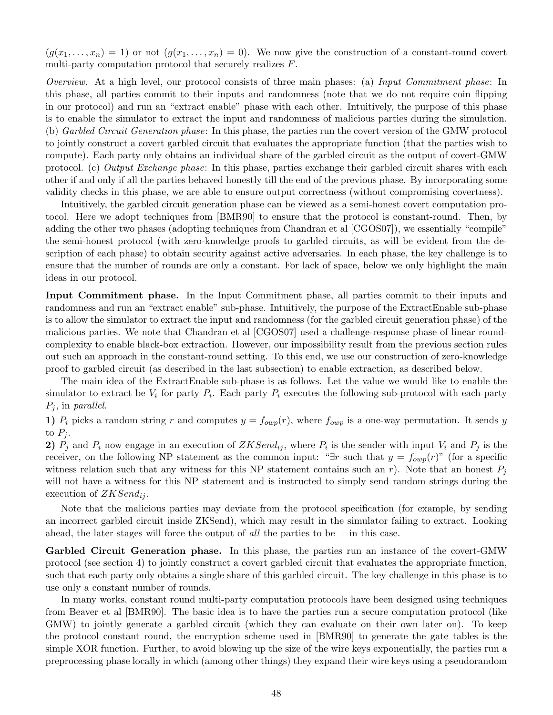$(g(x_1, \ldots, x_n) = 1)$  or not  $(g(x_1, \ldots, x_n) = 0)$ . We now give the construction of a constant-round covert multi-party computation protocol that securely realizes F.

Overview. At a high level, our protocol consists of three main phases: (a) Input Commitment phase: In this phase, all parties commit to their inputs and randomness (note that we do not require coin flipping in our protocol) and run an "extract enable" phase with each other. Intuitively, the purpose of this phase is to enable the simulator to extract the input and randomness of malicious parties during the simulation. (b) Garbled Circuit Generation phase: In this phase, the parties run the covert version of the GMW protocol to jointly construct a covert garbled circuit that evaluates the appropriate function (that the parties wish to compute). Each party only obtains an individual share of the garbled circuit as the output of covert-GMW protocol. (c) Output Exchange phase: In this phase, parties exchange their garbled circuit shares with each other if and only if all the parties behaved honestly till the end of the previous phase. By incorporating some validity checks in this phase, we are able to ensure output correctness (without compromising covertness).

Intuitively, the garbled circuit generation phase can be viewed as a semi-honest covert computation protocol. Here we adopt techniques from [BMR90] to ensure that the protocol is constant-round. Then, by adding the other two phases (adopting techniques from Chandran et al [CGOS07]), we essentially "compile" the semi-honest protocol (with zero-knowledge proofs to garbled circuits, as will be evident from the description of each phase) to obtain security against active adversaries. In each phase, the key challenge is to ensure that the number of rounds are only a constant. For lack of space, below we only highlight the main ideas in our protocol.

Input Commitment phase. In the Input Commitment phase, all parties commit to their inputs and randomness and run an "extract enable" sub-phase. Intuitively, the purpose of the ExtractEnable sub-phase is to allow the simulator to extract the input and randomness (for the garbled circuit generation phase) of the malicious parties. We note that Chandran et al [CGOS07] used a challenge-response phase of linear roundcomplexity to enable black-box extraction. However, our impossibility result from the previous section rules out such an approach in the constant-round setting. To this end, we use our construction of zero-knowledge proof to garbled circuit (as described in the last subsection) to enable extraction, as described below.

The main idea of the ExtractEnable sub-phase is as follows. Let the value we would like to enable the simulator to extract be  $V_i$  for party  $P_i$ . Each party  $P_i$  executes the following sub-protocol with each party  $P_j$ , in parallel.

1)  $P_i$  picks a random string r and computes  $y = f_{owp}(r)$ , where  $f_{owp}$  is a one-way permutation. It sends y to  $P_i$ .

2)  $P_j$  and  $P_i$  now engage in an execution of  $ZKSend_{ij}$ , where  $P_i$  is the sender with input  $V_i$  and  $P_j$  is the receiver, on the following NP statement as the common input: "∃r such that  $y = f_{owp}(r)$ " (for a specific witness relation such that any witness for this NP statement contains such an r). Note that an honest  $P_i$ will not have a witness for this NP statement and is instructed to simply send random strings during the execution of  $ZKSend_{ij}$ .

Note that the malicious parties may deviate from the protocol specification (for example, by sending an incorrect garbled circuit inside ZKSend), which may result in the simulator failing to extract. Looking ahead, the later stages will force the output of all the parties to be  $\perp$  in this case.

Garbled Circuit Generation phase. In this phase, the parties run an instance of the covert-GMW protocol (see section 4) to jointly construct a covert garbled circuit that evaluates the appropriate function, such that each party only obtains a single share of this garbled circuit. The key challenge in this phase is to use only a constant number of rounds.

In many works, constant round multi-party computation protocols have been designed using techniques from Beaver et al [BMR90]. The basic idea is to have the parties run a secure computation protocol (like GMW) to jointly generate a garbled circuit (which they can evaluate on their own later on). To keep the protocol constant round, the encryption scheme used in [BMR90] to generate the gate tables is the simple XOR function. Further, to avoid blowing up the size of the wire keys exponentially, the parties run a preprocessing phase locally in which (among other things) they expand their wire keys using a pseudorandom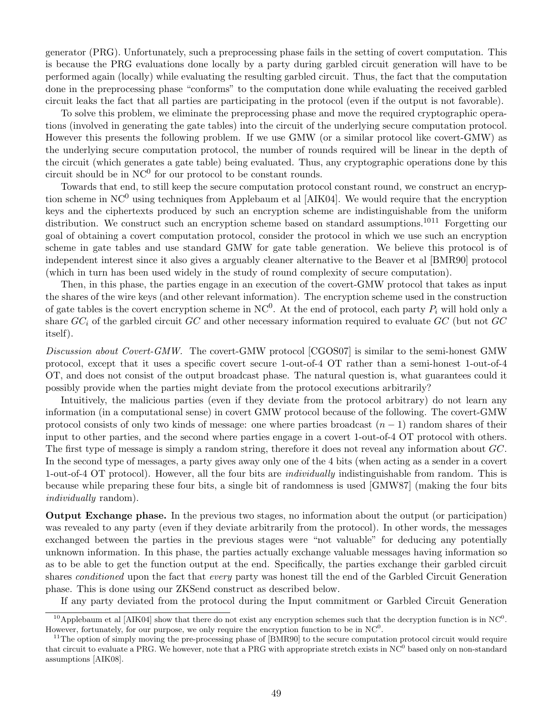generator (PRG). Unfortunately, such a preprocessing phase fails in the setting of covert computation. This is because the PRG evaluations done locally by a party during garbled circuit generation will have to be performed again (locally) while evaluating the resulting garbled circuit. Thus, the fact that the computation done in the preprocessing phase "conforms" to the computation done while evaluating the received garbled circuit leaks the fact that all parties are participating in the protocol (even if the output is not favorable).

To solve this problem, we eliminate the preprocessing phase and move the required cryptographic operations (involved in generating the gate tables) into the circuit of the underlying secure computation protocol. However this presents the following problem. If we use GMW (or a similar protocol like covert-GMW) as the underlying secure computation protocol, the number of rounds required will be linear in the depth of the circuit (which generates a gate table) being evaluated. Thus, any cryptographic operations done by this circuit should be in  $NC^0$  for our protocol to be constant rounds.

Towards that end, to still keep the secure computation protocol constant round, we construct an encryption scheme in  $NC<sup>0</sup>$  using techniques from Applebaum et al [AIK04]. We would require that the encryption keys and the ciphertexts produced by such an encryption scheme are indistinguishable from the uniform distribution. We construct such an encryption scheme based on standard assumptions.<sup>1011</sup> Forgetting our goal of obtaining a covert computation protocol, consider the protocol in which we use such an encryption scheme in gate tables and use standard GMW for gate table generation. We believe this protocol is of independent interest since it also gives a arguably cleaner alternative to the Beaver et al [BMR90] protocol (which in turn has been used widely in the study of round complexity of secure computation).

Then, in this phase, the parties engage in an execution of the covert-GMW protocol that takes as input the shares of the wire keys (and other relevant information). The encryption scheme used in the construction of gate tables is the covert encryption scheme in  $NC^0$ . At the end of protocol, each party  $P_i$  will hold only a share  $GC_i$  of the garbled circuit  $GC$  and other necessary information required to evaluate  $GC$  (but not  $GC$ ) itself).

Discussion about Covert-GMW. The covert-GMW protocol [CGOS07] is similar to the semi-honest GMW protocol, except that it uses a specific covert secure 1-out-of-4 OT rather than a semi-honest 1-out-of-4 OT, and does not consist of the output broadcast phase. The natural question is, what guarantees could it possibly provide when the parties might deviate from the protocol executions arbitrarily?

Intuitively, the malicious parties (even if they deviate from the protocol arbitrary) do not learn any information (in a computational sense) in covert GMW protocol because of the following. The covert-GMW protocol consists of only two kinds of message: one where parties broadcast  $(n - 1)$  random shares of their input to other parties, and the second where parties engage in a covert 1-out-of-4 OT protocol with others. The first type of message is simply a random string, therefore it does not reveal any information about GC. In the second type of messages, a party gives away only one of the 4 bits (when acting as a sender in a covert 1-out-of-4 OT protocol). However, all the four bits are individually indistinguishable from random. This is because while preparing these four bits, a single bit of randomness is used [GMW87] (making the four bits individually random).

Output Exchange phase. In the previous two stages, no information about the output (or participation) was revealed to any party (even if they deviate arbitrarily from the protocol). In other words, the messages exchanged between the parties in the previous stages were "not valuable" for deducing any potentially unknown information. In this phase, the parties actually exchange valuable messages having information so as to be able to get the function output at the end. Specifically, the parties exchange their garbled circuit shares *conditioned* upon the fact that *every* party was honest till the end of the Garbled Circuit Generation phase. This is done using our ZKSend construct as described below.

If any party deviated from the protocol during the Input commitment or Garbled Circuit Generation

<sup>&</sup>lt;sup>10</sup>Applebaum et al [AIK04] show that there do not exist any encryption schemes such that the decryption function is in NC<sup>0</sup>. However, fortunately, for our purpose, we only require the encryption function to be in  $NC<sup>0</sup>$ .

 $11$ The option of simply moving the pre-processing phase of  $[BMR90]$  to the secure computation protocol circuit would require that circuit to evaluate a PRG. We however, note that a PRG with appropriate stretch exists in  $NC<sup>0</sup>$  based only on non-standard assumptions [AIK08].